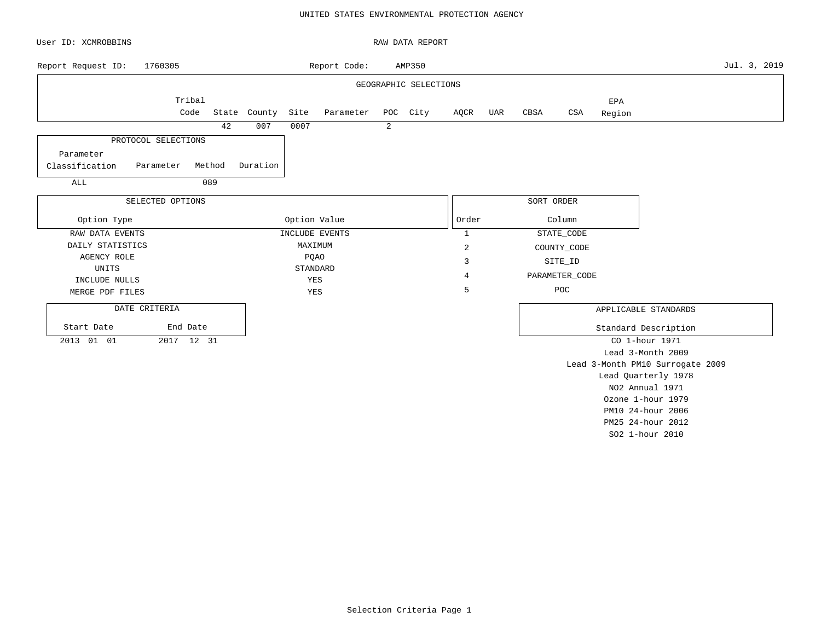### UNITED STATES ENVIRONMENTAL PROTECTION AGENCY

| User ID: XCMROBBINS |                     |        |              |      |                |                | RAW DATA REPORT       |                |     |            |                |        |                                  |              |
|---------------------|---------------------|--------|--------------|------|----------------|----------------|-----------------------|----------------|-----|------------|----------------|--------|----------------------------------|--------------|
| Report Request ID:  | 1760305             |        |              |      | Report Code:   |                | AMP350                |                |     |            |                |        |                                  | Jul. 3, 2019 |
|                     |                     |        |              |      |                |                | GEOGRAPHIC SELECTIONS |                |     |            |                |        |                                  |              |
|                     | Tribal              |        |              |      |                |                |                       |                |     |            |                | EPA    |                                  |              |
|                     | Code                |        | State County | Site | Parameter      |                | POC City              | AQCR           | UAR | CBSA       | $_{\tt CSA}$   | Region |                                  |              |
|                     |                     | 42     | 007          | 0007 |                | $\overline{2}$ |                       |                |     |            |                |        |                                  |              |
|                     | PROTOCOL SELECTIONS |        |              |      |                |                |                       |                |     |            |                |        |                                  |              |
| Parameter           |                     |        |              |      |                |                |                       |                |     |            |                |        |                                  |              |
| Classification      | Parameter           | Method | Duration     |      |                |                |                       |                |     |            |                |        |                                  |              |
| ALL                 |                     | 089    |              |      |                |                |                       |                |     |            |                |        |                                  |              |
|                     |                     |        |              |      |                |                |                       |                |     |            |                |        |                                  |              |
|                     | SELECTED OPTIONS    |        |              |      |                |                |                       |                |     | SORT ORDER |                |        |                                  |              |
| Option Type         |                     |        |              |      | Option Value   |                |                       | Order          |     |            | Column         |        |                                  |              |
| RAW DATA EVENTS     |                     |        |              |      | INCLUDE EVENTS |                |                       | $\mathbf{1}$   |     |            | STATE_CODE     |        |                                  |              |
| DAILY STATISTICS    |                     |        |              |      | MAXIMUM        |                |                       | $\sqrt{2}$     |     |            | COUNTY_CODE    |        |                                  |              |
| <b>AGENCY ROLE</b>  |                     |        |              |      | <b>PQAO</b>    |                |                       | 3              |     |            | SITE_ID        |        |                                  |              |
| UNITS               |                     |        |              |      | STANDARD       |                |                       | $\overline{4}$ |     |            | PARAMETER_CODE |        |                                  |              |
| INCLUDE NULLS       |                     |        |              | YES  | YES            |                |                       | 5              |     |            | POC            |        |                                  |              |
| MERGE PDF FILES     |                     |        |              |      |                |                |                       |                |     |            |                |        |                                  |              |
| DATE CRITERIA       |                     |        |              |      |                |                |                       |                |     |            |                |        | APPLICABLE STANDARDS             |              |
| Start Date          | End Date            |        |              |      |                |                |                       |                |     |            |                |        | Standard Description             |              |
| 2013 01 01          | 2017 12 31          |        |              |      |                |                |                       |                |     |            |                |        | CO 1-hour 1971                   |              |
|                     |                     |        |              |      |                |                |                       |                |     |            |                |        | Lead 3-Month 2009                |              |
|                     |                     |        |              |      |                |                |                       |                |     |            |                |        | Lead 3-Month PM10 Surrogate 2009 |              |
|                     |                     |        |              |      |                |                |                       |                |     |            |                |        | Lead Quarterly 1978              |              |
|                     |                     |        |              |      |                |                |                       |                |     |            |                |        | NO2 Annual 1971                  |              |
|                     |                     |        |              |      |                |                |                       |                |     |            |                |        | Ozone 1-hour 1979                |              |
|                     |                     |        |              |      |                |                |                       |                |     |            |                |        | PM10 24-hour 2006                |              |

PM25 24-hour 2012 SO2 1-hour 2010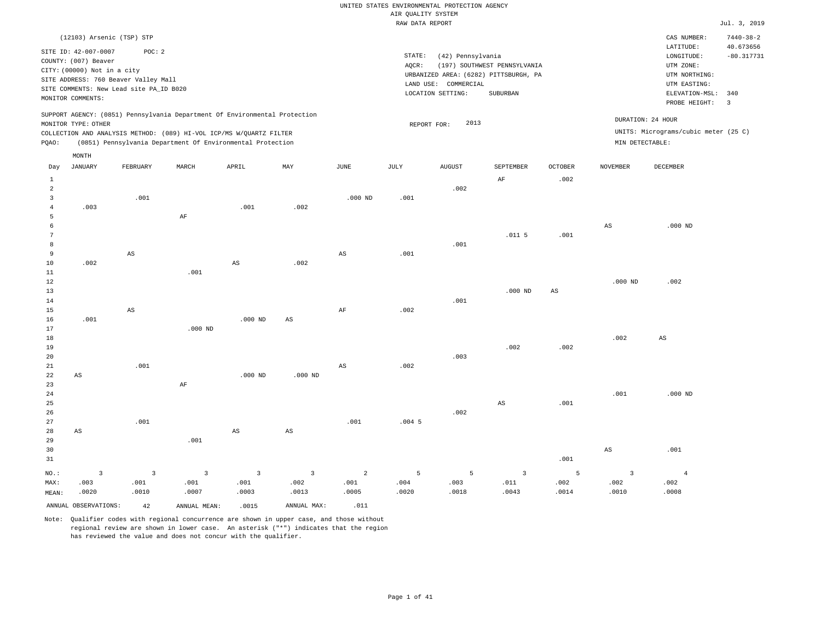| UNITED STATES ENVIRONMENTAL PROTECTION AGENCY |              |
|-----------------------------------------------|--------------|
| AIR OUALITY SYSTEM                            |              |
| RAW DATA REPORT                               | Jul. 3, 2019 |

|                                          |                                                                                                                                                                                     |                                 |                                                                                                                                                                                                                 |                                 |                                                         |                            | ----- ------ ---- ---- |                                                                |                                                                                   |                    |                                      |                                                                                                          | ---- <i>-1</i> --                                           |
|------------------------------------------|-------------------------------------------------------------------------------------------------------------------------------------------------------------------------------------|---------------------------------|-----------------------------------------------------------------------------------------------------------------------------------------------------------------------------------------------------------------|---------------------------------|---------------------------------------------------------|----------------------------|------------------------|----------------------------------------------------------------|-----------------------------------------------------------------------------------|--------------------|--------------------------------------|----------------------------------------------------------------------------------------------------------|-------------------------------------------------------------|
|                                          | (12103) Arsenic (TSP) STP                                                                                                                                                           |                                 |                                                                                                                                                                                                                 |                                 |                                                         |                            |                        |                                                                |                                                                                   |                    |                                      | CAS NUMBER:                                                                                              | $7440 - 38 - 2$                                             |
|                                          | SITE ID: 42-007-0007<br>COUNTY: (007) Beaver<br>CITY: (00000) Not in a city<br>SITE ADDRESS: 760 Beaver Valley Mall<br>SITE COMMENTS: New Lead site PA_ID B020<br>MONITOR COMMENTS: | POC: 2                          |                                                                                                                                                                                                                 |                                 |                                                         |                            | STATE:<br>$AQCR$ :     | (42) Pennsylvania<br>LAND USE: COMMERCIAL<br>LOCATION SETTING: | (197) SOUTHWEST PENNSYLVANIA<br>URBANIZED AREA: (6282) PITTSBURGH, PA<br>SUBURBAN |                    |                                      | LATITUDE:<br>LONGITUDE:<br>UTM ZONE:<br>UTM NORTHING:<br>UTM EASTING:<br>ELEVATION-MSL:<br>PROBE HEIGHT: | 40.673656<br>$-80.317731$<br>340<br>$\overline{\mathbf{3}}$ |
| PQAO:                                    | MONITOR TYPE: OTHER                                                                                                                                                                 |                                 | SUPPORT AGENCY: (0851) Pennsylvania Department Of Environmental Protection<br>COLLECTION AND ANALYSIS METHOD: (089) HI-VOL ICP/MS W/QUARTZ FILTER<br>(0851) Pennsylvania Department Of Environmental Protection |                                 |                                                         |                            |                        | 2013<br>REPORT FOR:                                            |                                                                                   |                    | DURATION: 24 HOUR<br>MIN DETECTABLE: | UNITS: Micrograms/cubic meter (25 C)                                                                     |                                                             |
|                                          | MONTH                                                                                                                                                                               |                                 |                                                                                                                                                                                                                 |                                 |                                                         |                            |                        |                                                                |                                                                                   |                    |                                      |                                                                                                          |                                                             |
| Day                                      | <b>JANUARY</b>                                                                                                                                                                      | FEBRUARY                        | MARCH                                                                                                                                                                                                           | APRIL                           | MAY                                                     | JUNE                       | JULY                   | <b>AUGUST</b>                                                  | SEPTEMBER                                                                         | <b>OCTOBER</b>     | NOVEMBER                             | DECEMBER                                                                                                 |                                                             |
| $\mathbf{1}$<br>$\overline{c}$<br>3<br>4 | .003                                                                                                                                                                                | .001                            |                                                                                                                                                                                                                 | .001                            | .002                                                    | $.000$ ND                  | .001                   | .002                                                           | AF                                                                                | .002               |                                      |                                                                                                          |                                                             |
| 5<br>6<br>7<br>8<br>9                    |                                                                                                                                                                                     | $\mathbb{A}\mathbb{S}$          | AF                                                                                                                                                                                                              |                                 |                                                         | $\mathbb{A}\mathbb{S}$     | .001                   | .001                                                           | .0115                                                                             | .001               | $_{\rm AS}$                          | $.000$ ND                                                                                                |                                                             |
| 10<br>11<br>12<br>13                     | .002                                                                                                                                                                                |                                 | .001                                                                                                                                                                                                            | $\mathbb{A}\mathbb{S}$          | .002                                                    |                            |                        |                                                                | $.000$ ND                                                                         | $_{\rm AS}$        | $.000$ ND                            | .002                                                                                                     |                                                             |
| 14<br>15<br>16<br>17                     | .001                                                                                                                                                                                | $\mathbb{A}\mathbb{S}$          | $.000$ ND                                                                                                                                                                                                       | $.000$ ND                       | AS                                                      | $\rm AF$                   | .002                   | .001                                                           |                                                                                   |                    |                                      |                                                                                                          |                                                             |
| 18<br>19<br>20<br>21                     |                                                                                                                                                                                     | .001                            |                                                                                                                                                                                                                 |                                 |                                                         | $\mathbb{A}\mathbb{S}$     | .002                   | .003                                                           | .002                                                                              | .002               | .002                                 | AS                                                                                                       |                                                             |
| 22<br>23<br>24<br>25                     | AS                                                                                                                                                                                  |                                 | $\rm{AF}$                                                                                                                                                                                                       | $.000$ ND                       | $.000$ ND                                               |                            |                        |                                                                | AS                                                                                | .001               | .001                                 | $.000$ ND                                                                                                |                                                             |
| 26<br>27<br>28<br>29                     | $\mathbb{A}\mathbb{S}$                                                                                                                                                              | .001                            | .001                                                                                                                                                                                                            | $\mathbb{A}\mathbb{S}$          | AS                                                      | .001                       | $.004$ 5               | .002                                                           |                                                                                   |                    |                                      |                                                                                                          |                                                             |
| 30<br>31                                 |                                                                                                                                                                                     |                                 |                                                                                                                                                                                                                 |                                 |                                                         |                            |                        |                                                                |                                                                                   | .001               | $\mathbb{A}\mathbb{S}$               | .001                                                                                                     |                                                             |
| NO.:<br>MAX:<br>MEAN:                    | $\overline{3}$<br>.003<br>.0020<br>ANNUAL OBSERVATIONS:                                                                                                                             | $\overline{3}$<br>.001<br>.0010 | $\overline{3}$<br>.001<br>.0007                                                                                                                                                                                 | $\overline{3}$<br>.001<br>.0003 | $\overline{\mathbf{3}}$<br>.002<br>.0013<br>ANNUAL MAX: | 2<br>.001<br>.0005<br>.011 | 5<br>.004<br>.0020     | 5<br>.003<br>.0018                                             | $\overline{3}$<br>.011<br>.0043                                                   | 5<br>.002<br>.0014 | 3<br>.002<br>.0010                   | $\overline{4}$<br>.002<br>.0008                                                                          |                                                             |
|                                          |                                                                                                                                                                                     | 42                              | ANNUAL MEAN:                                                                                                                                                                                                    | .0015                           |                                                         |                            |                        |                                                                |                                                                                   |                    |                                      |                                                                                                          |                                                             |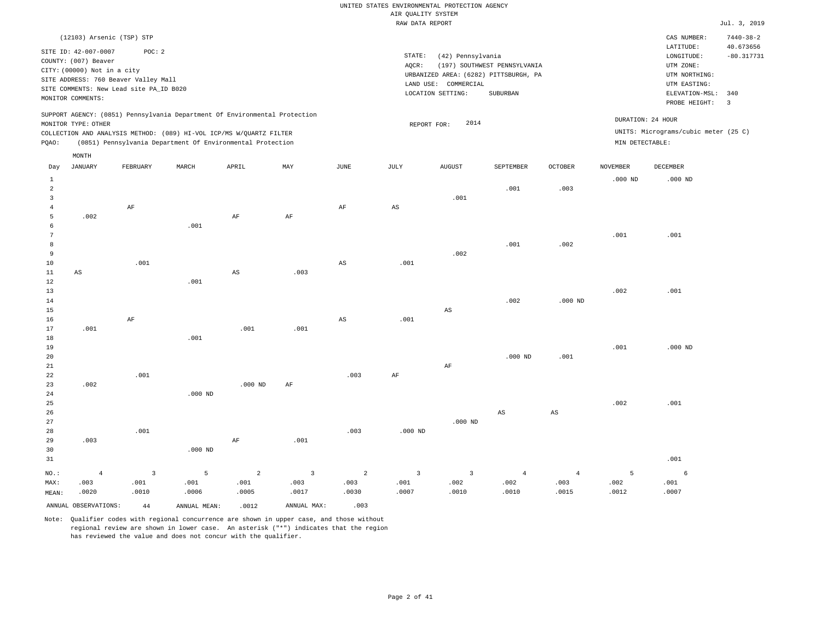|                                | (12103) Arsenic (TSP) STP                                                                                           |                |                                                                                                                                   |                        |                |                |                 |                                           |                                                                       |                |                   | CAS NUMBER:<br>LATITUDE:                                 | $7440 - 38 - 2$<br>40.673656 |
|--------------------------------|---------------------------------------------------------------------------------------------------------------------|----------------|-----------------------------------------------------------------------------------------------------------------------------------|------------------------|----------------|----------------|-----------------|-------------------------------------------|-----------------------------------------------------------------------|----------------|-------------------|----------------------------------------------------------|------------------------------|
|                                | SITE ID: 42-007-0007<br>COUNTY: (007) Beaver<br>CITY: (00000) Not in a city<br>SITE ADDRESS: 760 Beaver Valley Mall | POC: 2         |                                                                                                                                   |                        |                |                | STATE:<br>AQCR: | (42) Pennsylvania<br>LAND USE: COMMERCIAL | (197) SOUTHWEST PENNSYLVANIA<br>URBANIZED AREA: (6282) PITTSBURGH, PA |                |                   | LONGITUDE:<br>UTM ZONE:<br>UTM NORTHING:<br>UTM EASTING: | $-80.317731$                 |
|                                | SITE COMMENTS: New Lead site PA_ID B020<br>MONITOR COMMENTS:                                                        |                |                                                                                                                                   |                        |                |                |                 | LOCATION SETTING:                         | SUBURBAN                                                              |                |                   | ELEVATION-MSL:<br>PROBE HEIGHT:                          | 340<br>$\overline{3}$        |
|                                | MONITOR TYPE: OTHER                                                                                                 |                | SUPPORT AGENCY: (0851) Pennsylvania Department Of Environmental Protection                                                        |                        |                |                | REPORT FOR:     | 2014                                      |                                                                       |                | DURATION: 24 HOUR |                                                          |                              |
| PQAO:                          |                                                                                                                     |                | COLLECTION AND ANALYSIS METHOD: (089) HI-VOL ICP/MS W/QUARTZ FILTER<br>(0851) Pennsylvania Department Of Environmental Protection |                        |                |                |                 |                                           |                                                                       |                | MIN DETECTABLE:   | UNITS: Micrograms/cubic meter (25 C)                     |                              |
|                                | MONTH                                                                                                               |                |                                                                                                                                   |                        |                |                |                 |                                           |                                                                       |                |                   |                                                          |                              |
| Day                            | JANUARY                                                                                                             | FEBRUARY       | MARCH                                                                                                                             | APRIL                  | MAY            | JUNE           | JULY            | <b>AUGUST</b>                             | SEPTEMBER                                                             | <b>OCTOBER</b> | <b>NOVEMBER</b>   | DECEMBER                                                 |                              |
| $\mathbf{1}$<br>$\overline{a}$ |                                                                                                                     |                |                                                                                                                                   |                        |                |                |                 |                                           | .001                                                                  |                | $.000$ ND         | $.000$ ND                                                |                              |
| $\overline{3}$                 |                                                                                                                     |                |                                                                                                                                   |                        |                |                |                 | .001                                      |                                                                       | .003           |                   |                                                          |                              |
| $\overline{4}$                 |                                                                                                                     | AF             |                                                                                                                                   |                        |                | AF             | AS              |                                           |                                                                       |                |                   |                                                          |                              |
| 5<br>6                         | .002                                                                                                                |                | .001                                                                                                                              | $\rm AF$               | AF             |                |                 |                                           |                                                                       |                |                   |                                                          |                              |
| $7\phantom{.0}$                |                                                                                                                     |                |                                                                                                                                   |                        |                |                |                 |                                           |                                                                       |                | .001              | .001                                                     |                              |
| 8<br>9                         |                                                                                                                     |                |                                                                                                                                   |                        |                |                |                 | .002                                      | .001                                                                  | .002           |                   |                                                          |                              |
| $10$                           |                                                                                                                     | .001           |                                                                                                                                   |                        |                | $_{\rm AS}$    | .001            |                                           |                                                                       |                |                   |                                                          |                              |
| $11\,$                         | $\mathbb{A}\mathbb{S}$                                                                                              |                |                                                                                                                                   | $\mathbb{A}\mathbb{S}$ | .003           |                |                 |                                           |                                                                       |                |                   |                                                          |                              |
| 12<br>13                       |                                                                                                                     |                | .001                                                                                                                              |                        |                |                |                 |                                           |                                                                       |                | .002              | .001                                                     |                              |
| 14                             |                                                                                                                     |                |                                                                                                                                   |                        |                |                |                 |                                           | .002                                                                  | $.000$ ND      |                   |                                                          |                              |
| 15<br>16                       |                                                                                                                     | $\rm{AF}$      |                                                                                                                                   |                        |                | $_{\rm AS}$    | .001            | AS                                        |                                                                       |                |                   |                                                          |                              |
| 17                             | .001                                                                                                                |                |                                                                                                                                   | .001                   | .001           |                |                 |                                           |                                                                       |                |                   |                                                          |                              |
| 18                             |                                                                                                                     |                | .001                                                                                                                              |                        |                |                |                 |                                           |                                                                       |                |                   |                                                          |                              |
| 19<br>20                       |                                                                                                                     |                |                                                                                                                                   |                        |                |                |                 |                                           | $.000$ ND                                                             | .001           | .001              | $.000$ ND                                                |                              |
| 21                             |                                                                                                                     |                |                                                                                                                                   |                        |                |                |                 | $\rm AF$                                  |                                                                       |                |                   |                                                          |                              |
| 22<br>23                       |                                                                                                                     | .001           |                                                                                                                                   |                        |                | .003           | $\rm{AF}$       |                                           |                                                                       |                |                   |                                                          |                              |
| 24                             | .002                                                                                                                |                | $.000$ ND                                                                                                                         | $.000$ ND              | AF             |                |                 |                                           |                                                                       |                |                   |                                                          |                              |
| 25                             |                                                                                                                     |                |                                                                                                                                   |                        |                |                |                 |                                           |                                                                       |                | .002              | .001                                                     |                              |
| 26<br>27                       |                                                                                                                     |                |                                                                                                                                   |                        |                |                |                 | $.000$ ND                                 | $_{\rm AS}$                                                           | $_{\rm AS}$    |                   |                                                          |                              |
| 28                             |                                                                                                                     | .001           |                                                                                                                                   |                        |                | .003           | $.000$ ND       |                                           |                                                                       |                |                   |                                                          |                              |
| 29                             | .003                                                                                                                |                |                                                                                                                                   | AF                     | .001           |                |                 |                                           |                                                                       |                |                   |                                                          |                              |
| 30<br>31                       |                                                                                                                     |                | $.000$ ND                                                                                                                         |                        |                |                |                 |                                           |                                                                       |                |                   | .001                                                     |                              |
| NO.:                           | $\overline{4}$                                                                                                      | $\overline{3}$ | 5                                                                                                                                 | $\overline{a}$         | $\overline{3}$ | $\overline{2}$ | $\overline{3}$  | $\overline{3}$                            | $\overline{4}$                                                        | $\overline{4}$ | 5                 |                                                          |                              |
| MAX:                           | .003                                                                                                                | .001           | .001                                                                                                                              | .001                   | .003           | .003           | .001            | .002                                      | .002                                                                  | .003           | .002              | 6<br>.001                                                |                              |
| MEAN:                          | .0020                                                                                                               | .0010          | .0006                                                                                                                             | .0005                  | .0017          | .0030          | .0007           | .0010                                     | .0010                                                                 | .0015          | .0012             | .0007                                                    |                              |
|                                | ANNUAL OBSERVATIONS:                                                                                                | 44             | ANNUAL MEAN:                                                                                                                      | .0012                  | ANNUAL MAX:    | .003           |                 |                                           |                                                                       |                |                   |                                                          |                              |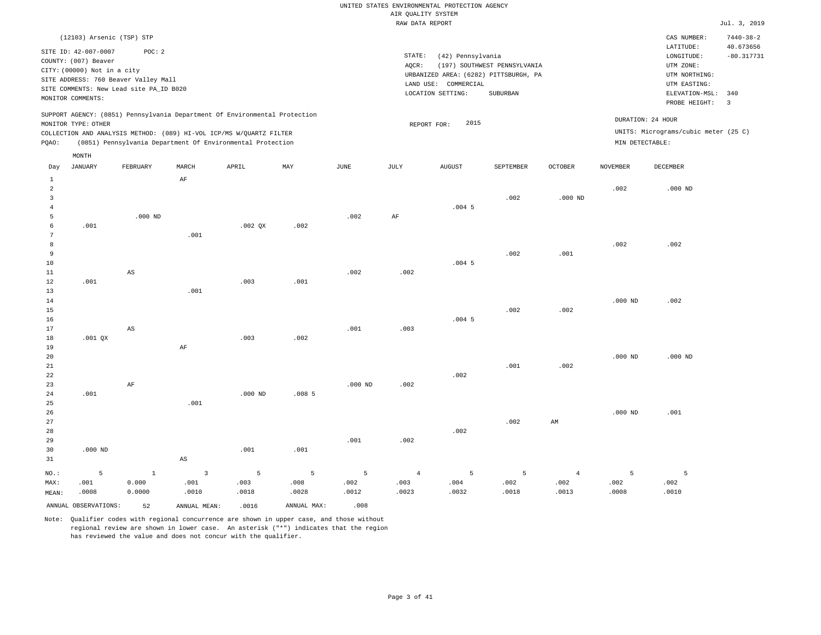| (12103) Arsenic (TSP) STP                                                                                                                                                                                                                       |             |       |     |      |                 |                                                                                                         |                                          |                |                 | CAS NUMBER:                                                                                              | $7440 - 38 - 2$                        |
|-------------------------------------------------------------------------------------------------------------------------------------------------------------------------------------------------------------------------------------------------|-------------|-------|-----|------|-----------------|---------------------------------------------------------------------------------------------------------|------------------------------------------|----------------|-----------------|----------------------------------------------------------------------------------------------------------|----------------------------------------|
| SITE ID: 42-007-0007<br>COUNTY: (007) Beaver<br>CITY: (00000) Not in a city<br>SITE ADDRESS: 760 Beaver Valley Mall<br>SITE COMMENTS: New Lead site PA ID B020<br>MONITOR COMMENTS:                                                             | POC: 2      |       |     |      | STATE:<br>AQCR: | (42) Pennsylvania<br>URBANIZED AREA: (6282) PITTSBURGH, PA<br>LAND USE: COMMERCIAL<br>LOCATION SETTING: | (197) SOUTHWEST PENNSYLVANIA<br>SUBURBAN |                |                 | LATITUDE:<br>LONGITUDE:<br>UTM ZONE:<br>UTM NORTHING:<br>UTM EASTING:<br>ELEVATION-MSL:<br>PROBE HEIGHT: | 40.673656<br>$-80.317731$<br>340<br>-3 |
| SUPPORT AGENCY: (0851) Pennsylvania Department Of Environmental Protection<br>MONITOR TYPE: OTHER<br>COLLECTION AND ANALYSIS METHOD: (089) HI-VOL ICP/MS W/OUARTZ FILTER<br>(0851) Pennsylvania Department Of Environmental Protection<br>POAO: |             |       |     |      |                 | 2015<br>REPORT FOR:                                                                                     |                                          |                | MIN DETECTABLE: | DURATION: 24 HOUR<br>UNITS: Micrograms/cubic meter (25 C)                                                |                                        |
| MONTH<br>JANUARY<br>FEBRUARY<br>Day                                                                                                                                                                                                             | MARCH<br>ΑF | APRIL | MAY | JUNE | JULY            | <b>AUGUST</b>                                                                                           | SEPTEMBER                                | <b>OCTOBER</b> | NOVEMBER        | DECEMBER                                                                                                 |                                        |

| ÷.             |           |                        | AF        |           |                   |           |           |          |      |                        |           |           |
|----------------|-----------|------------------------|-----------|-----------|-------------------|-----------|-----------|----------|------|------------------------|-----------|-----------|
| $\overline{a}$ |           |                        |           |           |                   |           |           |          |      |                        | .002      | $.000$ ND |
| 3              |           |                        |           |           |                   |           |           |          | .002 | $.000$ ND              |           |           |
| $\overline{4}$ |           |                        |           |           |                   |           |           | $.004$ 5 |      |                        |           |           |
| 5              |           | $.000$ ND              |           |           |                   | .002      | $\rm{AF}$ |          |      |                        |           |           |
| 6              | .001      |                        |           | $.002$ QX | .002              |           |           |          |      |                        |           |           |
| 7              |           |                        | .001      |           |                   |           |           |          |      |                        |           |           |
| 8              |           |                        |           |           |                   |           |           |          |      |                        | .002      | .002      |
| 9              |           |                        |           |           |                   |           |           |          | .002 | .001                   |           |           |
| 10             |           |                        |           |           |                   |           |           | $.004$ 5 |      |                        |           |           |
| 11             |           | $\mathbb{A}\mathbb{S}$ |           |           |                   | .002      | .002      |          |      |                        |           |           |
| 12             | .001      |                        |           | .003      | .001              |           |           |          |      |                        |           |           |
| 13             |           |                        | .001      |           |                   |           |           |          |      |                        |           |           |
| 14<br>15       |           |                        |           |           |                   |           |           |          | .002 | .002                   | $.000$ ND | .002      |
| 16             |           |                        |           |           |                   |           |           | $.004$ 5 |      |                        |           |           |
| 17             |           | $\mathbb{A}\mathbb{S}$ |           |           |                   | .001      | .003      |          |      |                        |           |           |
| 18             | .001 $QX$ |                        |           | .003      | .002              |           |           |          |      |                        |           |           |
| 19             |           |                        | $\rm{AF}$ |           |                   |           |           |          |      |                        |           |           |
| 20             |           |                        |           |           |                   |           |           |          |      |                        | $.000$ ND | $.000$ ND |
| 21             |           |                        |           |           |                   |           |           |          | .001 | .002                   |           |           |
| 22             |           |                        |           |           |                   |           |           | .002     |      |                        |           |           |
| 23             |           | $\rm{AF}$              |           |           |                   | $.000$ ND | .002      |          |      |                        |           |           |
| 24             | .001      |                        |           | $.000$ ND | .008 <sub>5</sub> |           |           |          |      |                        |           |           |
| 25             |           |                        | .001      |           |                   |           |           |          |      |                        |           |           |
| 26             |           |                        |           |           |                   |           |           |          |      |                        | $.000$ ND | .001      |
| 27             |           |                        |           |           |                   |           |           |          | .002 | $\mathbb{A}\mathbb{M}$ |           |           |
| $_{\rm 28}$    |           |                        |           |           |                   |           |           | .002     |      |                        |           |           |
| 29             |           |                        |           |           |                   | .001      | .002      |          |      |                        |           |           |

31 NO.: MAX: MEAN: 5 .001 .0008 AS 1 0.000 0.0000 3 .001 .0010 5 .003 .0018 5 .008 .0028 5 .002 .0012 4 .003 .0023 5 .004 .0032 5 .002 .0018 4 .002 .0013 5 .002 .0008 5 .002 .0010 ANNUAL OBSERVATIONS: 52 ANNUAL MEAN: .0016 ANNUAL MAX: .008

Note: Qualifier codes with regional concurrence are shown in upper case, and those without regional review are shown in lower case. An asterisk ("\*") indicates that the region has reviewed the value and does not concur with the qualifier.

.001

.001

30

.000 ND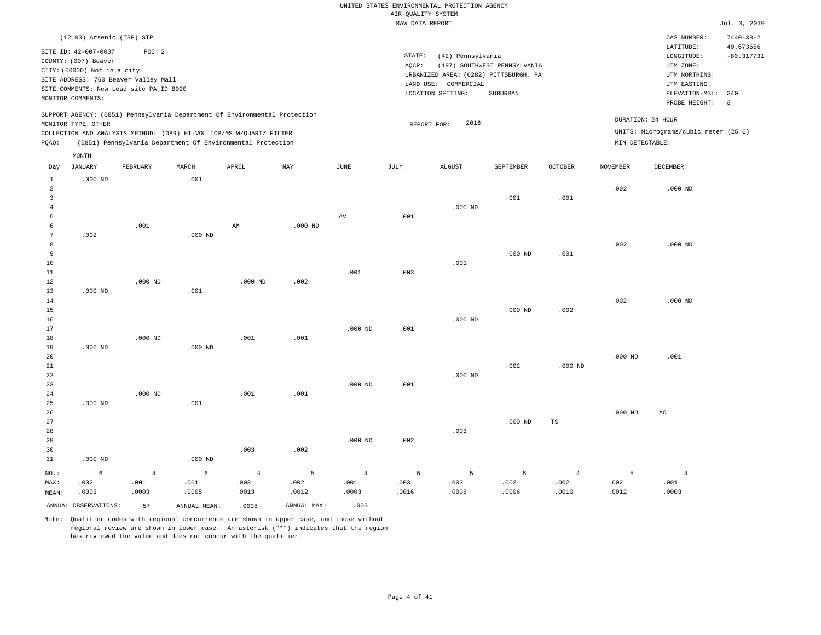# UNITED STATES ENVIRONMENTAL PROTECTION AGENCY AIR QUALITY SYSTEM

|                |                                              |                                         |           |                                                                            |           |                     | RAW DATA REPORT |                                           |                              |                |                 |                                      | Jul. 3, 2019                 |
|----------------|----------------------------------------------|-----------------------------------------|-----------|----------------------------------------------------------------------------|-----------|---------------------|-----------------|-------------------------------------------|------------------------------|----------------|-----------------|--------------------------------------|------------------------------|
|                | (12103) Arsenic (TSP) STP                    |                                         |           |                                                                            |           |                     |                 |                                           |                              |                |                 | CAS NUMBER:<br>LATITUDE:             | $7440 - 38 - 2$<br>40.673656 |
|                | SITE ID: 42-007-0007<br>COUNTY: (007) Beaver | POC: 2                                  |           |                                                                            |           |                     | STATE:          | (42) Pennsylvania                         |                              |                |                 | LONGITUDE:                           | $-80.317731$                 |
|                | CITY: (00000) Not in a city                  |                                         |           |                                                                            |           |                     | AQCR:           |                                           | (197) SOUTHWEST PENNSYLVANIA |                |                 | UTM ZONE:                            |                              |
|                |                                              | SITE ADDRESS: 760 Beaver Valley Mall    |           |                                                                            |           |                     |                 | URBANIZED AREA: (6282) PITTSBURGH, PA     |                              |                |                 | UTM NORTHING:                        |                              |
|                |                                              | SITE COMMENTS: New Lead site PA_ID B020 |           |                                                                            |           |                     |                 | LAND USE: COMMERCIAL<br>LOCATION SETTING: | SUBURBAN                     |                |                 | UTM EASTING:<br>ELEVATION-MSL:       | 340                          |
|                | MONITOR COMMENTS:                            |                                         |           |                                                                            |           |                     |                 |                                           |                              |                |                 | PROBE HEIGHT:                        | $\overline{\mathbf{3}}$      |
|                |                                              |                                         |           | SUPPORT AGENCY: (0851) Pennsylvania Department Of Environmental Protection |           |                     |                 |                                           |                              |                |                 | DURATION: 24 HOUR                    |                              |
|                | MONITOR TYPE: OTHER                          |                                         |           |                                                                            |           |                     | REPORT FOR:     | 2016                                      |                              |                |                 |                                      |                              |
|                |                                              |                                         |           | COLLECTION AND ANALYSIS METHOD: (089) HI-VOL ICP/MS W/QUARTZ FILTER        |           |                     |                 |                                           |                              |                |                 | UNITS: Micrograms/cubic meter (25 C) |                              |
| PQAO:          |                                              |                                         |           | (0851) Pennsylvania Department Of Environmental Protection                 |           |                     |                 |                                           |                              |                |                 | MIN DETECTABLE:                      |                              |
| Day            | MONTH<br><b>JANUARY</b>                      | FEBRUARY                                | MARCH     | APRIL                                                                      | MAY       | $_{\rm JUNE}$       | JULY            | <b>AUGUST</b>                             | SEPTEMBER                    | <b>OCTOBER</b> | <b>NOVEMBER</b> | <b>DECEMBER</b>                      |                              |
| $\mathbf{1}$   | $.000$ ND                                    |                                         | .001      |                                                                            |           |                     |                 |                                           |                              |                |                 |                                      |                              |
| $\overline{a}$ |                                              |                                         |           |                                                                            |           |                     |                 |                                           |                              |                | .002            | $.000$ ND                            |                              |
| $\overline{3}$ |                                              |                                         |           |                                                                            |           |                     |                 |                                           | .001                         | .001           |                 |                                      |                              |
| 4              |                                              |                                         |           |                                                                            |           |                     |                 | $.000$ ND                                 |                              |                |                 |                                      |                              |
| 5              |                                              |                                         |           |                                                                            |           | $\operatorname{AV}$ | .001            |                                           |                              |                |                 |                                      |                              |
| 6              |                                              | .001                                    |           | AM                                                                         | $.000$ ND |                     |                 |                                           |                              |                |                 |                                      |                              |
| 7              | .002                                         |                                         | $.000$ ND |                                                                            |           |                     |                 |                                           |                              |                |                 |                                      |                              |
| 8              |                                              |                                         |           |                                                                            |           |                     |                 |                                           |                              |                | .002            | $.000$ ND                            |                              |
| 9<br>10        |                                              |                                         |           |                                                                            |           |                     |                 |                                           | $.000$ ND                    | .001           |                 |                                      |                              |
| 11             |                                              |                                         |           |                                                                            |           | .001                | .003            | .001                                      |                              |                |                 |                                      |                              |
| 12             |                                              | $.000$ ND                               |           | $.000$ ND                                                                  | .002      |                     |                 |                                           |                              |                |                 |                                      |                              |
| 13             | $.000$ ND                                    |                                         | .001      |                                                                            |           |                     |                 |                                           |                              |                |                 |                                      |                              |
| 14             |                                              |                                         |           |                                                                            |           |                     |                 |                                           |                              |                | .002            | $.000$ ND                            |                              |
| 15             |                                              |                                         |           |                                                                            |           |                     |                 |                                           | $.000$ ND                    | .002           |                 |                                      |                              |
| 16             |                                              |                                         |           |                                                                            |           |                     |                 | $.000$ ND                                 |                              |                |                 |                                      |                              |
| 17             |                                              |                                         |           |                                                                            |           | $.000$ ND           | .001            |                                           |                              |                |                 |                                      |                              |
| 18             |                                              | $.000$ ND                               |           | .001                                                                       | .001      |                     |                 |                                           |                              |                |                 |                                      |                              |
| 19<br>20       | $.000$ ND                                    |                                         | $.000$ ND |                                                                            |           |                     |                 |                                           |                              |                | $.000$ ND       | .001                                 |                              |
| 21             |                                              |                                         |           |                                                                            |           |                     |                 |                                           | .002                         | $.000$ ND      |                 |                                      |                              |
| 22             |                                              |                                         |           |                                                                            |           |                     |                 | $.000$ ND                                 |                              |                |                 |                                      |                              |
| 23             |                                              |                                         |           |                                                                            |           | $.000$ ND           | .001            |                                           |                              |                |                 |                                      |                              |
| 24             |                                              | $.000$ ND                               |           | .001                                                                       | .001      |                     |                 |                                           |                              |                |                 |                                      |                              |
| 25             | $.000$ ND                                    |                                         | .001      |                                                                            |           |                     |                 |                                           |                              |                |                 |                                      |                              |
| 26             |                                              |                                         |           |                                                                            |           |                     |                 |                                           |                              |                | $.000$ ND       | AO                                   |                              |
| 27             |                                              |                                         |           |                                                                            |           |                     |                 |                                           | $.000$ ND                    | $_{\rm TS}$    |                 |                                      |                              |
| 28<br>29       |                                              |                                         |           |                                                                            |           | $.000$ ND           | .002            | .003                                      |                              |                |                 |                                      |                              |
| 30             |                                              |                                         |           | .003                                                                       | .002      |                     |                 |                                           |                              |                |                 |                                      |                              |
| 31             | $.000$ ND                                    |                                         | $.000$ ND |                                                                            |           |                     |                 |                                           |                              |                |                 |                                      |                              |
| NO.:           | 6                                            | $\overline{4}$                          | 6         | $\overline{4}$                                                             | 5         | $\overline{4}$      | 5               | 5                                         | 5                            | $\overline{4}$ | 5               | $\overline{4}$                       |                              |
| MAX:           | .002                                         | .001                                    | .001      | .003                                                                       | .002      | .001                | .003            | .003                                      | .002                         | .002           | .002            | .001                                 |                              |
| MEAN:          | .0003                                        | .0003                                   | .0005     | .0013                                                                      | .0012     | .0003               | .0016           | .0008                                     | .0006                        | .0010          | .0012           | .0003                                |                              |

Note: Qualifier codes with regional concurrence are shown in upper case, and those without regional review are shown in lower case. An asterisk ("\*") indicates that the region has reviewed the value and does not concur with the qualifier.

ANNUAL OBSERVATIONS: 57 ANNUAL MEAN: .0008 ANNUAL MAX: .003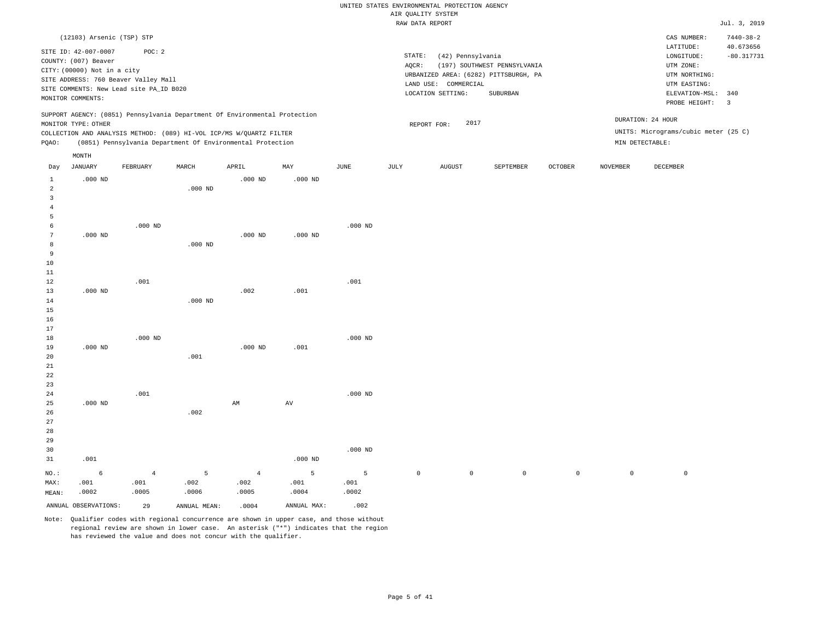|                |                             |                                         |               |                                                                            |             |             |                 | UNITED STATES ENVIRONMENTAL PROTECTION AGENCY |                                       |                |                     |                                      |                           |
|----------------|-----------------------------|-----------------------------------------|---------------|----------------------------------------------------------------------------|-------------|-------------|-----------------|-----------------------------------------------|---------------------------------------|----------------|---------------------|--------------------------------------|---------------------------|
|                |                             |                                         |               |                                                                            |             |             |                 | AIR QUALITY SYSTEM                            |                                       |                |                     |                                      |                           |
|                |                             |                                         |               |                                                                            |             |             |                 | RAW DATA REPORT                               |                                       |                |                     |                                      | Jul. 3, 2019              |
|                | (12103) Arsenic (TSP) STP   |                                         |               |                                                                            |             |             |                 |                                               |                                       |                |                     | CAS NUMBER:                          | $7440 - 38 - 2$           |
|                | SITE ID: 42-007-0007        | POC: 2                                  |               |                                                                            |             |             | STATE:          | (42) Pennsylvania                             |                                       |                |                     | LATITUDE:<br>LONGITUDE:              | 40.673656<br>$-80.317731$ |
|                | COUNTY: (007) Beaver        |                                         |               |                                                                            |             |             | AOCR:           |                                               | (197) SOUTHWEST PENNSYLVANIA          |                |                     | UTM ZONE:                            |                           |
|                | CITY: (00000) Not in a city |                                         |               |                                                                            |             |             |                 |                                               | URBANIZED AREA: (6282) PITTSBURGH, PA |                |                     | UTM NORTHING:                        |                           |
|                |                             | SITE ADDRESS: 760 Beaver Valley Mall    |               |                                                                            |             |             |                 | LAND USE: COMMERCIAL                          |                                       |                |                     | UTM EASTING:                         |                           |
|                |                             | SITE COMMENTS: New Lead site PA_ID B020 |               |                                                                            |             |             |                 | LOCATION SETTING:                             | SUBURBAN                              |                |                     | ELEVATION-MSL:                       | 340                       |
|                | MONITOR COMMENTS:           |                                         |               |                                                                            |             |             |                 |                                               |                                       |                |                     | PROBE HEIGHT:                        | $\overline{\mathbf{3}}$   |
|                |                             |                                         |               | SUPPORT AGENCY: (0851) Pennsylvania Department Of Environmental Protection |             |             |                 |                                               |                                       |                |                     |                                      |                           |
|                | MONITOR TYPE: OTHER         |                                         |               |                                                                            |             |             |                 | 2017<br>REPORT FOR:                           |                                       |                |                     | DURATION: 24 HOUR                    |                           |
|                |                             |                                         |               | COLLECTION AND ANALYSIS METHOD: (089) HI-VOL ICP/MS W/QUARTZ FILTER        |             |             |                 |                                               |                                       |                |                     | UNITS: Micrograms/cubic meter (25 C) |                           |
| PQAO:          |                             |                                         |               | (0851) Pennsylvania Department Of Environmental Protection                 |             |             |                 |                                               |                                       |                | MIN DETECTABLE:     |                                      |                           |
|                | MONTH                       |                                         |               |                                                                            |             |             |                 |                                               |                                       |                |                     |                                      |                           |
| Day            | <b>JANUARY</b>              | FEBRUARY                                | MARCH         | APRIL                                                                      | MAY         | <b>JUNE</b> | $\mathtt{JULY}$ | <b>AUGUST</b>                                 | SEPTEMBER                             | <b>OCTOBER</b> | <b>NOVEMBER</b>     | DECEMBER                             |                           |
| $\mathbf{1}$   | $.000$ ND                   |                                         |               | $.000$ ND                                                                  | $.000$ ND   |             |                 |                                               |                                       |                |                     |                                      |                           |
| $\overline{a}$ |                             |                                         | $.000$ ND     |                                                                            |             |             |                 |                                               |                                       |                |                     |                                      |                           |
| 3              |                             |                                         |               |                                                                            |             |             |                 |                                               |                                       |                |                     |                                      |                           |
| $\overline{4}$ |                             |                                         |               |                                                                            |             |             |                 |                                               |                                       |                |                     |                                      |                           |
| 5<br>6         |                             | $.000$ ND                               |               |                                                                            |             | $.000$ ND   |                 |                                               |                                       |                |                     |                                      |                           |
| 7              | $.000$ ND                   |                                         |               | $.000$ ND                                                                  | $.000$ ND   |             |                 |                                               |                                       |                |                     |                                      |                           |
| 8              |                             |                                         | $.000$ ND     |                                                                            |             |             |                 |                                               |                                       |                |                     |                                      |                           |
| 9              |                             |                                         |               |                                                                            |             |             |                 |                                               |                                       |                |                     |                                      |                           |
| $10$           |                             |                                         |               |                                                                            |             |             |                 |                                               |                                       |                |                     |                                      |                           |
| $11\,$         |                             |                                         |               |                                                                            |             |             |                 |                                               |                                       |                |                     |                                      |                           |
| 12             |                             | .001                                    |               |                                                                            |             | .001        |                 |                                               |                                       |                |                     |                                      |                           |
| 13             | $.000$ ND                   |                                         |               | .002                                                                       | .001        |             |                 |                                               |                                       |                |                     |                                      |                           |
| 14             |                             |                                         | $.000$ ND     |                                                                            |             |             |                 |                                               |                                       |                |                     |                                      |                           |
| 15<br>16       |                             |                                         |               |                                                                            |             |             |                 |                                               |                                       |                |                     |                                      |                           |
| 17             |                             |                                         |               |                                                                            |             |             |                 |                                               |                                       |                |                     |                                      |                           |
| 18             |                             | $.000$ ND                               |               |                                                                            |             | $.000$ ND   |                 |                                               |                                       |                |                     |                                      |                           |
| 19             | $.000$ ND                   |                                         |               | $.000$ ND                                                                  | .001        |             |                 |                                               |                                       |                |                     |                                      |                           |
| 20             |                             |                                         | .001          |                                                                            |             |             |                 |                                               |                                       |                |                     |                                      |                           |
| $2\sqrt{1}$    |                             |                                         |               |                                                                            |             |             |                 |                                               |                                       |                |                     |                                      |                           |
| ${\bf 22}$     |                             |                                         |               |                                                                            |             |             |                 |                                               |                                       |                |                     |                                      |                           |
| 23             |                             |                                         |               |                                                                            |             |             |                 |                                               |                                       |                |                     |                                      |                           |
| 24             |                             | .001                                    |               |                                                                            |             | $.000$ ND   |                 |                                               |                                       |                |                     |                                      |                           |
| 25<br>26       | $.000$ ND                   |                                         | .002          | AM                                                                         | $\hbox{AV}$ |             |                 |                                               |                                       |                |                     |                                      |                           |
| 27             |                             |                                         |               |                                                                            |             |             |                 |                                               |                                       |                |                     |                                      |                           |
| $2\,8$         |                             |                                         |               |                                                                            |             |             |                 |                                               |                                       |                |                     |                                      |                           |
| 29             |                             |                                         |               |                                                                            |             |             |                 |                                               |                                       |                |                     |                                      |                           |
| 30             |                             |                                         |               |                                                                            |             | $.000$ ND   |                 |                                               |                                       |                |                     |                                      |                           |
| 31             | .001                        |                                         |               |                                                                            | $.000$ ND   |             |                 |                                               |                                       |                |                     |                                      |                           |
| NO.:           | 6                           | $\overline{4}$                          | 5             | $\sqrt{4}$                                                                 | 5           | 5           | $\mathbb O$     | $\mathsf{O}\xspace$                           | $\mathsf 0$                           | $\mathsf{O}$   | $\mathsf{O}\xspace$ | $\mathbb O$                          |                           |
| MAX:           | .001                        | .001                                    | .002          | .002                                                                       | .001        | .001        |                 |                                               |                                       |                |                     |                                      |                           |
| MEAN:          | .0002                       | .0005                                   | .0006         | .0005                                                                      | .0004       | .0002       |                 |                                               |                                       |                |                     |                                      |                           |
|                | ANNUAL OBSERVATIONS:        | 29                                      | ANNUAL, MEAN: | .0004                                                                      | ANNUAL MAX: | .002        |                 |                                               |                                       |                |                     |                                      |                           |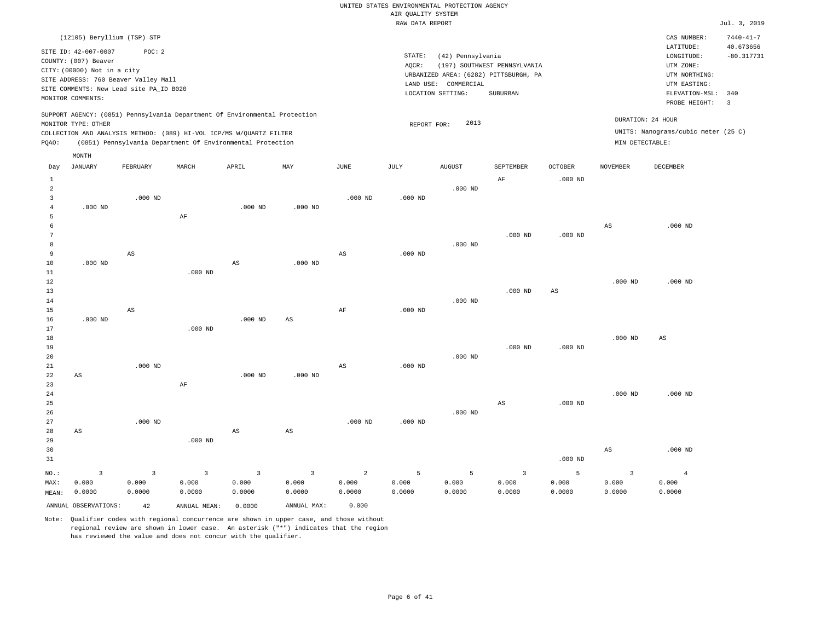|  |  |                    | UNITED STATES ENVIRONMENTAL PROTECTION AGENCY |  |
|--|--|--------------------|-----------------------------------------------|--|
|  |  | AIR OUALITY SYSTEM |                                               |  |
|  |  | nati nama nunong   |                                               |  |

|                |                                         |                         |                |                                                                            |              |                | RAW DATA REPORT |                    |                                       |                |                 |                                     | Jul. 3, 2019    |
|----------------|-----------------------------------------|-------------------------|----------------|----------------------------------------------------------------------------|--------------|----------------|-----------------|--------------------|---------------------------------------|----------------|-----------------|-------------------------------------|-----------------|
|                | (12105) Beryllium (TSP) STP             |                         |                |                                                                            |              |                |                 |                    |                                       |                |                 | CAS NUMBER:                         | $7440 - 41 - 7$ |
|                |                                         |                         |                |                                                                            |              |                |                 |                    |                                       |                |                 | LATITUDE:                           | 40.673656       |
|                | SITE ID: 42-007-0007                    | POC: 2                  |                |                                                                            |              |                | STATE:          | (42) Pennsylvania  |                                       |                |                 | LONGITUDE:                          | $-80.317731$    |
|                | COUNTY: (007) Beaver                    |                         |                |                                                                            |              |                | AQCR:           |                    | (197) SOUTHWEST PENNSYLVANIA          |                |                 | UTM ZONE:                           |                 |
|                | CITY: (00000) Not in a city             |                         |                |                                                                            |              |                |                 |                    | URBANIZED AREA: (6282) PITTSBURGH, PA |                |                 | UTM NORTHING:                       |                 |
|                | SITE ADDRESS: 760 Beaver Valley Mall    |                         |                |                                                                            |              |                | LAND USE:       | COMMERCIAL         |                                       |                |                 | UTM EASTING:                        |                 |
|                | SITE COMMENTS: New Lead site PA_ID B020 |                         |                |                                                                            |              |                |                 | LOCATION SETTING:  | SUBURBAN                              |                |                 | ELEVATION-MSL:                      | 340             |
|                | MONITOR COMMENTS:                       |                         |                |                                                                            |              |                |                 |                    |                                       |                |                 | PROBE HEIGHT:                       | $\overline{3}$  |
|                |                                         |                         |                | SUPPORT AGENCY: (0851) Pennsylvania Department Of Environmental Protection |              |                |                 |                    |                                       |                |                 |                                     |                 |
|                | MONITOR TYPE: OTHER                     |                         |                |                                                                            |              |                | REPORT FOR:     | 2013               |                                       |                |                 | DURATION: 24 HOUR                   |                 |
|                |                                         |                         |                | COLLECTION AND ANALYSIS METHOD: (089) HI-VOL ICP/MS W/QUARTZ FILTER        |              |                |                 |                    |                                       |                |                 | UNITS: Nanograms/cubic meter (25 C) |                 |
| PQAO:          |                                         |                         |                | (0851) Pennsylvania Department Of Environmental Protection                 |              |                |                 |                    |                                       |                | MIN DETECTABLE: |                                     |                 |
|                | MONTH                                   |                         |                |                                                                            |              |                |                 |                    |                                       |                |                 |                                     |                 |
| Day            | <b>JANUARY</b>                          | FEBRUARY                | MARCH          | APRIL                                                                      | MAY          | JUNE           | JULY            | <b>AUGUST</b>      | SEPTEMBER                             | <b>OCTOBER</b> | <b>NOVEMBER</b> | DECEMBER                            |                 |
| 1              |                                         |                         |                |                                                                            |              |                |                 |                    | AF                                    | $.000$ ND      |                 |                                     |                 |
| $\overline{a}$ |                                         |                         |                |                                                                            |              |                |                 | $.000$ ND          |                                       |                |                 |                                     |                 |
| $\overline{3}$ |                                         | $.000$ ND               |                |                                                                            |              | $.000$ ND      | $.000$ ND       |                    |                                       |                |                 |                                     |                 |
| $\overline{4}$ | $.000$ ND                               |                         |                | $.000$ ND                                                                  | $.000$ ND    |                |                 |                    |                                       |                |                 |                                     |                 |
| 5              |                                         |                         | $\rm AF$       |                                                                            |              |                |                 |                    |                                       |                |                 |                                     |                 |
| 6              |                                         |                         |                |                                                                            |              |                |                 |                    |                                       |                | AS              | $.000$ ND                           |                 |
| 7              |                                         |                         |                |                                                                            |              |                |                 |                    | $.000$ ND                             | $.000$ ND      |                 |                                     |                 |
| 8              |                                         |                         |                |                                                                            |              |                |                 | $.000$ ND          |                                       |                |                 |                                     |                 |
| 9              |                                         | $\mathbb{A}\mathbb{S}$  |                |                                                                            |              | AS             | $.000$ ND       |                    |                                       |                |                 |                                     |                 |
| 10             | $.000$ ND                               |                         |                | AS                                                                         | $.000$ ND    |                |                 |                    |                                       |                |                 |                                     |                 |
| 11             |                                         |                         | $.000$ ND      |                                                                            |              |                |                 |                    |                                       |                |                 |                                     |                 |
| 12             |                                         |                         |                |                                                                            |              |                |                 |                    |                                       |                | $.000$ ND       | $.000$ ND                           |                 |
| 13             |                                         |                         |                |                                                                            |              |                |                 |                    | $.000$ ND                             | $_{\rm AS}$    |                 |                                     |                 |
| 14             |                                         |                         |                |                                                                            |              |                |                 | .000 <sub>ND</sub> |                                       |                |                 |                                     |                 |
| 15             |                                         | $\mathbb{A}\mathbb{S}$  |                |                                                                            |              | AF             | $.000$ ND       |                    |                                       |                |                 |                                     |                 |
| 16             | $.000$ ND                               |                         |                | $.000$ ND                                                                  | $_{\rm AS}$  |                |                 |                    |                                       |                |                 |                                     |                 |
| 17             |                                         |                         | $.000$ ND      |                                                                            |              |                |                 |                    |                                       |                |                 |                                     |                 |
| 18             |                                         |                         |                |                                                                            |              |                |                 |                    |                                       |                | $.000$ ND       | $\mathbb{A}\mathbb{S}$              |                 |
| 19             |                                         |                         |                |                                                                            |              |                |                 |                    | $.000$ ND                             | $.000$ ND      |                 |                                     |                 |
| 20             |                                         |                         |                |                                                                            |              |                |                 | $.000$ ND          |                                       |                |                 |                                     |                 |
| 21             |                                         | $.000$ ND               |                | $.000$ ND                                                                  |              | $_{\rm AS}$    | $.000$ ND       |                    |                                       |                |                 |                                     |                 |
| 22             | AS                                      |                         |                |                                                                            | $.000$ ND    |                |                 |                    |                                       |                |                 |                                     |                 |
| 23             |                                         |                         | $\rm AF$       |                                                                            |              |                |                 |                    |                                       |                | $.000$ ND       |                                     |                 |
| 24<br>25       |                                         |                         |                |                                                                            |              |                |                 |                    | AS                                    | $.000$ ND      |                 | $.000$ ND                           |                 |
| 26             |                                         |                         |                |                                                                            |              |                |                 | $.000$ ND          |                                       |                |                 |                                     |                 |
| 27             |                                         | $.000$ ND               |                |                                                                            |              | $.000$ ND      | $.000$ ND       |                    |                                       |                |                 |                                     |                 |
| 28             | AS                                      |                         |                | AS                                                                         | $_{\rm AS}$  |                |                 |                    |                                       |                |                 |                                     |                 |
| 29             |                                         |                         | $.000$ ND      |                                                                            |              |                |                 |                    |                                       |                |                 |                                     |                 |
| 30             |                                         |                         |                |                                                                            |              |                |                 |                    |                                       |                | AS              | $.000$ ND                           |                 |
| 31             |                                         |                         |                |                                                                            |              |                |                 |                    |                                       | $.000$ ND      |                 |                                     |                 |
|                |                                         |                         |                |                                                                            |              |                |                 |                    |                                       |                |                 |                                     |                 |
| $NO.$ :        | $\overline{\mathbf{3}}$                 | $\overline{\mathbf{3}}$ | $\overline{3}$ | $\overline{\mathbf{3}}$                                                    | $\mathbf{3}$ | $\overline{a}$ | 5               | 5                  | $\overline{3}$                        | 5              | $\overline{3}$  | $\overline{4}$                      |                 |
| MAX:           | 0.000                                   | 0.000                   | 0.000          | 0.000                                                                      | 0.000        | 0.000          | 0.000           | 0.000              | 0.000                                 | 0.000          | 0.000           | 0.000                               |                 |
| MEAN:          | 0.0000                                  | 0.0000                  | 0.0000         | 0.0000                                                                     | 0.0000       | 0.0000         | 0.0000          | 0.0000             | 0.0000                                | 0.0000         | 0.0000          | 0.0000                              |                 |
|                | ANNUAL OBSERVATIONS:                    | 42                      | ANNUAL MEAN:   | 0.0000                                                                     | ANNUAL MAX:  | 0.000          |                 |                    |                                       |                |                 |                                     |                 |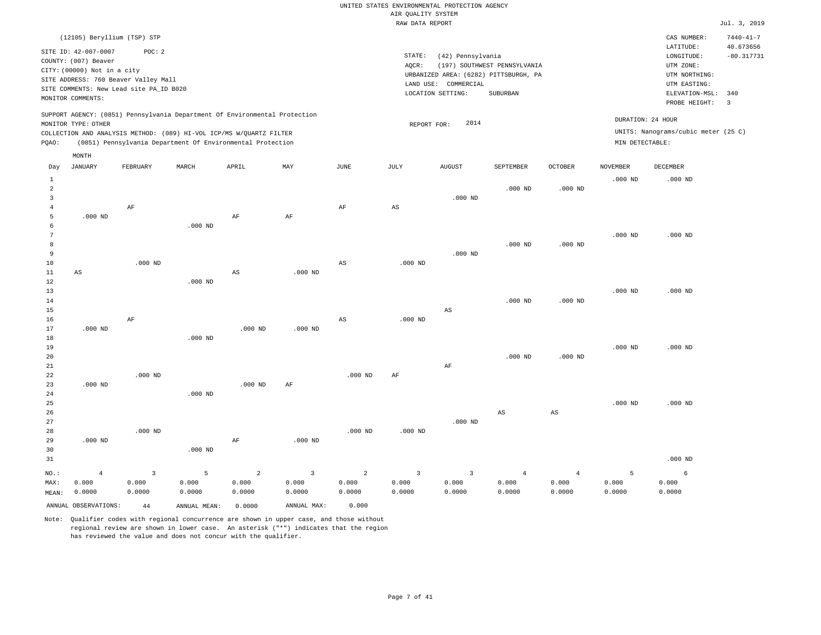|  |  |                    | UNITED STATES ENVIRONMENTAL PROTECTION AGENCY |  |
|--|--|--------------------|-----------------------------------------------|--|
|  |  | AIR OUALITY SYSTEM |                                               |  |
|  |  | תחמתתה גתגם שגם    |                                               |  |

|                |                                         |                         |              |                                                                            |                |                | RAW DATA REPORT         |                        |                                       |                |                 |                                     | Jul. 3, 2019    |
|----------------|-----------------------------------------|-------------------------|--------------|----------------------------------------------------------------------------|----------------|----------------|-------------------------|------------------------|---------------------------------------|----------------|-----------------|-------------------------------------|-----------------|
|                | (12105) Beryllium (TSP) STP             |                         |              |                                                                            |                |                |                         |                        |                                       |                |                 | CAS NUMBER:                         | $7440 - 41 - 7$ |
|                | SITE ID: 42-007-0007                    | POC: 2                  |              |                                                                            |                |                |                         |                        |                                       |                |                 | LATITUDE:                           | 40.673656       |
|                | COUNTY: (007) Beaver                    |                         |              |                                                                            |                |                | STATE:                  | (42) Pennsylvania      |                                       |                |                 | LONGITUDE:                          | $-80.317731$    |
|                | CITY: (00000) Not in a city             |                         |              |                                                                            |                |                | AOCR:                   |                        | (197) SOUTHWEST PENNSYLVANIA          |                |                 | UTM ZONE:                           |                 |
|                |                                         |                         |              |                                                                            |                |                |                         |                        | URBANIZED AREA: (6282) PITTSBURGH, PA |                |                 | UTM NORTHING:                       |                 |
|                | SITE ADDRESS: 760 Beaver Valley Mall    |                         |              |                                                                            |                |                | LAND USE:               | COMMERCIAL             |                                       |                |                 | UTM EASTING:                        |                 |
|                | SITE COMMENTS: New Lead site PA_ID B020 |                         |              |                                                                            |                |                |                         | LOCATION SETTING:      | SUBURBAN                              |                |                 | ELEVATION-MSL:                      | 340             |
|                | MONITOR COMMENTS:                       |                         |              |                                                                            |                |                |                         |                        |                                       |                |                 | PROBE HEIGHT:                       | $\overline{3}$  |
|                |                                         |                         |              | SUPPORT AGENCY: (0851) Pennsylvania Department Of Environmental Protection |                |                |                         |                        |                                       |                |                 | DURATION: 24 HOUR                   |                 |
|                | MONITOR TYPE: OTHER                     |                         |              |                                                                            |                |                | REPORT FOR:             | 2014                   |                                       |                |                 |                                     |                 |
|                |                                         |                         |              | COLLECTION AND ANALYSIS METHOD: (089) HI-VOL ICP/MS W/QUARTZ FILTER        |                |                |                         |                        |                                       |                |                 | UNITS: Nanograms/cubic meter (25 C) |                 |
| PQAO:          |                                         |                         |              | (0851) Pennsylvania Department Of Environmental Protection                 |                |                |                         |                        |                                       |                | MIN DETECTABLE: |                                     |                 |
|                | MONTH                                   |                         |              |                                                                            |                |                |                         |                        |                                       |                |                 |                                     |                 |
| Day            | <b>JANUARY</b>                          | FEBRUARY                | MARCH        | APRIL                                                                      | MAY            | JUNE           | JULY                    | <b>AUGUST</b>          | SEPTEMBER                             | <b>OCTOBER</b> | <b>NOVEMBER</b> | DECEMBER                            |                 |
| $\mathbf{1}$   |                                         |                         |              |                                                                            |                |                |                         |                        |                                       |                | $.000$ ND       | $.000$ ND                           |                 |
| $\overline{a}$ |                                         |                         |              |                                                                            |                |                |                         |                        | $.000$ ND                             | $.000$ ND      |                 |                                     |                 |
| $\overline{3}$ |                                         |                         |              |                                                                            |                |                |                         | $.000$ ND              |                                       |                |                 |                                     |                 |
| $\overline{4}$ |                                         | AF                      |              |                                                                            |                | AF             | AS                      |                        |                                       |                |                 |                                     |                 |
| 5              | $.000$ ND                               |                         |              | $\rm AF$                                                                   | $\rm{AF}$      |                |                         |                        |                                       |                |                 |                                     |                 |
| 6              |                                         |                         | $.000$ ND    |                                                                            |                |                |                         |                        |                                       |                |                 |                                     |                 |
| $\overline{7}$ |                                         |                         |              |                                                                            |                |                |                         |                        |                                       |                | $.000$ ND       | $.000$ ND                           |                 |
| 8              |                                         |                         |              |                                                                            |                |                |                         |                        | $.000$ ND                             | $.000$ ND      |                 |                                     |                 |
| 9              |                                         |                         |              |                                                                            |                |                |                         | $.000$ ND              |                                       |                |                 |                                     |                 |
| 10             |                                         | $.000$ ND               |              |                                                                            |                | AS             | $.000$ ND               |                        |                                       |                |                 |                                     |                 |
| 11             | AS                                      |                         |              | $\mathbb{A}\mathbb{S}$                                                     | $.000$ ND      |                |                         |                        |                                       |                |                 |                                     |                 |
| 12             |                                         |                         | $.000$ ND    |                                                                            |                |                |                         |                        |                                       |                |                 |                                     |                 |
| 13             |                                         |                         |              |                                                                            |                |                |                         |                        |                                       |                | $.000$ ND       | $.000$ ND                           |                 |
| 14             |                                         |                         |              |                                                                            |                |                |                         |                        | $.000$ ND                             | $.000$ ND      |                 |                                     |                 |
| 15             |                                         |                         |              |                                                                            |                |                |                         | $\mathbb{A}\mathbb{S}$ |                                       |                |                 |                                     |                 |
| 16             |                                         | AF                      |              |                                                                            |                | AS             | $.000$ ND               |                        |                                       |                |                 |                                     |                 |
| 17             | $.000$ ND                               |                         |              | $.000$ ND                                                                  | $.000$ ND      |                |                         |                        |                                       |                |                 |                                     |                 |
| $1\,8$         |                                         |                         | $.000$ ND    |                                                                            |                |                |                         |                        |                                       |                |                 |                                     |                 |
| 19             |                                         |                         |              |                                                                            |                |                |                         |                        |                                       |                | $.000$ ND       | $.000$ ND                           |                 |
| 20             |                                         |                         |              |                                                                            |                |                |                         |                        | $.000$ ND                             | $.000$ ND      |                 |                                     |                 |
| 21             |                                         |                         |              |                                                                            |                |                |                         | $\rm AF$               |                                       |                |                 |                                     |                 |
| 22             |                                         | $.000$ ND               |              |                                                                            |                | $.000$ ND      | $\rm AF$                |                        |                                       |                |                 |                                     |                 |
| 23             | $.000$ ND                               |                         |              | $.000$ ND                                                                  | AF             |                |                         |                        |                                       |                |                 |                                     |                 |
| 24             |                                         |                         | $.000$ ND    |                                                                            |                |                |                         |                        |                                       |                |                 |                                     |                 |
| 25             |                                         |                         |              |                                                                            |                |                |                         |                        |                                       |                | $.000$ ND       | $.000$ ND                           |                 |
| 26             |                                         |                         |              |                                                                            |                |                |                         |                        | AS                                    | AS             |                 |                                     |                 |
| 27             |                                         |                         |              |                                                                            |                |                |                         | $.000$ ND              |                                       |                |                 |                                     |                 |
| 28             |                                         | $.000$ ND               |              |                                                                            |                | $.000$ ND      | $.000$ ND               |                        |                                       |                |                 |                                     |                 |
| 29             | $.000$ ND                               |                         |              | AF                                                                         | $.000$ ND      |                |                         |                        |                                       |                |                 |                                     |                 |
| 30             |                                         |                         | $.000$ ND    |                                                                            |                |                |                         |                        |                                       |                |                 |                                     |                 |
| 31             |                                         |                         |              |                                                                            |                |                |                         |                        |                                       |                |                 | $.000$ ND                           |                 |
| NO.:           | $\overline{4}$                          | $\overline{\mathbf{3}}$ | 5            | $\overline{a}$                                                             | $\overline{3}$ | $\overline{a}$ | $\overline{\mathbf{3}}$ | $\overline{3}$         | $\overline{4}$                        | $\overline{4}$ | 5               | 6                                   |                 |
| MAX:           | 0.000                                   | 0.000                   | 0.000        | 0.000                                                                      | 0.000          | 0.000          | 0.000                   | 0.000                  | 0.000                                 | 0.000          | 0.000           | 0.000                               |                 |
| MEAN:          | 0.0000                                  | 0.0000                  | 0.0000       | 0.0000                                                                     | 0.0000         | 0.0000         | 0.0000                  | 0.0000                 | 0.0000                                | 0.0000         | 0.0000          | 0.0000                              |                 |
|                | ANNUAL OBSERVATIONS:                    | $4\,4$                  | ANNUAL MEAN: | 0.0000                                                                     | ANNUAL MAX:    | 0.000          |                         |                        |                                       |                |                 |                                     |                 |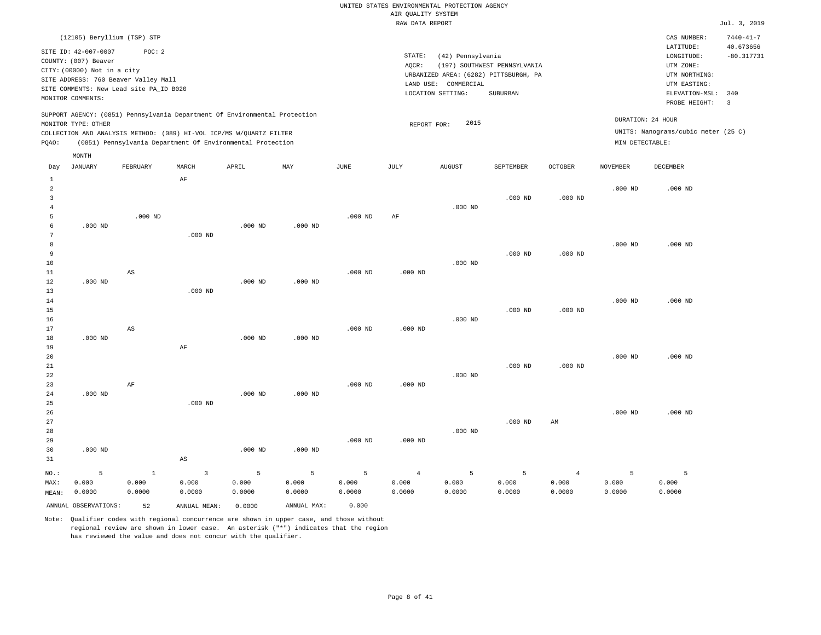# UNITED STATES ENVIRONMENTAL PROTECTION AGENCY AIR QUALITY SYSTEM

|          |                                                     |                                                                            |           |           |           |                    | RAW DATA REPORT |                                       |                              |                |                 |                                     | Jul. 3, 2019                 |
|----------|-----------------------------------------------------|----------------------------------------------------------------------------|-----------|-----------|-----------|--------------------|-----------------|---------------------------------------|------------------------------|----------------|-----------------|-------------------------------------|------------------------------|
|          | (12105) Beryllium (TSP) STP                         |                                                                            |           |           |           |                    |                 |                                       |                              |                |                 | CAS NUMBER:<br>LATITUDE:            | $7440 - 41 - 7$<br>40.673656 |
|          | SITE ID: 42-007-0007                                | POC: 2                                                                     |           |           |           |                    | STATE:          | (42) Pennsylvania                     |                              |                |                 | LONGITUDE:                          | $-80.317731$                 |
|          | COUNTY: (007) Beaver<br>CITY: (00000) Not in a city |                                                                            |           |           |           |                    | AQCR:           |                                       | (197) SOUTHWEST PENNSYLVANIA |                |                 | UTM ZONE:                           |                              |
|          |                                                     | SITE ADDRESS: 760 Beaver Valley Mall                                       |           |           |           |                    |                 | URBANIZED AREA: (6282) PITTSBURGH, PA |                              |                |                 | UTM NORTHING:                       |                              |
|          |                                                     | SITE COMMENTS: New Lead site PA_ID B020                                    |           |           |           |                    |                 | LAND USE: COMMERCIAL                  |                              |                |                 | UTM EASTING:                        |                              |
|          | MONITOR COMMENTS:                                   |                                                                            |           |           |           |                    |                 | LOCATION SETTING:                     | SUBURBAN                     |                |                 | ELEVATION-MSL:                      | 340                          |
|          |                                                     |                                                                            |           |           |           |                    |                 |                                       |                              |                |                 | PROBE HEIGHT:                       | $\overline{3}$               |
|          | MONITOR TYPE: OTHER                                 | SUPPORT AGENCY: (0851) Pennsylvania Department Of Environmental Protection |           |           |           |                    | REPORT FOR:     | 2015                                  |                              |                |                 | DURATION: 24 HOUR                   |                              |
|          |                                                     | COLLECTION AND ANALYSIS METHOD: (089) HI-VOL ICP/MS W/OUARTZ FILTER        |           |           |           |                    |                 |                                       |                              |                |                 | UNITS: Nanograms/cubic meter (25 C) |                              |
| PQAO:    |                                                     | (0851) Pennsylvania Department Of Environmental Protection                 |           |           |           |                    |                 |                                       |                              |                | MIN DETECTABLE: |                                     |                              |
|          | MONTH                                               |                                                                            |           |           |           |                    |                 |                                       |                              |                |                 |                                     |                              |
| Day      | JANUARY                                             | FEBRUARY                                                                   | MARCH     | APRIL     | MAY       | JUNE               | JULY            | AUGUST                                | SEPTEMBER                    | <b>OCTOBER</b> | <b>NOVEMBER</b> | DECEMBER                            |                              |
| 1        |                                                     |                                                                            | AF        |           |           |                    |                 |                                       |                              |                |                 |                                     |                              |
| 2        |                                                     |                                                                            |           |           |           |                    |                 |                                       |                              |                | $.000$ ND       | $.000$ ND                           |                              |
| 3        |                                                     |                                                                            |           |           |           |                    |                 |                                       | $.000$ ND                    | $.000$ ND      |                 |                                     |                              |
|          |                                                     |                                                                            |           |           |           |                    |                 | $.000$ ND                             |                              |                |                 |                                     |                              |
| 5        |                                                     | $.000$ ND                                                                  |           |           |           | $.000$ ND          | AF              |                                       |                              |                |                 |                                     |                              |
| 6        | $.000$ ND                                           |                                                                            |           | $.000$ ND | $.000$ ND |                    |                 |                                       |                              |                |                 |                                     |                              |
| 7        |                                                     |                                                                            | $.000$ ND |           |           |                    |                 |                                       |                              |                |                 |                                     |                              |
| 8        |                                                     |                                                                            |           |           |           |                    |                 |                                       |                              |                | $.000$ ND       | $.000$ ND                           |                              |
| 9        |                                                     |                                                                            |           |           |           |                    |                 |                                       | $.000$ ND                    | $.000$ ND      |                 |                                     |                              |
| 10       |                                                     |                                                                            |           |           |           |                    |                 | $.000$ ND                             |                              |                |                 |                                     |                              |
| 11       |                                                     | AS                                                                         |           |           |           | $.000$ ND          | $.000$ ND       |                                       |                              |                |                 |                                     |                              |
| 12       | $.000$ ND                                           |                                                                            |           | $.000$ ND | $.000$ ND |                    |                 |                                       |                              |                |                 |                                     |                              |
| 13       |                                                     |                                                                            | $.000$ ND |           |           |                    |                 |                                       |                              |                |                 |                                     |                              |
| 14       |                                                     |                                                                            |           |           |           |                    |                 |                                       |                              |                | $.000$ ND       | $.000$ ND                           |                              |
| 15       |                                                     |                                                                            |           |           |           |                    |                 | $.000$ ND                             | $.000$ ND                    | $.000$ ND      |                 |                                     |                              |
| 16<br>17 |                                                     | AS                                                                         |           |           |           | .000 <sub>ND</sub> | $.000$ ND       |                                       |                              |                |                 |                                     |                              |
| 18       | $.000$ ND                                           |                                                                            |           | $.000$ ND | $.000$ ND |                    |                 |                                       |                              |                |                 |                                     |                              |
| 19       |                                                     |                                                                            | $\rm AF$  |           |           |                    |                 |                                       |                              |                |                 |                                     |                              |
| 20       |                                                     |                                                                            |           |           |           |                    |                 |                                       |                              |                | $.000$ ND       | $.000$ ND                           |                              |
| 21       |                                                     |                                                                            |           |           |           |                    |                 |                                       | $.000$ ND                    | $.000$ ND      |                 |                                     |                              |
|          |                                                     |                                                                            |           |           |           |                    |                 |                                       |                              |                |                 |                                     |                              |

| 22    |           |          |           |           |           |           |                | $.000$ ND |           |        |           |           |
|-------|-----------|----------|-----------|-----------|-----------|-----------|----------------|-----------|-----------|--------|-----------|-----------|
| 23    |           | AF       |           |           |           | $.000$ ND | $.000$ ND      |           |           |        |           |           |
| 24    | $.000$ ND |          |           | $.000$ ND | $.000$ ND |           |                |           |           |        |           |           |
| 25    |           |          | $.000$ ND |           |           |           |                |           |           |        |           |           |
| 26    |           |          |           |           |           |           |                |           |           |        | $.000$ ND | $.000$ ND |
| 27    |           |          |           |           |           |           |                |           | $.000$ ND | AM     |           |           |
| 28    |           |          |           |           |           |           |                | $.000$ ND |           |        |           |           |
| 29    |           |          |           |           |           | $.000$ ND | $.000$ ND      |           |           |        |           |           |
| 30    | $.000$ ND |          |           | $.000$ ND | $.000$ ND |           |                |           |           |        |           |           |
| 31    |           |          | AS        |           |           |           |                |           |           |        |           |           |
| NO.:  | 5         | <b>+</b> | 3         | 5         | 5         | 5         | $\overline{4}$ | 5         | 5         | 4      | 5         | 5         |
| MAX:  | 0.000     | 0.000    | 0.000     | 0.000     | 0.000     | 0.000     | 0.000          | 0.000     | 0.000     | 0.000  | 0.000     | 0.000     |
| MEAN: | 0.0000    | 0.0000   | 0.0000    | 0.0000    | 0.0000    | 0.0000    | 0.0000         | 0.0000    | 0.0000    | 0.0000 | 0.0000    | 0.0000    |

Note: Qualifier codes with regional concurrence are shown in upper case, and those without regional review are shown in lower case. An asterisk ("\*") indicates that the region

ANNUAL OBSERVATIONS: 52 ANNUAL MEAN: 0.0000 ANNUAL MAX: 0.000

has reviewed the value and does not concur with the qualifier.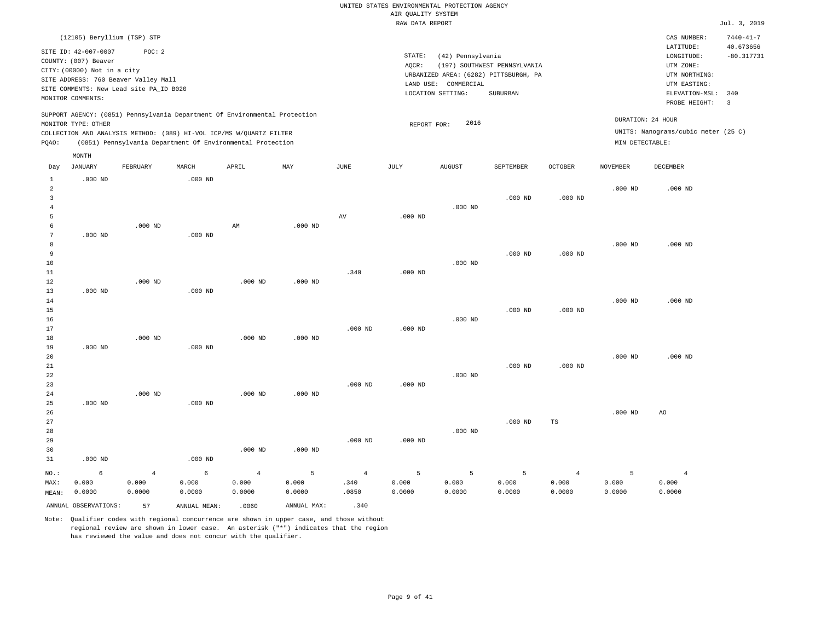#### RAW DATA REPORT **FOUND ASSESSED ASSESSED A**  $J$ ul. 3, 2019 UNITED STATES ENVIRONMENTAL PROTECTION AGENCY AIR QUALITY SYSTEM

|                                                       |                                                                                                                                                                                     |                                   |                                                            |                                   |                      |                                 | THAN DITTLE THE OILE |                                                                                                         |                                          |                                   |                      |                                                                                                          | $0.421$ $0.721$                                             |
|-------------------------------------------------------|-------------------------------------------------------------------------------------------------------------------------------------------------------------------------------------|-----------------------------------|------------------------------------------------------------|-----------------------------------|----------------------|---------------------------------|----------------------|---------------------------------------------------------------------------------------------------------|------------------------------------------|-----------------------------------|----------------------|----------------------------------------------------------------------------------------------------------|-------------------------------------------------------------|
|                                                       | (12105) Beryllium (TSP) STP                                                                                                                                                         |                                   |                                                            |                                   |                      |                                 |                      |                                                                                                         |                                          |                                   |                      | CAS NUMBER:                                                                                              | $7440 - 41 - 7$                                             |
|                                                       | SITE ID: 42-007-0007<br>COUNTY: (007) Beaver<br>CITY: (00000) Not in a city<br>SITE ADDRESS: 760 Beaver Valley Mall<br>SITE COMMENTS: New Lead site PA_ID B020<br>MONITOR COMMENTS: | POC: 2                            |                                                            |                                   |                      |                                 | STATE:<br>AQCR:      | (42) Pennsylvania<br>URBANIZED AREA: (6282) PITTSBURGH, PA<br>LAND USE: COMMERCIAL<br>LOCATION SETTING: | (197) SOUTHWEST PENNSYLVANIA<br>SUBURBAN |                                   |                      | LATITUDE:<br>LONGITUDE:<br>UTM ZONE:<br>UTM NORTHING:<br>UTM EASTING:<br>ELEVATION-MSL:<br>PROBE HEIGHT: | 40.673656<br>$-80.317731$<br>340<br>$\overline{\mathbf{3}}$ |
| PQAO:                                                 | SUPPORT AGENCY: (0851) Pennsylvania Department Of Environmental Protection<br>MONITOR TYPE: OTHER<br>COLLECTION AND ANALYSIS METHOD: (089) HI-VOL ICP/MS W/QUARTZ FILTER            |                                   | (0851) Pennsylvania Department Of Environmental Protection |                                   |                      |                                 | REPORT FOR:          | 2016                                                                                                    |                                          |                                   | MIN DETECTABLE:      | DURATION: 24 HOUR<br>UNITS: Nanograms/cubic meter (25 C)                                                 |                                                             |
|                                                       | MONTH                                                                                                                                                                               |                                   |                                                            |                                   |                      |                                 |                      |                                                                                                         |                                          |                                   |                      |                                                                                                          |                                                             |
| Day                                                   | <b>JANUARY</b>                                                                                                                                                                      | FEBRUARY                          | MARCH                                                      | APRIL                             | MAY                  | JUNE                            | JULY                 | <b>AUGUST</b>                                                                                           | SEPTEMBER                                | <b>OCTOBER</b>                    | <b>NOVEMBER</b>      | DECEMBER                                                                                                 |                                                             |
| $\mathbf{1}$<br>$\overline{a}$<br>3<br>$\overline{4}$ | $.000$ ND                                                                                                                                                                           |                                   | $.000$ ND                                                  |                                   |                      |                                 |                      | $.000$ ND                                                                                               | $.000$ ND                                | $.000$ ND                         | $.000$ ND            | $.000$ ND                                                                                                |                                                             |
| 5                                                     |                                                                                                                                                                                     |                                   |                                                            |                                   |                      | AV                              | $.000$ ND            |                                                                                                         |                                          |                                   |                      |                                                                                                          |                                                             |
| $\epsilon$<br>$7\phantom{.0}$<br>8                    | $.000$ ND                                                                                                                                                                           | $.000$ ND                         | $.000$ ND                                                  | AM                                | $.000$ ND            |                                 |                      |                                                                                                         |                                          |                                   | $.000$ ND            | $.000$ ND                                                                                                |                                                             |
| 9<br>10<br>11                                         |                                                                                                                                                                                     |                                   |                                                            |                                   |                      | .340                            | $.000$ ND            | $.000$ ND                                                                                               | $.000$ ND                                | $.000$ ND                         |                      |                                                                                                          |                                                             |
| 12<br>13<br>14                                        | $.000$ ND                                                                                                                                                                           | $.000$ ND                         | $.000$ ND                                                  | $.000$ ND                         | $.000$ ND            |                                 |                      |                                                                                                         |                                          |                                   | $.000$ ND            | $.000$ ND                                                                                                |                                                             |
| 15<br>16<br>17                                        |                                                                                                                                                                                     |                                   |                                                            |                                   |                      | $.000$ ND                       | $.000$ ND            | $.000$ ND                                                                                               | $.000$ ND                                | $.000$ ND                         |                      |                                                                                                          |                                                             |
| 18<br>19<br>20                                        | $.000$ ND                                                                                                                                                                           | $.000$ ND                         | $.000$ ND                                                  | $.000$ ND                         | $.000$ ND            |                                 |                      |                                                                                                         |                                          |                                   | $.000$ ND            | $.000$ ND                                                                                                |                                                             |
| 21<br>22<br>23                                        |                                                                                                                                                                                     |                                   |                                                            |                                   |                      | $.000$ ND                       | $.000$ ND            | $.000$ ND                                                                                               | $.000$ ND                                | $.000$ ND                         |                      |                                                                                                          |                                                             |
| 24<br>25<br>26                                        | $.000$ ND                                                                                                                                                                           | $.000$ ND                         | $.000$ ND                                                  | $.000$ ND                         | $.000$ ND            |                                 |                      |                                                                                                         |                                          |                                   | $.000$ ND            | AO                                                                                                       |                                                             |
| 27<br>28<br>29<br>30<br>31                            | $.000$ ND                                                                                                                                                                           |                                   | $.000$ ND                                                  | $.000$ ND                         | $.000$ ND            | $.000$ ND                       | $.000$ ND            | $.000$ ND                                                                                               | $.000$ ND                                | $_{\rm TS}$                       |                      |                                                                                                          |                                                             |
| NO.:<br>MAX:                                          | 6<br>0.000<br>0.0000                                                                                                                                                                | $\overline{4}$<br>0.000<br>0.0000 | 6<br>0.000<br>0.0000                                       | $\overline{4}$<br>0.000<br>0.0000 | 5<br>0.000<br>0.0000 | $\overline{4}$<br>.340<br>.0850 | 5<br>0.000<br>0.0000 | 5<br>0.000<br>0.0000                                                                                    | 5<br>0.000<br>0.0000                     | $\overline{4}$<br>0.000<br>0.0000 | 5<br>0.000<br>0.0000 | $\overline{4}$<br>0.000<br>0.0000                                                                        |                                                             |
| MEAN:                                                 | ANNUAL OBSERVATIONS:                                                                                                                                                                | 57                                | ANNUAL MEAN:                                               | .0060                             | ANNUAL MAX:          | .340                            |                      |                                                                                                         |                                          |                                   |                      |                                                                                                          |                                                             |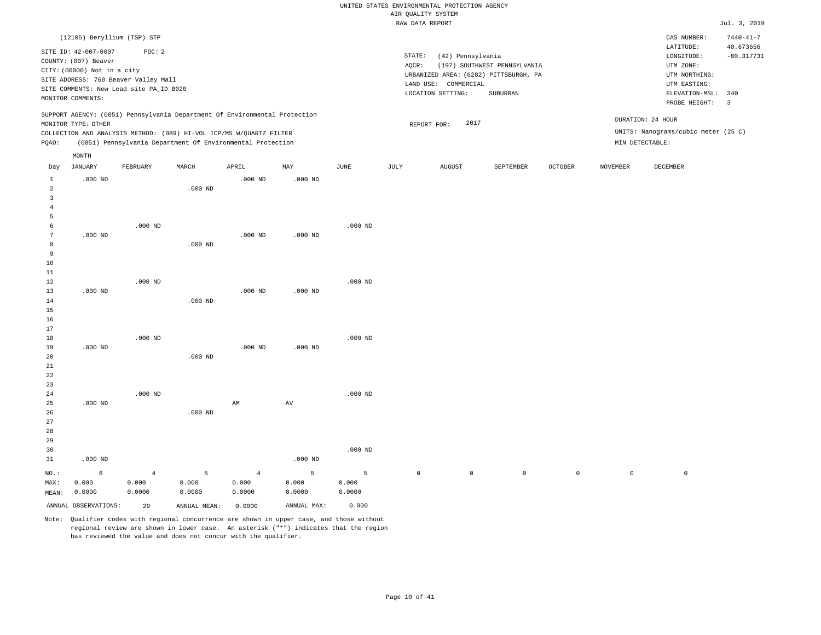|                                       |                                                                                                                                        |                                   |                                                                                                                                   |                                   |                      |                      |             | UNITED STATES ENVIRONMENTAL PROTECTION AGENCY |                                                                       |                |                 |                                                        |                                              |
|---------------------------------------|----------------------------------------------------------------------------------------------------------------------------------------|-----------------------------------|-----------------------------------------------------------------------------------------------------------------------------------|-----------------------------------|----------------------|----------------------|-------------|-----------------------------------------------|-----------------------------------------------------------------------|----------------|-----------------|--------------------------------------------------------|----------------------------------------------|
|                                       |                                                                                                                                        |                                   |                                                                                                                                   |                                   |                      |                      |             | AIR QUALITY SYSTEM                            |                                                                       |                |                 |                                                        |                                              |
|                                       |                                                                                                                                        |                                   |                                                                                                                                   |                                   |                      |                      |             | RAW DATA REPORT                               |                                                                       |                |                 |                                                        | Jul. 3, 2019                                 |
|                                       | (12105) Beryllium (TSP) STP<br>SITE ID: 42-007-0007                                                                                    | POC: 2                            |                                                                                                                                   |                                   |                      |                      | STATE:      | (42) Pennsylvania                             |                                                                       |                |                 | CAS NUMBER:<br>LATITUDE:<br>LONGITUDE:                 | $7440 - 41 - 7$<br>40.673656<br>$-80.317731$ |
|                                       | COUNTY: (007) Beaver<br>CITY: (00000) Not in a city<br>SITE ADDRESS: 760 Beaver Valley Mall<br>SITE COMMENTS: New Lead site PA_ID B020 |                                   |                                                                                                                                   |                                   |                      |                      | AOCR:       | LAND USE: COMMERCIAL                          | (197) SOUTHWEST PENNSYLVANIA<br>URBANIZED AREA: (6282) PITTSBURGH, PA |                |                 | UTM ZONE:<br>UTM NORTHING:<br>UTM EASTING:             |                                              |
|                                       | MONITOR COMMENTS:                                                                                                                      |                                   |                                                                                                                                   |                                   |                      |                      |             | LOCATION SETTING:                             | SUBURBAN                                                              |                |                 | ELEVATION-MSL:<br>PROBE HEIGHT:                        | 340<br>$\overline{\mathbf{3}}$               |
|                                       | MONITOR TYPE: OTHER                                                                                                                    |                                   | SUPPORT AGENCY: (0851) Pennsylvania Department Of Environmental Protection                                                        |                                   |                      |                      |             | 2017<br>REPORT FOR:                           |                                                                       |                |                 | DURATION: 24 HOUR                                      |                                              |
| PQAO:                                 |                                                                                                                                        |                                   | COLLECTION AND ANALYSIS METHOD: (089) HI-VOL ICP/MS W/QUARTZ FILTER<br>(0851) Pennsylvania Department Of Environmental Protection |                                   |                      |                      |             |                                               |                                                                       |                |                 | UNITS: Nanograms/cubic meter (25 C)<br>MIN DETECTABLE: |                                              |
|                                       | MONTH                                                                                                                                  |                                   |                                                                                                                                   |                                   |                      |                      |             |                                               |                                                                       |                |                 |                                                        |                                              |
| Day                                   | <b>JANUARY</b>                                                                                                                         | FEBRUARY                          | MARCH                                                                                                                             | APRIL                             | MAY                  | <b>JUNE</b>          | JULY        | <b>AUGUST</b>                                 | SEPTEMBER                                                             | <b>OCTOBER</b> | <b>NOVEMBER</b> | <b>DECEMBER</b>                                        |                                              |
| $\mathbf{1}$<br>$\overline{a}$        | $.000$ ND                                                                                                                              |                                   | $.000$ ND                                                                                                                         | $.000$ ND                         | $.000$ ND            |                      |             |                                               |                                                                       |                |                 |                                                        |                                              |
| $\overline{3}$<br>$\overline{4}$<br>5 |                                                                                                                                        |                                   |                                                                                                                                   |                                   |                      |                      |             |                                               |                                                                       |                |                 |                                                        |                                              |
| 6                                     |                                                                                                                                        | $.000$ ND                         |                                                                                                                                   |                                   |                      | $.000$ ND            |             |                                               |                                                                       |                |                 |                                                        |                                              |
| 7<br>8<br>9                           | $.000$ ND                                                                                                                              |                                   | $.000$ ND                                                                                                                         | $.000$ ND                         | $.000$ ND            |                      |             |                                               |                                                                       |                |                 |                                                        |                                              |
| $10$<br>11                            |                                                                                                                                        |                                   |                                                                                                                                   |                                   |                      |                      |             |                                               |                                                                       |                |                 |                                                        |                                              |
| 12<br>13<br>14                        | $.000$ ND                                                                                                                              | $.000$ ND                         | $.000$ ND                                                                                                                         | $.000$ ND                         | $.000$ ND            | $.000$ ND            |             |                                               |                                                                       |                |                 |                                                        |                                              |
| 15<br>16<br>17                        |                                                                                                                                        |                                   |                                                                                                                                   |                                   |                      |                      |             |                                               |                                                                       |                |                 |                                                        |                                              |
| 18                                    |                                                                                                                                        | $.000$ ND                         |                                                                                                                                   | $.000$ ND                         |                      | $.000$ ND            |             |                                               |                                                                       |                |                 |                                                        |                                              |
| 19<br>20<br>21<br>$2\sqrt{2}$         | $.000$ ND                                                                                                                              |                                   | $.000$ ND                                                                                                                         |                                   | $.000$ ND            |                      |             |                                               |                                                                       |                |                 |                                                        |                                              |
| 23<br>24<br>25                        | $.000$ ND                                                                                                                              | $.000$ ND                         |                                                                                                                                   | AM                                | AV                   | $.000$ ND            |             |                                               |                                                                       |                |                 |                                                        |                                              |
| 26<br>27<br>28<br>29                  |                                                                                                                                        |                                   | $.000$ ND                                                                                                                         |                                   |                      |                      |             |                                               |                                                                       |                |                 |                                                        |                                              |
| 30<br>31                              | $.000$ ND                                                                                                                              |                                   |                                                                                                                                   |                                   | $.000$ ND            | $.000$ ND            |             |                                               |                                                                       |                |                 |                                                        |                                              |
| NO.:<br>MAX:<br>MEAN:                 | $\epsilon$<br>0.000<br>0.0000                                                                                                          | $\overline{4}$<br>0.000<br>0.0000 | 5<br>0.000<br>0.0000                                                                                                              | $\overline{4}$<br>0.000<br>0.0000 | 5<br>0.000<br>0.0000 | 5<br>0.000<br>0.0000 | $\mathbb O$ | $\mathsf{O}\xspace$                           | $\mathsf 0$                                                           | $\mathbb O$    | $\mathbb O$     | $\mathbb O$                                            |                                              |
|                                       | ANNUAL OBSERVATIONS:                                                                                                                   | 29                                | ANNUAL MEAN:                                                                                                                      | 0.0000                            | ANNUAL MAX:          | 0.000                |             |                                               |                                                                       |                |                 |                                                        |                                              |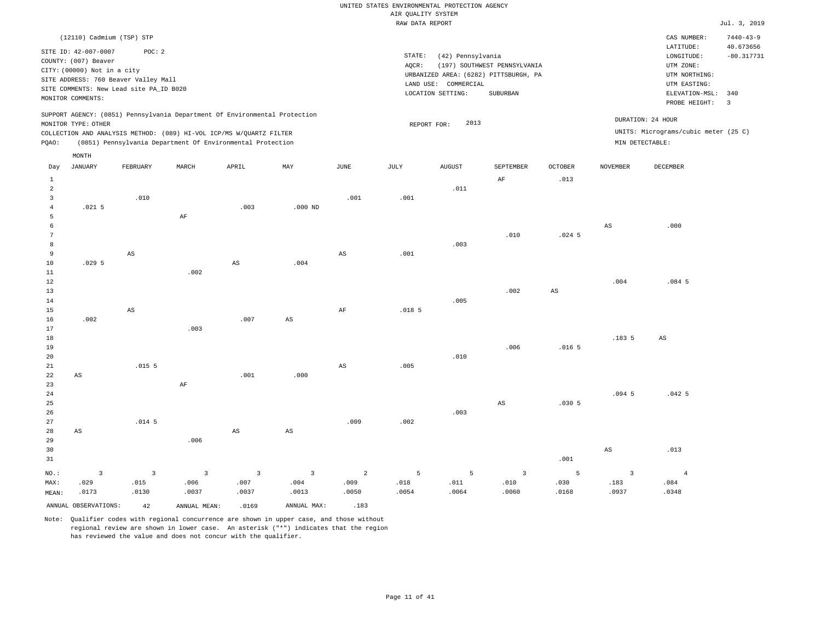|  |  |                    | UNITED STATES ENVIRONMENTAL PROTECTION AGENCY |  |
|--|--|--------------------|-----------------------------------------------|--|
|  |  | AIR OUALITY SYSTEM |                                               |  |
|  |  | nati nama nunong   |                                               |  |

|                |                                         |                        |                |                                                                            |                |                        | RAW DATA REPORT   |                      |                                       |                   |                        |                                      | Jul. 3, 2019    |
|----------------|-----------------------------------------|------------------------|----------------|----------------------------------------------------------------------------|----------------|------------------------|-------------------|----------------------|---------------------------------------|-------------------|------------------------|--------------------------------------|-----------------|
|                | (12110) Cadmium (TSP) STP               |                        |                |                                                                            |                |                        |                   |                      |                                       |                   |                        | CAS NUMBER:                          | $7440 - 43 - 9$ |
|                |                                         |                        |                |                                                                            |                |                        |                   |                      |                                       |                   |                        | LATITUDE:                            | 40.673656       |
|                | SITE ID: 42-007-0007                    | POC: 2                 |                |                                                                            |                |                        | STATE:            | (42) Pennsylvania    |                                       |                   |                        | LONGITUDE:                           | $-80.317731$    |
|                | COUNTY: (007) Beaver                    |                        |                |                                                                            |                |                        | AQCR:             |                      | (197) SOUTHWEST PENNSYLVANIA          |                   |                        | UTM ZONE:                            |                 |
|                | CITY: (00000) Not in a city             |                        |                |                                                                            |                |                        |                   |                      | URBANIZED AREA: (6282) PITTSBURGH, PA |                   |                        | UTM NORTHING:                        |                 |
|                | SITE ADDRESS: 760 Beaver Valley Mall    |                        |                |                                                                            |                |                        |                   | LAND USE: COMMERCIAL |                                       |                   |                        | UTM EASTING:                         |                 |
|                | SITE COMMENTS: New Lead site PA_ID B020 |                        |                |                                                                            |                |                        |                   | LOCATION SETTING:    | SUBURBAN                              |                   |                        | ELEVATION-MSL:                       | 340             |
|                | MONITOR COMMENTS:                       |                        |                |                                                                            |                |                        |                   |                      |                                       |                   |                        | PROBE HEIGHT:                        | $\overline{3}$  |
|                |                                         |                        |                | SUPPORT AGENCY: (0851) Pennsylvania Department Of Environmental Protection |                |                        |                   |                      |                                       |                   |                        |                                      |                 |
|                | MONITOR TYPE: OTHER                     |                        |                |                                                                            |                |                        |                   | 2013<br>REPORT FOR:  |                                       |                   |                        | DURATION: 24 HOUR                    |                 |
|                |                                         |                        |                | COLLECTION AND ANALYSIS METHOD: (089) HI-VOL ICP/MS W/QUARTZ FILTER        |                |                        |                   |                      |                                       |                   |                        | UNITS: Micrograms/cubic meter (25 C) |                 |
| PQAO:          |                                         |                        |                | (0851) Pennsylvania Department Of Environmental Protection                 |                |                        |                   |                      |                                       |                   | MIN DETECTABLE:        |                                      |                 |
|                | MONTH                                   |                        |                |                                                                            |                |                        |                   |                      |                                       |                   |                        |                                      |                 |
| Day            | JANUARY                                 | FEBRUARY               | MARCH          | APRIL                                                                      | MAY            | JUNE                   | JULY              | <b>AUGUST</b>        | SEPTEMBER                             | <b>OCTOBER</b>    | <b>NOVEMBER</b>        | DECEMBER                             |                 |
| $\mathbf{1}$   |                                         |                        |                |                                                                            |                |                        |                   |                      | AF                                    | .013              |                        |                                      |                 |
| $\overline{a}$ |                                         |                        |                |                                                                            |                |                        |                   | .011                 |                                       |                   |                        |                                      |                 |
| 3              |                                         | .010                   |                |                                                                            |                | .001                   | .001              |                      |                                       |                   |                        |                                      |                 |
| $\overline{4}$ | $.021$ 5                                |                        |                | .003                                                                       | $.000$ ND      |                        |                   |                      |                                       |                   |                        |                                      |                 |
| 5              |                                         |                        | $\rm AF$       |                                                                            |                |                        |                   |                      |                                       |                   |                        |                                      |                 |
| 6              |                                         |                        |                |                                                                            |                |                        |                   |                      |                                       |                   | $\mathbb{A}\mathbb{S}$ | .000                                 |                 |
| 7              |                                         |                        |                |                                                                            |                |                        |                   |                      | .010                                  | $.024$ 5          |                        |                                      |                 |
| 8              |                                         |                        |                |                                                                            |                |                        |                   | .003                 |                                       |                   |                        |                                      |                 |
| 9              |                                         | $\mathbb{A}\mathbb{S}$ |                |                                                                            |                | $\mathbb{A}\mathbb{S}$ | .001              |                      |                                       |                   |                        |                                      |                 |
| 10             | .0295                                   |                        |                | $\mathbb{A}\mathbb{S}$                                                     | .004           |                        |                   |                      |                                       |                   |                        |                                      |                 |
| 11             |                                         |                        | .002           |                                                                            |                |                        |                   |                      |                                       |                   |                        |                                      |                 |
| 12             |                                         |                        |                |                                                                            |                |                        |                   |                      |                                       |                   | .004                   | $.084$ 5                             |                 |
| 13             |                                         |                        |                |                                                                            |                |                        |                   |                      | .002                                  | $_{\rm AS}$       |                        |                                      |                 |
| 14             |                                         |                        |                |                                                                            |                |                        |                   | .005                 |                                       |                   |                        |                                      |                 |
| 15             |                                         | $\mathbb{A}\mathbb{S}$ |                |                                                                            |                | AF                     | .018 <sub>5</sub> |                      |                                       |                   |                        |                                      |                 |
| 16             | .002                                    |                        |                | .007                                                                       | AS             |                        |                   |                      |                                       |                   |                        |                                      |                 |
| 17             |                                         |                        | .003           |                                                                            |                |                        |                   |                      |                                       |                   |                        |                                      |                 |
| 18<br>19       |                                         |                        |                |                                                                            |                |                        |                   |                      | .006                                  | .016 <sub>5</sub> | .183 5                 | AS                                   |                 |
| 20             |                                         |                        |                |                                                                            |                |                        |                   | .010                 |                                       |                   |                        |                                      |                 |
| 21             |                                         | .0155                  |                |                                                                            |                | $\mathbb{A}\mathbb{S}$ | .005              |                      |                                       |                   |                        |                                      |                 |
| 22             | AS                                      |                        |                | .001                                                                       | .000           |                        |                   |                      |                                       |                   |                        |                                      |                 |
| 23             |                                         |                        | AF             |                                                                            |                |                        |                   |                      |                                       |                   |                        |                                      |                 |
| 24             |                                         |                        |                |                                                                            |                |                        |                   |                      |                                       |                   | .0945                  | .0425                                |                 |
| 25             |                                         |                        |                |                                                                            |                |                        |                   |                      | AS                                    | .0305             |                        |                                      |                 |
| 26             |                                         |                        |                |                                                                            |                |                        |                   | .003                 |                                       |                   |                        |                                      |                 |
| 27             |                                         | .014 <sub>5</sub>      |                |                                                                            |                | .009                   | .002              |                      |                                       |                   |                        |                                      |                 |
| 28             | AS                                      |                        |                | AS                                                                         | AS             |                        |                   |                      |                                       |                   |                        |                                      |                 |
| 29             |                                         |                        | .006           |                                                                            |                |                        |                   |                      |                                       |                   |                        |                                      |                 |
| 30             |                                         |                        |                |                                                                            |                |                        |                   |                      |                                       |                   | $\mathbb{A}\mathbb{S}$ | .013                                 |                 |
| 31             |                                         |                        |                |                                                                            |                |                        |                   |                      |                                       | .001              |                        |                                      |                 |
| NO.:           | $\overline{3}$                          | $\overline{3}$         | $\overline{3}$ | $\overline{3}$                                                             | $\overline{3}$ | $\overline{a}$         | 5                 | 5                    | $\overline{3}$                        | 5                 | $\overline{3}$         | $\overline{4}$                       |                 |
| MAX:           | .029                                    | .015                   | .006           | .007                                                                       | .004           | .009                   | .018              | .011                 | .010                                  | .030              | .183                   | .084                                 |                 |
| MEAN:          | .0173                                   | .0130                  | .0037          | .0037                                                                      | .0013          | .0050                  | .0054             | .0064                | .0060                                 | .0168             | .0937                  | .0348                                |                 |
|                |                                         |                        |                |                                                                            |                |                        |                   |                      |                                       |                   |                        |                                      |                 |
|                | ANNUAL OBSERVATIONS:                    | 42                     | ANNUAL MEAN:   | .0169                                                                      | ANNUAL MAX:    | .183                   |                   |                      |                                       |                   |                        |                                      |                 |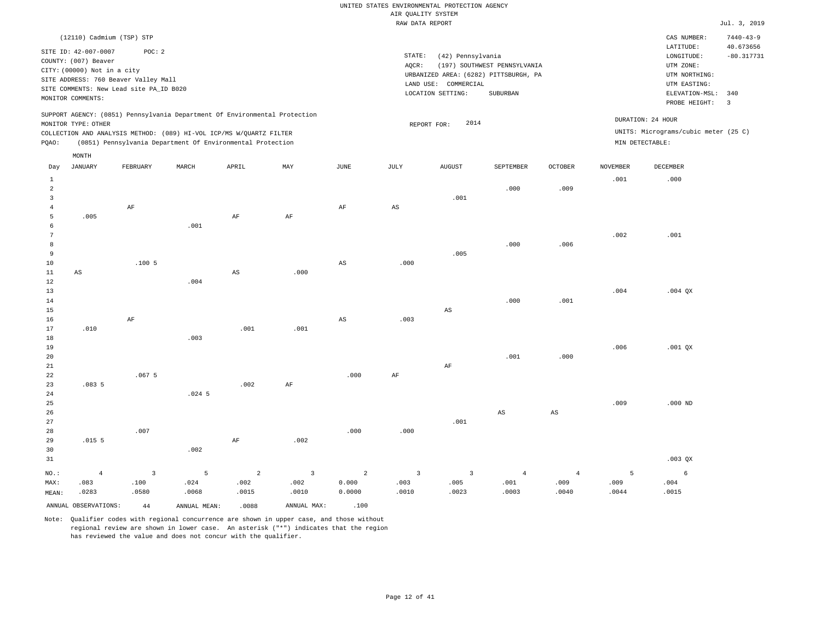|                   | (12110) Cadmium (TSP) STP                                                       |                |                                                                            |                        |                |                        |                |                                       |                              |                |                 | CAS NUMBER:                          | $7440 - 43 - 9$           |
|-------------------|---------------------------------------------------------------------------------|----------------|----------------------------------------------------------------------------|------------------------|----------------|------------------------|----------------|---------------------------------------|------------------------------|----------------|-----------------|--------------------------------------|---------------------------|
|                   | SITE ID: 42-007-0007                                                            | POC: 2         |                                                                            |                        |                |                        | STATE:         | (42) Pennsylvania                     |                              |                |                 | LATITUDE:<br>LONGITUDE:              | 40.673656<br>$-80.317731$ |
|                   | COUNTY: (007) Beaver                                                            |                |                                                                            |                        |                |                        | AQCR:          |                                       | (197) SOUTHWEST PENNSYLVANIA |                |                 | UTM ZONE:                            |                           |
|                   | CITY: (00000) Not in a city                                                     |                |                                                                            |                        |                |                        |                | URBANIZED AREA: (6282) PITTSBURGH, PA |                              |                |                 | UTM NORTHING:                        |                           |
|                   | SITE ADDRESS: 760 Beaver Valley Mall<br>SITE COMMENTS: New Lead site PA_ID B020 |                |                                                                            |                        |                |                        |                | LAND USE: COMMERCIAL                  |                              |                |                 | UTM EASTING:                         |                           |
|                   | MONITOR COMMENTS:                                                               |                |                                                                            |                        |                |                        |                | LOCATION SETTING:                     | SUBURBAN                     |                |                 | ELEVATION-MSL:                       | 340                       |
|                   |                                                                                 |                |                                                                            |                        |                |                        |                |                                       |                              |                |                 | PROBE HEIGHT:                        | $\overline{3}$            |
|                   | MONITOR TYPE: OTHER                                                             |                | SUPPORT AGENCY: (0851) Pennsylvania Department Of Environmental Protection |                        |                |                        | REPORT FOR:    | 2014                                  |                              |                |                 | DURATION: 24 HOUR                    |                           |
|                   |                                                                                 |                | COLLECTION AND ANALYSIS METHOD: (089) HI-VOL ICP/MS W/QUARTZ FILTER        |                        |                |                        |                |                                       |                              |                |                 | UNITS: Micrograms/cubic meter (25 C) |                           |
| PQAO:             |                                                                                 |                | (0851) Pennsylvania Department Of Environmental Protection                 |                        |                |                        |                |                                       |                              |                | MIN DETECTABLE: |                                      |                           |
|                   | MONTH                                                                           |                |                                                                            |                        |                |                        |                |                                       |                              |                |                 |                                      |                           |
| Day               | <b>JANUARY</b>                                                                  | FEBRUARY       | MARCH                                                                      | APRIL                  | MAY            | JUNE                   | JULY           | <b>AUGUST</b>                         | SEPTEMBER                    | <b>OCTOBER</b> | <b>NOVEMBER</b> | DECEMBER                             |                           |
|                   |                                                                                 |                |                                                                            |                        |                |                        |                |                                       |                              |                |                 |                                      |                           |
| $\mathbf{1}$<br>2 |                                                                                 |                |                                                                            |                        |                |                        |                |                                       |                              |                | .001            | .000                                 |                           |
| $\overline{3}$    |                                                                                 |                |                                                                            |                        |                |                        |                | .001                                  | .000                         | .009           |                 |                                      |                           |
| $\overline{4}$    |                                                                                 | $\rm AF$       |                                                                            |                        |                | $\rm{AF}$              | AS             |                                       |                              |                |                 |                                      |                           |
| 5                 | .005                                                                            |                |                                                                            | $\rm AF$               | $\rm AF$       |                        |                |                                       |                              |                |                 |                                      |                           |
| 6                 |                                                                                 |                | .001                                                                       |                        |                |                        |                |                                       |                              |                |                 |                                      |                           |
| $7\phantom{.0}$   |                                                                                 |                |                                                                            |                        |                |                        |                |                                       |                              |                | .002            | .001                                 |                           |
| 8                 |                                                                                 |                |                                                                            |                        |                |                        |                |                                       | .000                         | .006           |                 |                                      |                           |
| $\overline{9}$    |                                                                                 |                |                                                                            |                        |                |                        |                | .005                                  |                              |                |                 |                                      |                           |
| 10                |                                                                                 | .1005          |                                                                            |                        |                | $\mathbb{A}\mathbb{S}$ | .000           |                                       |                              |                |                 |                                      |                           |
| 11                | $\mathbb{A}\mathbb{S}$                                                          |                |                                                                            | $\mathbb{A}\mathbb{S}$ | .000           |                        |                |                                       |                              |                |                 |                                      |                           |
| 12                |                                                                                 |                | .004                                                                       |                        |                |                        |                |                                       |                              |                |                 |                                      |                           |
| 13                |                                                                                 |                |                                                                            |                        |                |                        |                |                                       |                              |                | .004            | $.004$ QX                            |                           |
| 14                |                                                                                 |                |                                                                            |                        |                |                        |                |                                       | .000                         | .001           |                 |                                      |                           |
| $15$              |                                                                                 |                |                                                                            |                        |                |                        |                | $\mathbb{A}\mathbb{S}$                |                              |                |                 |                                      |                           |
| 16<br>17          | .010                                                                            | $\rm{AF}$      |                                                                            | .001                   | .001           | $\mathbb{A}\mathbb{S}$ | .003           |                                       |                              |                |                 |                                      |                           |
| 18                |                                                                                 |                | .003                                                                       |                        |                |                        |                |                                       |                              |                |                 |                                      |                           |
| 19                |                                                                                 |                |                                                                            |                        |                |                        |                |                                       |                              |                | .006            | $.001$ QX                            |                           |
| 20                |                                                                                 |                |                                                                            |                        |                |                        |                |                                       | .001                         | .000           |                 |                                      |                           |
| 21                |                                                                                 |                |                                                                            |                        |                |                        |                | AF                                    |                              |                |                 |                                      |                           |
| 22                |                                                                                 | .0675          |                                                                            |                        |                | .000                   | $\rm{AF}$      |                                       |                              |                |                 |                                      |                           |
| 23                | .0835                                                                           |                |                                                                            | .002                   | $\rm AF$       |                        |                |                                       |                              |                |                 |                                      |                           |
| 24                |                                                                                 |                | $.024$ 5                                                                   |                        |                |                        |                |                                       |                              |                |                 |                                      |                           |
| 25                |                                                                                 |                |                                                                            |                        |                |                        |                |                                       |                              |                | .009            | $.000$ ND                            |                           |
| 26                |                                                                                 |                |                                                                            |                        |                |                        |                |                                       | $_{\rm AS}$                  | $_{\rm AS}$    |                 |                                      |                           |
| 27                |                                                                                 |                |                                                                            |                        |                |                        |                | .001                                  |                              |                |                 |                                      |                           |
| 28                |                                                                                 | .007           |                                                                            |                        |                | .000                   | .000           |                                       |                              |                |                 |                                      |                           |
| 29<br>30          | .015 <sub>5</sub>                                                               |                | .002                                                                       | $\rm AF$               | .002           |                        |                |                                       |                              |                |                 |                                      |                           |
| 31                |                                                                                 |                |                                                                            |                        |                |                        |                |                                       |                              |                |                 | $.003$ QX                            |                           |
|                   |                                                                                 |                |                                                                            |                        |                |                        |                |                                       |                              |                |                 |                                      |                           |
| NO.:              | $\overline{4}$                                                                  | $\overline{3}$ | 5                                                                          | $\overline{2}$         | $\overline{3}$ | 2                      | $\overline{3}$ | $\overline{3}$                        | $\overline{4}$               | $\overline{4}$ | 5               | 6                                    |                           |
| MAX:              | .083                                                                            | .100           | .024                                                                       | .002                   | .002           | 0.000                  | .003           | .005                                  | .001                         | .009           | .009            | .004                                 |                           |
| MEAN:             | .0283                                                                           | .0580          | .0068                                                                      | .0015                  | .0010          | 0.0000                 | .0010          | .0023                                 | .0003                        | .0040          | .0044           | .0015                                |                           |
|                   | ANNUAL OBSERVATIONS:                                                            | 44             | ANNUAL MEAN:                                                               | .0088                  | ANNUAL MAX:    | .100                   |                |                                       |                              |                |                 |                                      |                           |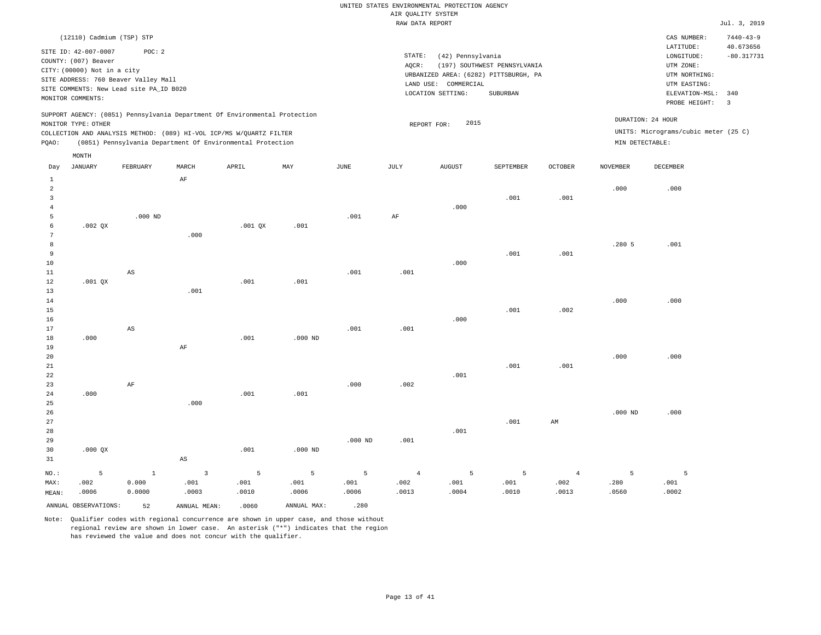|       | (12110) Cadmium (TSP) STP                                                                        |                                                                                          |       |                                                                                                                                                                                                                 |     |      |                 |                                                                                                            |                                          |         |          | CAS NUMBER:                                                                                              | $7440 - 43 - 9$                                             |
|-------|--------------------------------------------------------------------------------------------------|------------------------------------------------------------------------------------------|-------|-----------------------------------------------------------------------------------------------------------------------------------------------------------------------------------------------------------------|-----|------|-----------------|------------------------------------------------------------------------------------------------------------|------------------------------------------|---------|----------|----------------------------------------------------------------------------------------------------------|-------------------------------------------------------------|
|       | SITE ID: 42-007-0007<br>COUNTY: (007) Beaver<br>CITY: (00000) Not in a city<br>MONITOR COMMENTS: | POC:2<br>SITE ADDRESS: 760 Beaver Valley Mall<br>SITE COMMENTS: New Lead site PA_ID B020 |       |                                                                                                                                                                                                                 |     |      | STATE:<br>AQCR: | (42) Pennsylvania<br>URBANIZED AREA: (6282) PITTSBURGH, PA<br>COMMERCIAL<br>LAND USE:<br>LOCATION SETTING: | (197) SOUTHWEST PENNSYLVANIA<br>SUBURBAN |         |          | LATITUDE:<br>LONGITUDE:<br>UTM ZONE:<br>UTM NORTHING:<br>UTM EASTING:<br>ELEVATION-MSL:<br>PROBE HEIGHT: | 40.673656<br>$-80.317731$<br>340<br>$\overline{\mathbf{3}}$ |
| PQAO: | MONITOR TYPE: OTHER                                                                              |                                                                                          |       | SUPPORT AGENCY: (0851) Pennsylvania Department Of Environmental Protection<br>COLLECTION AND ANALYSIS METHOD: (089) HI-VOL ICP/MS W/QUARTZ FILTER<br>(0851) Pennsylvania Department Of Environmental Protection |     |      |                 | 2015<br>REPORT FOR:                                                                                        |                                          |         |          | DURATION: 24 HOUR<br>UNITS: Micrograms/cubic meter (25 C)<br>MIN DETECTABLE:                             |                                                             |
|       | MONTH                                                                                            |                                                                                          |       |                                                                                                                                                                                                                 |     |      |                 |                                                                                                            |                                          |         |          |                                                                                                          |                                                             |
| Day   | JANUARY                                                                                          | FEBRUARY                                                                                 | MARCH | APRIL                                                                                                                                                                                                           | MAY | JUNE | JULY            | <b>AUGUST</b>                                                                                              | SEPTEMBER                                | OCTOBER | NOVEMBER | DECEMBER                                                                                                 |                                                             |
|       |                                                                                                  |                                                                                          | AF    |                                                                                                                                                                                                                 |     |      |                 |                                                                                                            |                                          |         |          |                                                                                                          |                                                             |
|       |                                                                                                  |                                                                                          |       |                                                                                                                                                                                                                 |     |      |                 |                                                                                                            |                                          |         | .000     | .000                                                                                                     |                                                             |
|       |                                                                                                  |                                                                                          |       |                                                                                                                                                                                                                 |     |      |                 | .000                                                                                                       | .001                                     | .001    |          |                                                                                                          |                                                             |
|       |                                                                                                  |                                                                                          |       |                                                                                                                                                                                                                 |     |      |                 |                                                                                                            |                                          |         |          |                                                                                                          |                                                             |

AF

| 6               | $.002$ QX |    |      | $.001$ QX | .001      |      |      |      |      |      |       |      |
|-----------------|-----------|----|------|-----------|-----------|------|------|------|------|------|-------|------|
| $7\overline{ }$ |           |    | .000 |           |           |      |      |      |      |      |       |      |
| 8               |           |    |      |           |           |      |      |      |      |      | .2805 | .001 |
| 9               |           |    |      |           |           |      |      |      | .001 | .001 |       |      |
| 10              |           |    |      |           |           |      |      | .000 |      |      |       |      |
| $11\,$          |           | AS |      |           |           | .001 | .001 |      |      |      |       |      |
| 12              | $.001$ QX |    |      | .001      | .001      |      |      |      |      |      |       |      |
| $13$            |           |    | .001 |           |           |      |      |      |      |      |       |      |
| $14\,$          |           |    |      |           |           |      |      |      |      |      | .000  | .000 |
| $15\,$          |           |    |      |           |           |      |      |      | .001 | .002 |       |      |
| $16\,$          |           |    |      |           |           |      |      | .000 |      |      |       |      |
| $17\,$          |           | AS |      |           |           | .001 | .001 |      |      |      |       |      |
| 18              | .000      |    |      | .001      | $.000$ ND |      |      |      |      |      |       |      |
| $19$            |           |    | AF   |           |           |      |      |      |      |      |       |      |
| 20              |           |    |      |           |           |      |      |      |      |      | .000  | .000 |
| 21              |           |    |      |           |           |      |      |      | .001 | .001 |       |      |

.001

| 22      |           |       |      |      |           |           |                | .001 |      |                |           |      |
|---------|-----------|-------|------|------|-----------|-----------|----------------|------|------|----------------|-----------|------|
| 23      |           | AF    |      |      |           | .000      | .002           |      |      |                |           |      |
| 24      | .000      |       |      | .001 | .001      |           |                |      |      |                |           |      |
| 25      |           |       | .000 |      |           |           |                |      |      |                |           |      |
| 26      |           |       |      |      |           |           |                |      |      |                | $.000$ ND | .000 |
| 27      |           |       |      |      |           |           |                |      | .001 | AM             |           |      |
| 28      |           |       |      |      |           |           |                | .001 |      |                |           |      |
| 29      |           |       |      |      |           | $.000$ ND | .001           |      |      |                |           |      |
| 30      | $.000$ QX |       |      | .001 | $.000$ ND |           |                |      |      |                |           |      |
| 31      |           |       | AS   |      |           |           |                |      |      |                |           |      |
| $NO.$ : | 5         |       | 3    | 5    | 5         | 5         | $\overline{4}$ | 5    | 5    | $\overline{4}$ | 5         | 5    |
| MAX:    | .002      | 0.000 | .001 | .001 | .001      | .001      | .002           | .001 | .001 | .002           | .280      | .001 |

.0006

Note: Qualifier codes with regional concurrence are shown in upper case, and those without regional review are shown in lower case. An asterisk ("\*") indicates that the region has reviewed the value and does not concur with the qualifier.

ANNUAL OBSERVATIONS: 52 ANNUAL MEAN: .0060 ANNUAL MAX: .280

.0010

.0006

.0003

5

.000 ND

MEAN:

.0006

0.0000

.0013

.0004

.0010

.0013

.0560

.0002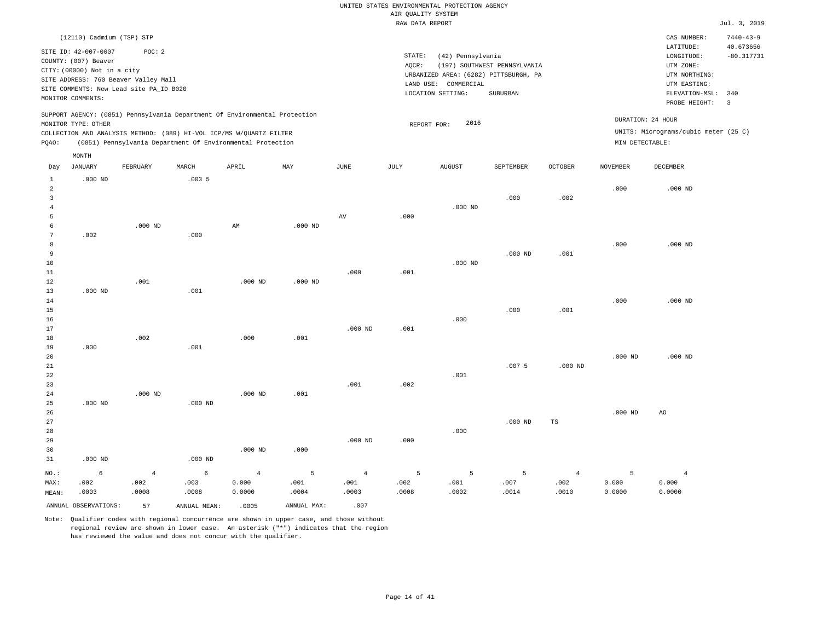# UNITED STATES ENVIRONMENTAL PROTECTION AGENCY AIR QUALITY SYSTEM

|                                  |                                                                             |                                         |           |                                                                            |           |           | RAW DATA REPORT |                                                            |                              |                |           |                                          | Jul. 3, 2019                 |
|----------------------------------|-----------------------------------------------------------------------------|-----------------------------------------|-----------|----------------------------------------------------------------------------|-----------|-----------|-----------------|------------------------------------------------------------|------------------------------|----------------|-----------|------------------------------------------|------------------------------|
|                                  | (12110) Cadmium (TSP) STP                                                   |                                         |           |                                                                            |           |           |                 |                                                            |                              |                |           | CAS NUMBER:<br>LATITUDE:                 | $7440 - 43 - 9$<br>40.673656 |
|                                  | SITE ID: 42-007-0007<br>COUNTY: (007) Beaver<br>CITY: (00000) Not in a city | POC: 2                                  |           |                                                                            |           |           | STATE:<br>AQCR: | (42) Pennsylvania<br>URBANIZED AREA: (6282) PITTSBURGH, PA | (197) SOUTHWEST PENNSYLVANIA |                |           | LONGITUDE:<br>UTM ZONE:<br>UTM NORTHING: | $-80.317731$                 |
|                                  |                                                                             | SITE ADDRESS: 760 Beaver Valley Mall    |           |                                                                            |           |           |                 | LAND USE: COMMERCIAL                                       |                              |                |           | UTM EASTING:                             |                              |
|                                  | MONITOR COMMENTS:                                                           | SITE COMMENTS: New Lead site PA_ID B020 |           |                                                                            |           |           |                 | LOCATION SETTING:                                          | SUBURBAN                     |                |           | ELEVATION-MSL:                           | 340                          |
|                                  |                                                                             |                                         |           |                                                                            |           |           |                 |                                                            |                              |                |           | PROBE HEIGHT:                            | $\overline{\mathbf{3}}$      |
|                                  |                                                                             |                                         |           | SUPPORT AGENCY: (0851) Pennsylvania Department Of Environmental Protection |           |           |                 |                                                            |                              |                |           | DURATION: 24 HOUR                        |                              |
|                                  | MONITOR TYPE: OTHER                                                         |                                         |           | COLLECTION AND ANALYSIS METHOD: (089) HI-VOL ICP/MS W/QUARTZ FILTER        |           |           |                 | 2016<br>REPORT FOR:                                        |                              |                |           | UNITS: Micrograms/cubic meter (25 C)     |                              |
| PQAO:                            |                                                                             |                                         |           | (0851) Pennsylvania Department Of Environmental Protection                 |           |           |                 |                                                            |                              |                |           | MIN DETECTABLE:                          |                              |
|                                  | MONTH                                                                       |                                         |           |                                                                            |           |           |                 |                                                            |                              |                |           |                                          |                              |
| Day                              | JANUARY                                                                     | FEBRUARY                                | MARCH     | APRIL                                                                      | MAY       | JUNE      | JULY            | AUGUST                                                     | SEPTEMBER                    | <b>OCTOBER</b> | NOVEMBER  | DECEMBER                                 |                              |
| $\mathbf{1}$                     | $.000$ ND                                                                   |                                         | .0035     |                                                                            |           |           |                 |                                                            |                              |                |           |                                          |                              |
| $\overline{a}$<br>$\overline{3}$ |                                                                             |                                         |           |                                                                            |           |           |                 |                                                            | .000                         | .002           | .000      | $.000$ ND                                |                              |
| $\overline{4}$                   |                                                                             |                                         |           |                                                                            |           |           |                 | $.000$ ND                                                  |                              |                |           |                                          |                              |
| 5                                |                                                                             |                                         |           |                                                                            |           | AV        | .000            |                                                            |                              |                |           |                                          |                              |
| 6                                |                                                                             | $.000$ ND                               |           | AM                                                                         | $.000$ ND |           |                 |                                                            |                              |                |           |                                          |                              |
| 7                                | .002                                                                        |                                         | .000      |                                                                            |           |           |                 |                                                            |                              |                |           |                                          |                              |
| 8                                |                                                                             |                                         |           |                                                                            |           |           |                 |                                                            |                              |                | .000      | $.000$ ND                                |                              |
| 9                                |                                                                             |                                         |           |                                                                            |           |           |                 |                                                            | $.000$ ND                    | .001           |           |                                          |                              |
| 10<br>11                         |                                                                             |                                         |           |                                                                            |           | .000.     | .001            | $.000$ ND                                                  |                              |                |           |                                          |                              |
| 12                               |                                                                             | .001                                    |           | $.000$ ND                                                                  | $.000$ ND |           |                 |                                                            |                              |                |           |                                          |                              |
| 13                               | $.000$ ND                                                                   |                                         | .001      |                                                                            |           |           |                 |                                                            |                              |                |           |                                          |                              |
| 14                               |                                                                             |                                         |           |                                                                            |           |           |                 |                                                            |                              |                | .000      | $.000$ ND                                |                              |
| 15                               |                                                                             |                                         |           |                                                                            |           |           |                 |                                                            | .000                         | .001           |           |                                          |                              |
| 16<br>17                         |                                                                             |                                         |           |                                                                            |           |           | .001            | .000                                                       |                              |                |           |                                          |                              |
| 18                               |                                                                             | .002                                    |           | .000                                                                       | .001      | $.000$ ND |                 |                                                            |                              |                |           |                                          |                              |
| 19                               | .000                                                                        |                                         | .001      |                                                                            |           |           |                 |                                                            |                              |                |           |                                          |                              |
| 20                               |                                                                             |                                         |           |                                                                            |           |           |                 |                                                            |                              |                | $.000$ ND | $.000$ ND                                |                              |
| 21                               |                                                                             |                                         |           |                                                                            |           |           |                 |                                                            | .0075                        | $.000$ ND      |           |                                          |                              |
| 22                               |                                                                             |                                         |           |                                                                            |           |           |                 | .001                                                       |                              |                |           |                                          |                              |
| 23                               |                                                                             |                                         |           |                                                                            |           | .001      | .002            |                                                            |                              |                |           |                                          |                              |
| 24<br>25                         | $.000$ ND                                                                   | $.000$ ND                               | $.000$ ND | $.000$ ND                                                                  | .001      |           |                 |                                                            |                              |                |           |                                          |                              |
| 26                               |                                                                             |                                         |           |                                                                            |           |           |                 |                                                            |                              |                | $.000$ ND | AO                                       |                              |
| 27                               |                                                                             |                                         |           |                                                                            |           |           |                 |                                                            | $.000$ ND                    | $_{\rm TS}$    |           |                                          |                              |
| 28                               |                                                                             |                                         |           |                                                                            |           |           |                 | .000                                                       |                              |                |           |                                          |                              |
| 29                               |                                                                             |                                         |           |                                                                            |           | $.000$ ND | .000            |                                                            |                              |                |           |                                          |                              |
| 30                               |                                                                             |                                         |           | $.000$ ND                                                                  | .000      |           |                 |                                                            |                              |                |           |                                          |                              |
| 31                               | $.000$ ND                                                                   |                                         | $.000$ ND |                                                                            |           |           |                 |                                                            |                              |                |           |                                          |                              |

NO.: MAX: MEAN: 6 .002 .0003 4 .002 .0008 6 .003 .0008 4 0.000 0.0000 5 .001 .0004 4 .001 .0003 5 .002 .0008 5 .001 .0002 5 .007 .0014 4 .002 .0010 5 0.000 0.0000 4 0.000 0.0000 ANNUAL OBSERVATIONS: 57 ANNUAL MEAN: .0005 ANNUAL MAX: .007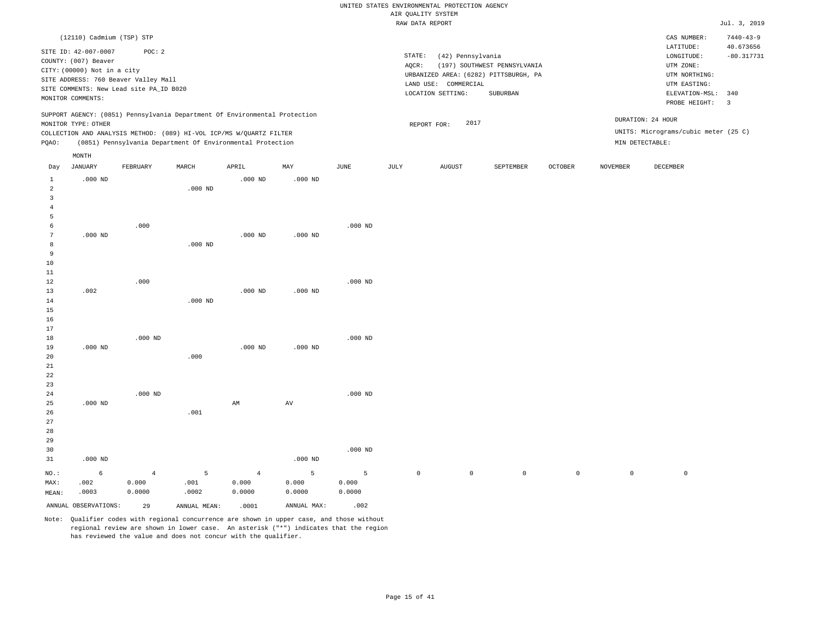|                                                                |                                                                                                                                                                                                                  |                             |                    |                                                                                                                                   |                      |                      |                 | UNITED STATES ENVIRONMENTAL PROTECTION AGENCY                  |                                                                                           |                |                 |                                                                                                                         |                                                                                |
|----------------------------------------------------------------|------------------------------------------------------------------------------------------------------------------------------------------------------------------------------------------------------------------|-----------------------------|--------------------|-----------------------------------------------------------------------------------------------------------------------------------|----------------------|----------------------|-----------------|----------------------------------------------------------------|-------------------------------------------------------------------------------------------|----------------|-----------------|-------------------------------------------------------------------------------------------------------------------------|--------------------------------------------------------------------------------|
|                                                                |                                                                                                                                                                                                                  |                             |                    |                                                                                                                                   |                      |                      |                 | AIR QUALITY SYSTEM<br>RAW DATA REPORT                          |                                                                                           |                |                 |                                                                                                                         | Jul. 3, 2019                                                                   |
|                                                                |                                                                                                                                                                                                                  |                             |                    |                                                                                                                                   |                      |                      |                 |                                                                |                                                                                           |                |                 |                                                                                                                         |                                                                                |
|                                                                | (12110) Cadmium (TSP) STP<br>SITE ID: 42-007-0007<br>COUNTY: (007) Beaver<br>CITY: (00000) Not in a city<br>SITE ADDRESS: 760 Beaver Valley Mall<br>SITE COMMENTS: New Lead site PA_ID B020<br>MONITOR COMMENTS: | POC: 2                      |                    |                                                                                                                                   |                      |                      | STATE:<br>AQCR: | (42) Pennsylvania<br>LAND USE: COMMERCIAL<br>LOCATION SETTING: | (197) SOUTHWEST PENNSYLVANIA<br>URBANIZED AREA: (6282) PITTSBURGH, PA<br>${\tt SUBURBAN}$ |                |                 | CAS NUMBER:<br>LATITUDE:<br>LONGITUDE:<br>UTM ZONE:<br>UTM NORTHING:<br>UTM EASTING:<br>ELEVATION-MSL:<br>PROBE HEIGHT: | $7440 - 43 - 9$<br>40.673656<br>$-80.317731$<br>340<br>$\overline{\mathbf{3}}$ |
|                                                                |                                                                                                                                                                                                                  |                             |                    | SUPPORT AGENCY: (0851) Pennsylvania Department Of Environmental Protection                                                        |                      |                      |                 |                                                                |                                                                                           |                |                 | DURATION: 24 HOUR                                                                                                       |                                                                                |
| PQAO:                                                          | MONITOR TYPE: OTHER                                                                                                                                                                                              |                             |                    | COLLECTION AND ANALYSIS METHOD: (089) HI-VOL ICP/MS W/QUARTZ FILTER<br>(0851) Pennsylvania Department Of Environmental Protection |                      |                      |                 | 2017<br>REPORT FOR:                                            |                                                                                           |                |                 | UNITS: Micrograms/cubic meter (25 C)<br>MIN DETECTABLE:                                                                 |                                                                                |
| Day                                                            | $\texttt{MONTH}$<br><b>JANUARY</b>                                                                                                                                                                               | FEBRUARY                    | MARCH              | APRIL                                                                                                                             | MAY                  | $_{\rm JUNE}$        | $\mathtt{JULY}$ | <b>AUGUST</b>                                                  | SEPTEMBER                                                                                 | <b>OCTOBER</b> | <b>NOVEMBER</b> | DECEMBER                                                                                                                |                                                                                |
| $\mathbf{1}$<br>$\overline{a}$<br>$\overline{3}$<br>$\sqrt{4}$ | $.000$ ND                                                                                                                                                                                                        |                             | $.000$ ND          | $.000$ ND                                                                                                                         | $.000$ ND            |                      |                 |                                                                |                                                                                           |                |                 |                                                                                                                         |                                                                                |
| 5<br>6<br>$7\phantom{.0}$<br>$\mathbf{a}$<br>$\overline{9}$    | $.000$ ND                                                                                                                                                                                                        | .000                        | $.000$ ND          | $.000$ ND                                                                                                                         | $.000$ ND            | $.000$ ND            |                 |                                                                |                                                                                           |                |                 |                                                                                                                         |                                                                                |
| 10<br>$1\,1$<br>12<br>13<br>14<br>15                           | .002                                                                                                                                                                                                             | .000                        | $.000$ ND          | $.000$ ND                                                                                                                         | $.000$ ND            | $.000$ ND            |                 |                                                                |                                                                                           |                |                 |                                                                                                                         |                                                                                |
| 16<br>17<br>$1\,8$<br>19<br>20<br>21                           | $.000$ ND                                                                                                                                                                                                        | $.000$ ND                   | .000               | $.000$ ND                                                                                                                         | $.000$ ND            | $.000$ ND            |                 |                                                                |                                                                                           |                |                 |                                                                                                                         |                                                                                |
| $2\sqrt{2}$<br>23<br>24<br>25<br>26<br>27                      | $.000$ ND                                                                                                                                                                                                        | $.000$ ND                   | .001               | AM                                                                                                                                | AV                   | $.000$ ND            |                 |                                                                |                                                                                           |                |                 |                                                                                                                         |                                                                                |
| 28<br>29<br>30<br>31                                           | $.000$ ND                                                                                                                                                                                                        |                             |                    |                                                                                                                                   | $.000$ ND            | $.000$ ND            |                 |                                                                |                                                                                           |                |                 |                                                                                                                         |                                                                                |
| NO.:<br>MAX:<br>MEAN:                                          | $\epsilon$<br>.002<br>.0003                                                                                                                                                                                      | $\bf{4}$<br>0.000<br>0.0000 | 5<br>.001<br>.0002 | $\overline{4}$<br>0.000<br>0.0000                                                                                                 | 5<br>0.000<br>0.0000 | 5<br>0.000<br>0.0000 | $\mathbb O$     | $\mathbb O$                                                    | $\circ$                                                                                   | $\mathbb O$    | $\circ$         | $\mathsf{O}\xspace$                                                                                                     |                                                                                |
|                                                                | ANNUAL OBSERVATIONS:                                                                                                                                                                                             | 29                          | ANNUAL, MEAN:      | .0001                                                                                                                             | ANNUAL MAX:          | .002                 |                 |                                                                |                                                                                           |                |                 |                                                                                                                         |                                                                                |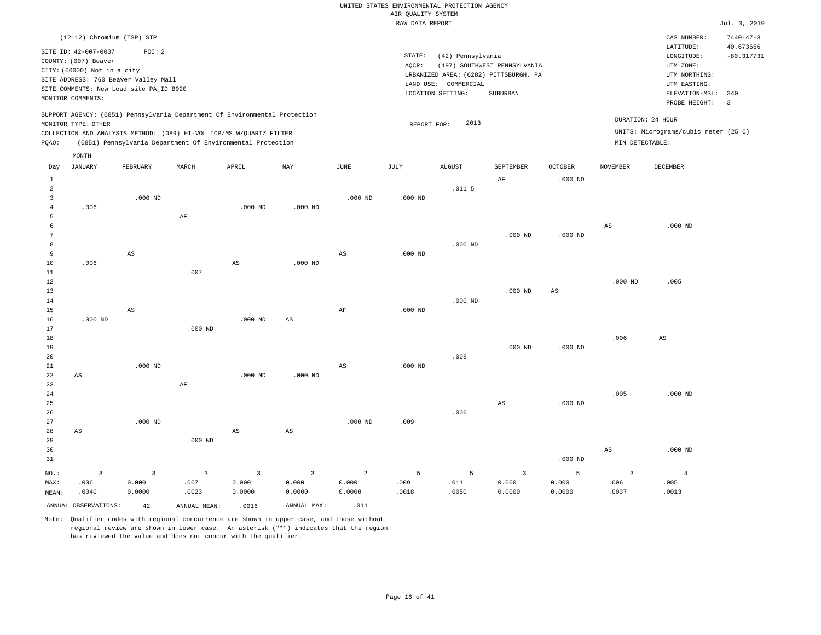|                 |  |  |                    |  | UNITED STATES ENVIRONMENTAL PROTECTION AGENCY |  |  |  |  |  |  |
|-----------------|--|--|--------------------|--|-----------------------------------------------|--|--|--|--|--|--|
|                 |  |  | AIR OUALITY SYSTEM |  |                                               |  |  |  |  |  |  |
| naw nama nunong |  |  |                    |  |                                               |  |  |  |  |  |  |

|                                |                                                                                                                                                                                     |                         |                        |                                                                                                                                   |                         |                         | RAW DATA REPORT |                                                                                                         |                                          |                |                        |                                                                                                              | Jul. 3, 2019                                |
|--------------------------------|-------------------------------------------------------------------------------------------------------------------------------------------------------------------------------------|-------------------------|------------------------|-----------------------------------------------------------------------------------------------------------------------------------|-------------------------|-------------------------|-----------------|---------------------------------------------------------------------------------------------------------|------------------------------------------|----------------|------------------------|--------------------------------------------------------------------------------------------------------------|---------------------------------------------|
|                                | (12112) Chromium (TSP) STP                                                                                                                                                          |                         |                        |                                                                                                                                   |                         |                         |                 |                                                                                                         |                                          |                |                        | CAS NUMBER:                                                                                                  | $7440 - 47 - 3$                             |
|                                | SITE ID: 42-007-0007<br>COUNTY: (007) Beaver<br>CITY: (00000) Not in a city<br>SITE ADDRESS: 760 Beaver Valley Mall<br>SITE COMMENTS: New Lead site PA_ID B020<br>MONITOR COMMENTS: | POC: 2                  |                        |                                                                                                                                   |                         |                         | STATE:<br>AQCR: | (42) Pennsylvania<br>URBANIZED AREA: (6282) PITTSBURGH, PA<br>LAND USE: COMMERCIAL<br>LOCATION SETTING: | (197) SOUTHWEST PENNSYLVANIA<br>SUBURBAN |                |                        | LATITUDE:<br>LONGITUDE:<br>UTM ZONE:<br>UTM NORTHING:<br>UTM EASTING:<br>ELEVATION-MSL: 340<br>PROBE HEIGHT: | 40.673656<br>$-80.317731$<br>$\overline{3}$ |
|                                |                                                                                                                                                                                     |                         |                        | SUPPORT AGENCY: (0851) Pennsylvania Department Of Environmental Protection                                                        |                         |                         |                 |                                                                                                         |                                          |                |                        | DURATION: 24 HOUR                                                                                            |                                             |
|                                | MONITOR TYPE: OTHER                                                                                                                                                                 |                         |                        |                                                                                                                                   |                         |                         | REPORT FOR:     | 2013                                                                                                    |                                          |                |                        | UNITS: Micrograms/cubic meter (25 C)                                                                         |                                             |
| PQAO:                          |                                                                                                                                                                                     |                         |                        | COLLECTION AND ANALYSIS METHOD: (089) HI-VOL ICP/MS W/QUARTZ FILTER<br>(0851) Pennsylvania Department Of Environmental Protection |                         |                         |                 |                                                                                                         |                                          |                | MIN DETECTABLE:        |                                                                                                              |                                             |
|                                |                                                                                                                                                                                     |                         |                        |                                                                                                                                   |                         |                         |                 |                                                                                                         |                                          |                |                        |                                                                                                              |                                             |
| Day                            | MONTH<br>JANUARY                                                                                                                                                                    | FEBRUARY                | MARCH                  | APRIL                                                                                                                             | MAY                     | JUNE                    | JULY            | <b>AUGUST</b>                                                                                           | SEPTEMBER                                | <b>OCTOBER</b> | <b>NOVEMBER</b>        | DECEMBER                                                                                                     |                                             |
|                                |                                                                                                                                                                                     |                         |                        |                                                                                                                                   |                         |                         |                 |                                                                                                         |                                          |                |                        |                                                                                                              |                                             |
| $\mathbf{1}$<br>$\overline{a}$ |                                                                                                                                                                                     |                         |                        |                                                                                                                                   |                         |                         |                 | .011 <sub>5</sub>                                                                                       | $\rm AF$                                 | $.000$ ND      |                        |                                                                                                              |                                             |
| 3                              |                                                                                                                                                                                     | $.000$ ND               |                        |                                                                                                                                   |                         | $.000$ ND               | $.000$ ND       |                                                                                                         |                                          |                |                        |                                                                                                              |                                             |
| $\overline{4}$                 | .006                                                                                                                                                                                |                         |                        | $.000$ ND                                                                                                                         | $.000$ ND               |                         |                 |                                                                                                         |                                          |                |                        |                                                                                                              |                                             |
| 5                              |                                                                                                                                                                                     |                         | $\rm AF$               |                                                                                                                                   |                         |                         |                 |                                                                                                         |                                          |                |                        |                                                                                                              |                                             |
| 6                              |                                                                                                                                                                                     |                         |                        |                                                                                                                                   |                         |                         |                 |                                                                                                         |                                          |                | AS                     | $.000$ ND                                                                                                    |                                             |
| 7<br>8                         |                                                                                                                                                                                     |                         |                        |                                                                                                                                   |                         |                         |                 | $.000$ ND                                                                                               | $.000$ ND                                | $.000$ ND      |                        |                                                                                                              |                                             |
| 9                              |                                                                                                                                                                                     | AS                      |                        |                                                                                                                                   |                         | AS                      | $.000$ ND       |                                                                                                         |                                          |                |                        |                                                                                                              |                                             |
| 10                             | .006                                                                                                                                                                                |                         |                        | $\mathbb{A}\mathbb{S}$                                                                                                            | $.000$ ND               |                         |                 |                                                                                                         |                                          |                |                        |                                                                                                              |                                             |
| $11\,$                         |                                                                                                                                                                                     |                         | .007                   |                                                                                                                                   |                         |                         |                 |                                                                                                         |                                          |                |                        |                                                                                                              |                                             |
| 12                             |                                                                                                                                                                                     |                         |                        |                                                                                                                                   |                         |                         |                 |                                                                                                         |                                          |                | $.000$ ND              | .005                                                                                                         |                                             |
| 13                             |                                                                                                                                                                                     |                         |                        |                                                                                                                                   |                         |                         |                 |                                                                                                         | $.000$ ND                                | $_{\rm AS}$    |                        |                                                                                                              |                                             |
| 14                             |                                                                                                                                                                                     |                         |                        |                                                                                                                                   |                         |                         |                 | $.000$ ND                                                                                               |                                          |                |                        |                                                                                                              |                                             |
| 15<br>16                       | $.000$ ND                                                                                                                                                                           | $_{\rm AS}$             |                        | $.000$ ND                                                                                                                         | AS                      | AF                      | $.000$ ND       |                                                                                                         |                                          |                |                        |                                                                                                              |                                             |
| 17                             |                                                                                                                                                                                     |                         | $.000$ ND              |                                                                                                                                   |                         |                         |                 |                                                                                                         |                                          |                |                        |                                                                                                              |                                             |
| 18                             |                                                                                                                                                                                     |                         |                        |                                                                                                                                   |                         |                         |                 |                                                                                                         |                                          |                | .006                   | AS                                                                                                           |                                             |
| 19                             |                                                                                                                                                                                     |                         |                        |                                                                                                                                   |                         |                         |                 |                                                                                                         | $.000$ ND                                | $.000$ ND      |                        |                                                                                                              |                                             |
| 20                             |                                                                                                                                                                                     |                         |                        |                                                                                                                                   |                         |                         |                 | .008                                                                                                    |                                          |                |                        |                                                                                                              |                                             |
| 21                             |                                                                                                                                                                                     | $.000$ ND               |                        |                                                                                                                                   |                         | $\mathbb{A}\mathbb{S}$  | $.000$ ND       |                                                                                                         |                                          |                |                        |                                                                                                              |                                             |
| 22<br>23                       | $\mathbb{A}\mathbb{S}$                                                                                                                                                              |                         | AF                     | $.000$ ND                                                                                                                         | $.000$ ND               |                         |                 |                                                                                                         |                                          |                |                        |                                                                                                              |                                             |
| 24                             |                                                                                                                                                                                     |                         |                        |                                                                                                                                   |                         |                         |                 |                                                                                                         |                                          |                | .005                   | $.000$ ND                                                                                                    |                                             |
| 25                             |                                                                                                                                                                                     |                         |                        |                                                                                                                                   |                         |                         |                 |                                                                                                         | $\mathbb{A}\mathbb{S}$                   | $.000$ ND      |                        |                                                                                                              |                                             |
| 26                             |                                                                                                                                                                                     |                         |                        |                                                                                                                                   |                         |                         |                 | .006                                                                                                    |                                          |                |                        |                                                                                                              |                                             |
| 27                             |                                                                                                                                                                                     | $.000$ ND               |                        |                                                                                                                                   |                         | $.000$ ND               | .009            |                                                                                                         |                                          |                |                        |                                                                                                              |                                             |
| 28                             | AS                                                                                                                                                                                  |                         |                        | $\mathbb{A}\mathbb{S}$                                                                                                            | $\mathbb{A}\mathbb{S}$  |                         |                 |                                                                                                         |                                          |                |                        |                                                                                                              |                                             |
| 29<br>30                       |                                                                                                                                                                                     |                         | $.000$ ND              |                                                                                                                                   |                         |                         |                 |                                                                                                         |                                          |                | $\mathbb{A}\mathbb{S}$ | $.000$ ND                                                                                                    |                                             |
| 31                             |                                                                                                                                                                                     |                         |                        |                                                                                                                                   |                         |                         |                 |                                                                                                         |                                          | $.000$ ND      |                        |                                                                                                              |                                             |
|                                |                                                                                                                                                                                     |                         |                        |                                                                                                                                   |                         |                         |                 |                                                                                                         |                                          |                |                        |                                                                                                              |                                             |
| NO.:<br>MAX:                   | $\overline{3}$<br>.006                                                                                                                                                              | $\overline{3}$<br>0.000 | $\overline{3}$<br>.007 | $\overline{3}$<br>0.000                                                                                                           | $\overline{3}$<br>0.000 | $\overline{a}$<br>0.000 | 5<br>.009       | 5<br>.011                                                                                               | $\overline{3}$<br>0.000                  | 5<br>0.000     | $\overline{3}$<br>.006 | $\overline{4}$<br>.005                                                                                       |                                             |
| MEAN:                          | .0040                                                                                                                                                                               | 0.0000                  | .0023                  | 0.0000                                                                                                                            | 0.0000                  | 0.0000                  | .0018           | .0050                                                                                                   | 0.0000                                   | 0.0000         | .0037                  | .0013                                                                                                        |                                             |
|                                | ANNUAL OBSERVATIONS:                                                                                                                                                                |                         |                        |                                                                                                                                   | ANNUAL MAX:             | .011                    |                 |                                                                                                         |                                          |                |                        |                                                                                                              |                                             |
|                                |                                                                                                                                                                                     | 42                      | ANNUAL MEAN:           | .0016                                                                                                                             |                         |                         |                 |                                                                                                         |                                          |                |                        |                                                                                                              |                                             |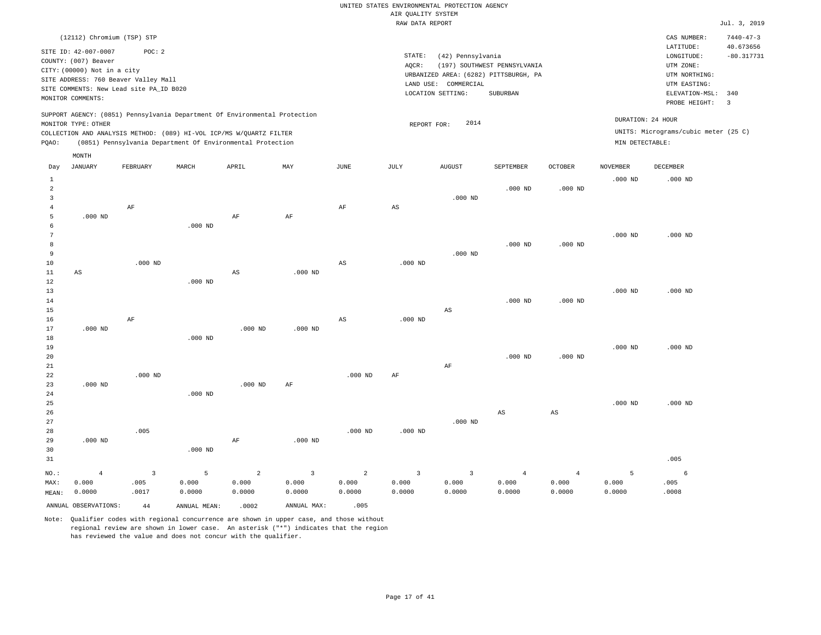|  |  |                    | UNITED STATES ENVIRONMENTAL PROTECTION AGENCY |  |
|--|--|--------------------|-----------------------------------------------|--|
|  |  | AIR OUALITY SYSTEM |                                               |  |
|  |  | תתמתתת גתגת שגם    |                                               |  |

|                |                                         |                         |              |                                                                            |                |                        | RAW DATA REPORT         |                         |                                       |                |                    |                                      | Jul. 3, 2019    |
|----------------|-----------------------------------------|-------------------------|--------------|----------------------------------------------------------------------------|----------------|------------------------|-------------------------|-------------------------|---------------------------------------|----------------|--------------------|--------------------------------------|-----------------|
|                | (12112) Chromium (TSP) STP              |                         |              |                                                                            |                |                        |                         |                         |                                       |                |                    | CAS NUMBER:                          | $7440 - 47 - 3$ |
|                | SITE ID: 42-007-0007                    | POC: 2                  |              |                                                                            |                |                        |                         |                         |                                       |                |                    | LATITUDE:                            | 40.673656       |
|                | COUNTY: (007) Beaver                    |                         |              |                                                                            |                |                        | STATE:                  | (42) Pennsylvania       |                                       |                |                    | LONGITUDE:                           | $-80.317731$    |
|                | CITY: (00000) Not in a city             |                         |              |                                                                            |                |                        | AQCR:                   |                         | (197) SOUTHWEST PENNSYLVANIA          |                |                    | UTM ZONE:                            |                 |
|                | SITE ADDRESS: 760 Beaver Valley Mall    |                         |              |                                                                            |                |                        |                         |                         | URBANIZED AREA: (6282) PITTSBURGH, PA |                |                    | UTM NORTHING:                        |                 |
|                | SITE COMMENTS: New Lead site PA_ID B020 |                         |              |                                                                            |                |                        |                         | LAND USE: COMMERCIAL    |                                       |                |                    | UTM EASTING:                         |                 |
|                | MONITOR COMMENTS:                       |                         |              |                                                                            |                |                        |                         | LOCATION SETTING:       | SUBURBAN                              |                |                    | ELEVATION-MSL:                       | 340             |
|                |                                         |                         |              |                                                                            |                |                        |                         |                         |                                       |                |                    | PROBE HEIGHT:                        | $\overline{3}$  |
|                | MONITOR TYPE: OTHER                     |                         |              | SUPPORT AGENCY: (0851) Pennsylvania Department Of Environmental Protection |                |                        | REPORT FOR:             | 2014                    |                                       |                |                    | DURATION: 24 HOUR                    |                 |
|                |                                         |                         |              | COLLECTION AND ANALYSIS METHOD: (089) HI-VOL ICP/MS W/OUARTZ FILTER        |                |                        |                         |                         |                                       |                |                    | UNITS: Micrograms/cubic meter (25 C) |                 |
| PQAO:          |                                         |                         |              | (0851) Pennsylvania Department Of Environmental Protection                 |                |                        |                         |                         |                                       |                | MIN DETECTABLE:    |                                      |                 |
|                | MONTH                                   |                         |              |                                                                            |                |                        |                         |                         |                                       |                |                    |                                      |                 |
| Day            | <b>JANUARY</b>                          | FEBRUARY                | MARCH        | APRIL                                                                      | MAY            | $_{\rm JUNE}$          | <b>JULY</b>             | <b>AUGUST</b>           | SEPTEMBER                             | <b>OCTOBER</b> | <b>NOVEMBER</b>    | DECEMBER                             |                 |
| $\mathbf{1}$   |                                         |                         |              |                                                                            |                |                        |                         |                         |                                       |                | $.000$ ND          | $.000$ ND                            |                 |
| $\overline{a}$ |                                         |                         |              |                                                                            |                |                        |                         |                         | $.000$ ND                             | $.000$ ND      |                    |                                      |                 |
| 3              |                                         |                         |              |                                                                            |                |                        |                         | $.000$ ND               |                                       |                |                    |                                      |                 |
| $\overline{4}$ |                                         | AF                      |              |                                                                            |                | AF                     | $\mathbb{A}\mathbb{S}$  |                         |                                       |                |                    |                                      |                 |
| 5              | $.000$ ND                               |                         |              | $\rm AF$                                                                   | AF             |                        |                         |                         |                                       |                |                    |                                      |                 |
| 6              |                                         |                         | $.000$ ND    |                                                                            |                |                        |                         |                         |                                       |                |                    |                                      |                 |
| 7              |                                         |                         |              |                                                                            |                |                        |                         |                         |                                       |                | .000 <sub>ND</sub> | $.000$ ND                            |                 |
| 8              |                                         |                         |              |                                                                            |                |                        |                         |                         | $.000$ ND                             | $.000$ ND      |                    |                                      |                 |
| 9              |                                         |                         |              |                                                                            |                |                        |                         | $.000$ ND               |                                       |                |                    |                                      |                 |
| 10             |                                         | $.000$ ND               |              |                                                                            |                | $_{\rm AS}$            | $.000$ ND               |                         |                                       |                |                    |                                      |                 |
| 11             | AS                                      |                         |              | AS                                                                         | $.000$ ND      |                        |                         |                         |                                       |                |                    |                                      |                 |
| $1\,2$         |                                         |                         | $.000$ ND    |                                                                            |                |                        |                         |                         |                                       |                |                    |                                      |                 |
| 13             |                                         |                         |              |                                                                            |                |                        |                         |                         |                                       |                | $.000$ ND          | $.000$ ND                            |                 |
| 14             |                                         |                         |              |                                                                            |                |                        |                         |                         | $.000$ ND                             | $.000$ ND      |                    |                                      |                 |
| 15             |                                         |                         |              |                                                                            |                |                        |                         | $\mathbb{A}\mathbb{S}$  |                                       |                |                    |                                      |                 |
| 16             |                                         | $\rm AF$                |              |                                                                            |                | $\mathbb{A}\mathbb{S}$ | $.000$ ND               |                         |                                       |                |                    |                                      |                 |
| 17             | $.000$ ND                               |                         |              | $.000$ ND                                                                  | $.000$ ND      |                        |                         |                         |                                       |                |                    |                                      |                 |
| 18             |                                         |                         | $.000$ ND    |                                                                            |                |                        |                         |                         |                                       |                | $.000$ ND          | $.000$ ND                            |                 |
| 19<br>20       |                                         |                         |              |                                                                            |                |                        |                         |                         | $.000$ ND                             | $.000$ ND      |                    |                                      |                 |
| 21             |                                         |                         |              |                                                                            |                |                        |                         | AF                      |                                       |                |                    |                                      |                 |
| 22             |                                         | $.000$ ND               |              |                                                                            |                | $.000$ ND              | AF                      |                         |                                       |                |                    |                                      |                 |
| 23             | $.000$ ND                               |                         |              | $.000$ ND                                                                  | AF             |                        |                         |                         |                                       |                |                    |                                      |                 |
| 24             |                                         |                         | $.000$ ND    |                                                                            |                |                        |                         |                         |                                       |                |                    |                                      |                 |
| 25             |                                         |                         |              |                                                                            |                |                        |                         |                         |                                       |                | $.000$ ND          | $.000$ ND                            |                 |
| 26             |                                         |                         |              |                                                                            |                |                        |                         |                         | AS                                    | $_{\rm AS}$    |                    |                                      |                 |
| 27             |                                         |                         |              |                                                                            |                |                        |                         | $.000$ ND               |                                       |                |                    |                                      |                 |
| 28             |                                         | .005                    |              |                                                                            |                | $.000$ ND              | $.000$ ND               |                         |                                       |                |                    |                                      |                 |
| 29             | $.000$ ND                               |                         |              | AF                                                                         | $.000$ ND      |                        |                         |                         |                                       |                |                    |                                      |                 |
| 30             |                                         |                         | $.000$ ND    |                                                                            |                |                        |                         |                         |                                       |                |                    |                                      |                 |
| 31             |                                         |                         |              |                                                                            |                |                        |                         |                         |                                       |                |                    | .005                                 |                 |
|                |                                         |                         |              |                                                                            |                |                        |                         |                         |                                       |                |                    |                                      |                 |
| NO.:           | $\overline{4}$                          | $\overline{\mathbf{3}}$ | 5            | $\overline{a}$                                                             | $\overline{3}$ | $\overline{a}$         | $\overline{\mathbf{3}}$ | $\overline{\mathbf{3}}$ | $\overline{4}$                        | $\overline{4}$ | 5                  | 6                                    |                 |
| MAX:           | 0.000                                   | .005                    | 0.000        | 0.000                                                                      | 0.000          | 0.000                  | 0.000                   | 0.000                   | 0.000                                 | 0.000          | 0.000              | .005                                 |                 |
| MEAN:          | 0.0000                                  | .0017                   | 0.0000       | 0.0000                                                                     | 0.0000         | 0.0000                 | 0.0000                  | 0.0000                  | 0.0000                                | 0.0000         | 0.0000             | .0008                                |                 |
|                | ANNUAL OBSERVATIONS:                    | 44                      | ANNUAL MEAN: | .0002                                                                      | ANNUAL MAX:    | .005                   |                         |                         |                                       |                |                    |                                      |                 |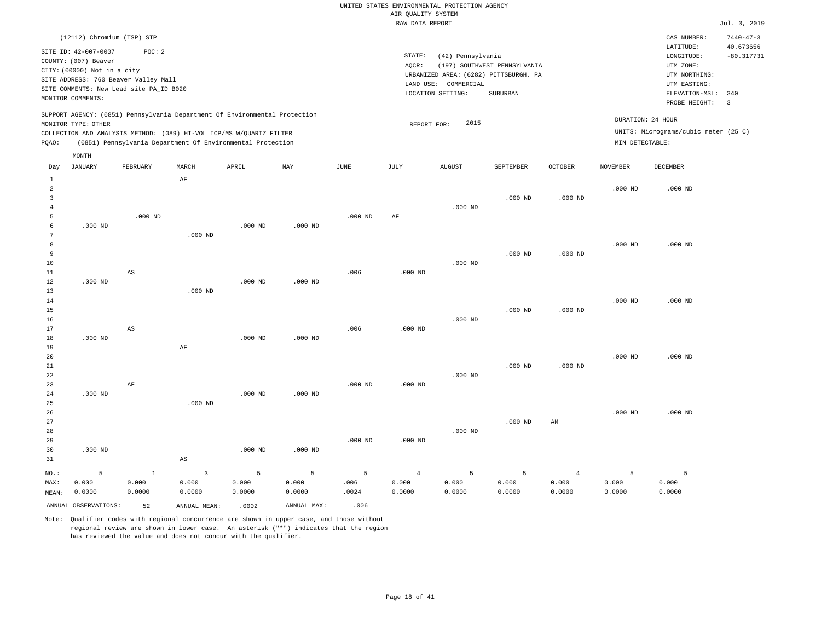# UNITED STATES ENVIRONMENTAL PROTECTION AGENCY AIR QUALITY SYSTEM

|                                  |                                                                                                                                |                                                                                           |           |                                                                                                                                                                                                                 |           |           | RAW DATA REPORT |                                                                                                         |                                          |                |                 |                                                                                                                         | Jul. 3, 2019                                                                   |
|----------------------------------|--------------------------------------------------------------------------------------------------------------------------------|-------------------------------------------------------------------------------------------|-----------|-----------------------------------------------------------------------------------------------------------------------------------------------------------------------------------------------------------------|-----------|-----------|-----------------|---------------------------------------------------------------------------------------------------------|------------------------------------------|----------------|-----------------|-------------------------------------------------------------------------------------------------------------------------|--------------------------------------------------------------------------------|
|                                  | (12112) Chromium (TSP) STP<br>SITE ID: 42-007-0007<br>COUNTY: (007) Beaver<br>CITY: (00000) Not in a city<br>MONITOR COMMENTS: | POC: 2<br>SITE ADDRESS: 760 Beaver Valley Mall<br>SITE COMMENTS: New Lead site PA_ID B020 |           |                                                                                                                                                                                                                 |           |           | STATE:<br>AQCR: | (42) Pennsylvania<br>URBANIZED AREA: (6282) PITTSBURGH, PA<br>LAND USE: COMMERCIAL<br>LOCATION SETTING: | (197) SOUTHWEST PENNSYLVANIA<br>SUBURBAN |                |                 | CAS NUMBER:<br>LATITUDE:<br>LONGITUDE:<br>UTM ZONE:<br>UTM NORTHING:<br>UTM EASTING:<br>ELEVATION-MSL:<br>PROBE HEIGHT: | $7440 - 47 - 3$<br>40.673656<br>$-80.317731$<br>340<br>$\overline{\mathbf{3}}$ |
| POAO:                            | MONITOR TYPE: OTHER                                                                                                            |                                                                                           |           | SUPPORT AGENCY: (0851) Pennsylvania Department Of Environmental Protection<br>COLLECTION AND ANALYSIS METHOD: (089) HI-VOL ICP/MS W/QUARTZ FILTER<br>(0851) Pennsylvania Department Of Environmental Protection |           |           |                 | 2015<br>REPORT FOR:                                                                                     |                                          |                | MIN DETECTABLE: | DURATION: 24 HOUR<br>UNITS: Micrograms/cubic meter (25 C)                                                               |                                                                                |
| Day                              | MONTH<br>JANUARY                                                                                                               | FEBRUARY                                                                                  | MARCH     | APRIL                                                                                                                                                                                                           | MAY       | JUNE      | JULY            | AUGUST                                                                                                  | SEPTEMBER                                | <b>OCTOBER</b> | <b>NOVEMBER</b> | DECEMBER                                                                                                                |                                                                                |
| 1<br>$\mathfrak{D}$              |                                                                                                                                | $.000$ ND                                                                                 | AF        |                                                                                                                                                                                                                 |           | $.000$ ND | AF              | $.000$ ND                                                                                               | $.000$ ND                                | $.000$ ND      | $.000$ ND       | $.000$ ND                                                                                                               |                                                                                |
| 9<br>10<br>11                    | $.000$ ND                                                                                                                      | AS                                                                                        | $.000$ ND | $.000$ ND                                                                                                                                                                                                       | $.000$ ND | .006      | $.000$ ND       | $.000$ ND                                                                                               | $.000$ ND                                | $.000$ ND      | $.000$ ND       | $.000$ ND                                                                                                               |                                                                                |
| 12<br>13<br>14<br>15<br>16<br>17 | $.000$ ND                                                                                                                      | AS                                                                                        | $.000$ ND | .000 <sub>ND</sub>                                                                                                                                                                                              | $.000$ ND | .006      | $.000$ ND       | $.000$ ND                                                                                               | $.000$ ND                                | $.000$ ND      | $.000$ ND       | $.000$ ND                                                                                                               |                                                                                |

18 19 20 21 .000 ND AF .000 ND .000 ND

22 23 24 25 26 27 28 29 30 31 .000 ND .000 ND AF .000 ND AS .000 ND .000 ND .000 ND .000 ND .000 ND .000 ND .000 ND .000 ND .000 ND .000 ND .000 ND AM .000 ND .000 ND

| NO.:  |                         |        |              |        | 5 1 3 5 5 5 4 5 5 4 |       |        |        |        |        |        |        |
|-------|-------------------------|--------|--------------|--------|---------------------|-------|--------|--------|--------|--------|--------|--------|
| MAX:  | 0.000                   | 0.000  | 0.000        | 0.000  | 0.000               | .006  | 0.000  | 0.000  | 0.000  | 0.000  | 0.000  | 0.000  |
| MEAN: | 0.0000                  | 0.0000 | 0.0000       | 0.0000 | 0.0000              | .0024 | 0.0000 | 0.0000 | 0.0000 | 0.0000 | 0.0000 | 0.0000 |
|       | ANNUAL OBSERVATIONS: 52 |        | ANNUAL MEAN: | .0002  | ANNUAL MAX:         | .006  |        |        |        |        |        |        |

Note: Qualifier codes with regional concurrence are shown in upper case, and those without regional review are shown in lower case. An asterisk ("\*") indicates that the region has reviewed the value and does not concur with the qualifier.

.000 ND

.000 ND

.000 ND

.000 ND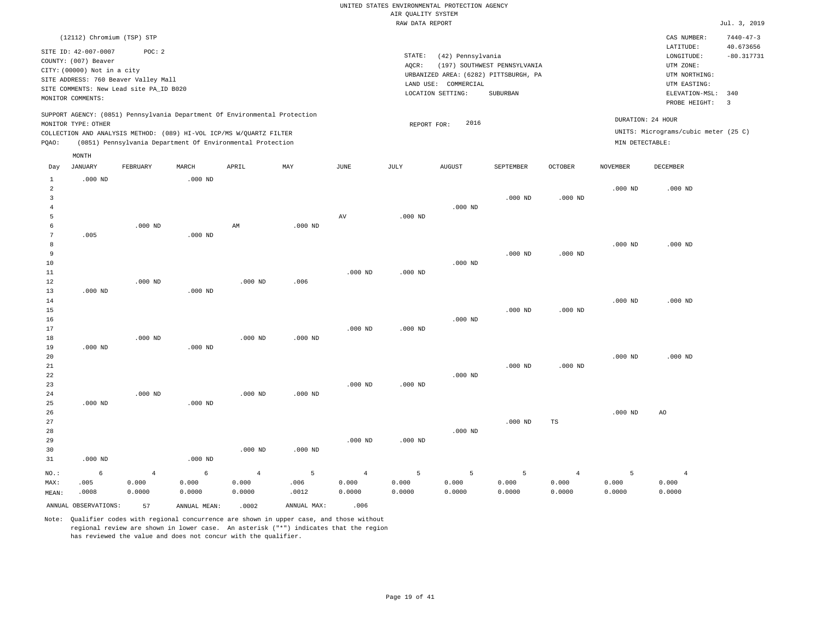|                | (12112) Chromium (TSP) STP  |                                         |           |                                                                                                                                   |           |                |                 |                      |                                       |                |                 | CAS NUMBER:                          | $7440 - 47 - 3$         |
|----------------|-----------------------------|-----------------------------------------|-----------|-----------------------------------------------------------------------------------------------------------------------------------|-----------|----------------|-----------------|----------------------|---------------------------------------|----------------|-----------------|--------------------------------------|-------------------------|
|                | SITE ID: 42-007-0007        | POC: 2                                  |           |                                                                                                                                   |           |                |                 |                      |                                       |                |                 | LATITUDE:                            | 40.673656               |
|                | COUNTY: (007) Beaver        |                                         |           |                                                                                                                                   |           |                | STATE:<br>AOCR: | (42) Pennsylvania    | (197) SOUTHWEST PENNSYLVANIA          |                |                 | LONGITUDE:<br>UTM ZONE:              | $-80.317731$            |
|                | CITY: (00000) Not in a city |                                         |           |                                                                                                                                   |           |                |                 |                      | URBANIZED AREA: (6282) PITTSBURGH, PA |                |                 | UTM NORTHING:                        |                         |
|                |                             | SITE ADDRESS: 760 Beaver Valley Mall    |           |                                                                                                                                   |           |                |                 | LAND USE: COMMERCIAL |                                       |                |                 | UTM EASTING:                         |                         |
|                |                             | SITE COMMENTS: New Lead site PA_ID B020 |           |                                                                                                                                   |           |                |                 | LOCATION SETTING:    | SUBURBAN                              |                |                 | ELEVATION-MSL:                       | 340                     |
|                | MONITOR COMMENTS:           |                                         |           |                                                                                                                                   |           |                |                 |                      |                                       |                |                 | PROBE HEIGHT:                        | $\overline{\mathbf{3}}$ |
|                |                             |                                         |           | SUPPORT AGENCY: (0851) Pennsylvania Department Of Environmental Protection                                                        |           |                |                 |                      |                                       |                |                 | DURATION: 24 HOUR                    |                         |
|                | MONITOR TYPE: OTHER         |                                         |           |                                                                                                                                   |           |                | REPORT FOR:     | 2016                 |                                       |                |                 | UNITS: Micrograms/cubic meter (25 C) |                         |
| PQAO:          |                             |                                         |           | COLLECTION AND ANALYSIS METHOD: (089) HI-VOL ICP/MS W/QUARTZ FILTER<br>(0851) Pennsylvania Department Of Environmental Protection |           |                |                 |                      |                                       |                | MIN DETECTABLE: |                                      |                         |
|                | MONTH                       |                                         |           |                                                                                                                                   |           |                |                 |                      |                                       |                |                 |                                      |                         |
| Day            | JANUARY                     | FEBRUARY                                | MARCH     | APRIL                                                                                                                             | MAY       | JUNE           | JULY            | <b>AUGUST</b>        | SEPTEMBER                             | <b>OCTOBER</b> | <b>NOVEMBER</b> | DECEMBER                             |                         |
| <sup>1</sup>   | $.000$ ND                   |                                         | $.000$ ND |                                                                                                                                   |           |                |                 |                      |                                       |                |                 |                                      |                         |
| $\overline{a}$ |                             |                                         |           |                                                                                                                                   |           |                |                 |                      |                                       |                | $.000$ ND       | $.000$ ND                            |                         |
| 3              |                             |                                         |           |                                                                                                                                   |           |                |                 |                      | $.000$ ND                             | $.000$ ND      |                 |                                      |                         |
| $\overline{4}$ |                             |                                         |           |                                                                                                                                   |           |                |                 | $.000$ ND            |                                       |                |                 |                                      |                         |
| 5              |                             |                                         |           |                                                                                                                                   |           | AV             | $.000$ ND       |                      |                                       |                |                 |                                      |                         |
| 6              |                             | $.000$ ND                               |           | AM                                                                                                                                | $.000$ ND |                |                 |                      |                                       |                |                 |                                      |                         |
| 7              | .005                        |                                         | $.000$ ND |                                                                                                                                   |           |                |                 |                      |                                       |                |                 |                                      |                         |
| 8              |                             |                                         |           |                                                                                                                                   |           |                |                 |                      |                                       |                | $.000$ ND       | $.000$ ND                            |                         |
| 9<br>10        |                             |                                         |           |                                                                                                                                   |           |                |                 | $.000$ ND            | $.000$ ND                             | $.000$ ND      |                 |                                      |                         |
| 11             |                             |                                         |           |                                                                                                                                   |           | $.000$ ND      | $.000$ ND       |                      |                                       |                |                 |                                      |                         |
| 12             |                             | $.000$ ND                               |           | $.000$ ND                                                                                                                         | .006      |                |                 |                      |                                       |                |                 |                                      |                         |
| 13             | $.000$ ND                   |                                         | $.000$ ND |                                                                                                                                   |           |                |                 |                      |                                       |                |                 |                                      |                         |
| 14             |                             |                                         |           |                                                                                                                                   |           |                |                 |                      |                                       |                | $.000$ ND       | $.000$ ND                            |                         |
| 15             |                             |                                         |           |                                                                                                                                   |           |                |                 |                      | $.000$ ND                             | $.000$ ND      |                 |                                      |                         |
| 16             |                             |                                         |           |                                                                                                                                   |           |                |                 | $.000$ ND            |                                       |                |                 |                                      |                         |
| 17             |                             |                                         |           |                                                                                                                                   |           | $.000$ ND      | $.000$ ND       |                      |                                       |                |                 |                                      |                         |
| 18             |                             | $.000$ ND                               |           | $.000$ ND                                                                                                                         | $.000$ ND |                |                 |                      |                                       |                |                 |                                      |                         |
| 19             | $.000$ ND                   |                                         | $.000$ ND |                                                                                                                                   |           |                |                 |                      |                                       |                |                 |                                      |                         |
| 20<br>21       |                             |                                         |           |                                                                                                                                   |           |                |                 |                      | $.000$ ND                             | $.000$ ND      | $.000$ ND       | $.000$ ND                            |                         |
| 22             |                             |                                         |           |                                                                                                                                   |           |                |                 | $.000$ ND            |                                       |                |                 |                                      |                         |
| 23             |                             |                                         |           |                                                                                                                                   |           | $.000$ ND      | $.000$ ND       |                      |                                       |                |                 |                                      |                         |
| 24             |                             | $.000$ ND                               |           | $.000$ ND                                                                                                                         | $.000$ ND |                |                 |                      |                                       |                |                 |                                      |                         |
| 25             | $.000$ ND                   |                                         | $.000$ ND |                                                                                                                                   |           |                |                 |                      |                                       |                |                 |                                      |                         |
| 26             |                             |                                         |           |                                                                                                                                   |           |                |                 |                      |                                       |                | $.000$ ND       | A0                                   |                         |
| 27             |                             |                                         |           |                                                                                                                                   |           |                |                 |                      | $.000$ ND                             | TS             |                 |                                      |                         |
| 28             |                             |                                         |           |                                                                                                                                   |           |                |                 | $.000$ ND            |                                       |                |                 |                                      |                         |
| 29             |                             |                                         |           |                                                                                                                                   |           | $.000$ ND      | $.000$ ND       |                      |                                       |                |                 |                                      |                         |
| 30             |                             |                                         |           | $.000$ ND                                                                                                                         | $.000$ ND |                |                 |                      |                                       |                |                 |                                      |                         |
| 31             | $.000$ ND                   |                                         | $.000$ ND |                                                                                                                                   |           |                |                 |                      |                                       |                |                 |                                      |                         |
| NO.:           | 6                           | $\overline{4}$                          | 6         | $\overline{4}$                                                                                                                    | 5         | $\overline{4}$ | 5               | 5                    | 5                                     | $\overline{4}$ | 5               | $\overline{4}$                       |                         |
| MAX:           | .005                        | 0.000                                   | 0.000     | 0.000                                                                                                                             | .006      | 0.000          | 0.000           | 0.000                | 0.000                                 | 0.000          | 0.000           | 0.000                                |                         |
| MEAN:          | .0008                       | 0.0000                                  | 0.0000    | 0.0000                                                                                                                            | .0012     | 0.0000         | 0.0000          | 0.0000               | 0.0000                                | 0.0000         | 0.0000          | 0.0000                               |                         |

Note: Qualifier codes with regional concurrence are shown in upper case, and those without regional review are shown in lower case. An asterisk ("\*") indicates that the region has reviewed the value and does not concur with the qualifier.

ANNUAL OBSERVATIONS: 57 ANNUAL MEAN: .0002 ANNUAL MAX: .006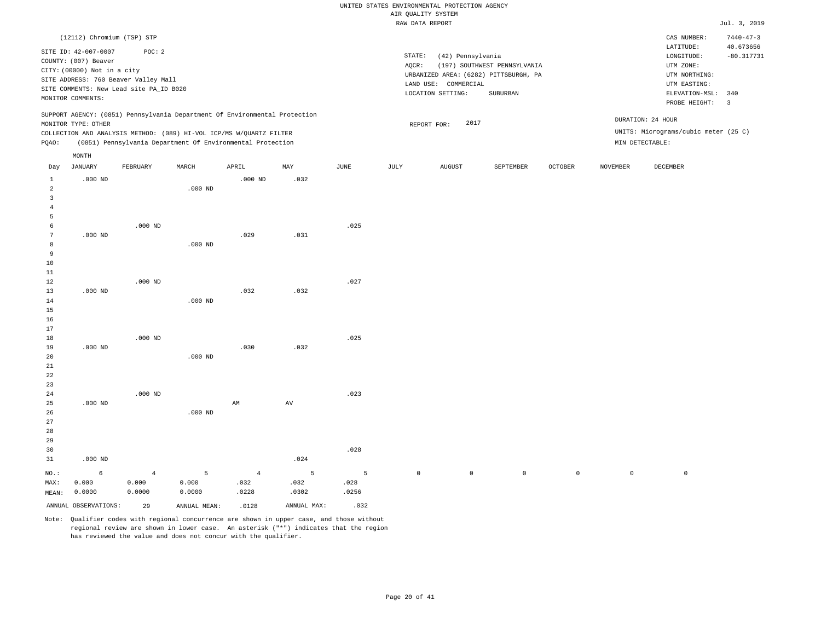|                                  |                                              |                |                                                                                                                                   |                |             |             |         | UNITED STATES ENVIRONMENTAL PROTECTION AGENCY |                                       |                |                 |                                      |                                |
|----------------------------------|----------------------------------------------|----------------|-----------------------------------------------------------------------------------------------------------------------------------|----------------|-------------|-------------|---------|-----------------------------------------------|---------------------------------------|----------------|-----------------|--------------------------------------|--------------------------------|
|                                  |                                              |                |                                                                                                                                   |                |             |             |         | AIR QUALITY SYSTEM                            |                                       |                |                 |                                      |                                |
|                                  |                                              |                |                                                                                                                                   |                |             |             |         | RAW DATA REPORT                               |                                       |                |                 |                                      | Jul. 3, 2019                   |
|                                  | (12112) Chromium (TSP) STP                   |                |                                                                                                                                   |                |             |             |         |                                               |                                       |                |                 | CAS NUMBER:<br>LATITUDE:             | $7440 - 47 - 3$<br>40.673656   |
|                                  | SITE ID: 42-007-0007<br>COUNTY: (007) Beaver | POC: 2         |                                                                                                                                   |                |             |             | STATE:  | (42) Pennsylvania                             |                                       |                |                 | LONGITUDE:                           | $-80.317731$                   |
|                                  | CITY: (00000) Not in a city                  |                |                                                                                                                                   |                |             |             | AQCR:   |                                               | (197) SOUTHWEST PENNSYLVANIA          |                |                 | UTM ZONE:                            |                                |
|                                  | SITE ADDRESS: 760 Beaver Valley Mall         |                |                                                                                                                                   |                |             |             |         |                                               | URBANIZED AREA: (6282) PITTSBURGH, PA |                |                 | UTM NORTHING:                        |                                |
|                                  | SITE COMMENTS: New Lead site PA_ID B020      |                |                                                                                                                                   |                |             |             |         | LAND USE: COMMERCIAL                          |                                       |                |                 | UTM EASTING:                         |                                |
|                                  | MONITOR COMMENTS:                            |                |                                                                                                                                   |                |             |             |         | LOCATION SETTING:                             | SUBURBAN                              |                |                 | ELEVATION-MSL:<br>PROBE HEIGHT:      | 340<br>$\overline{\mathbf{3}}$ |
|                                  |                                              |                | SUPPORT AGENCY: (0851) Pennsylvania Department Of Environmental Protection                                                        |                |             |             |         |                                               |                                       |                |                 | DURATION: 24 HOUR                    |                                |
|                                  | MONITOR TYPE: OTHER                          |                |                                                                                                                                   |                |             |             |         | 2017<br>REPORT FOR:                           |                                       |                |                 | UNITS: Micrograms/cubic meter (25 C) |                                |
| PQAO:                            |                                              |                | COLLECTION AND ANALYSIS METHOD: (089) HI-VOL ICP/MS W/QUARTZ FILTER<br>(0851) Pennsylvania Department Of Environmental Protection |                |             |             |         |                                               |                                       |                |                 | MIN DETECTABLE:                      |                                |
|                                  | MONTH                                        |                |                                                                                                                                   |                |             |             |         |                                               |                                       |                |                 |                                      |                                |
| Day                              | <b>JANUARY</b>                               | FEBRUARY       | MARCH                                                                                                                             | APRIL          | MAY         | <b>JUNE</b> | JULY    | <b>AUGUST</b>                                 | SEPTEMBER                             | <b>OCTOBER</b> | <b>NOVEMBER</b> | DECEMBER                             |                                |
| $\mathbf{1}$                     | $.000$ ND                                    |                |                                                                                                                                   | $.000$ ND      | .032        |             |         |                                               |                                       |                |                 |                                      |                                |
| $\overline{a}$                   |                                              |                | $.000$ ND                                                                                                                         |                |             |             |         |                                               |                                       |                |                 |                                      |                                |
| $\overline{3}$<br>$\overline{4}$ |                                              |                |                                                                                                                                   |                |             |             |         |                                               |                                       |                |                 |                                      |                                |
| 5                                |                                              |                |                                                                                                                                   |                |             |             |         |                                               |                                       |                |                 |                                      |                                |
| 6                                |                                              | $.000$ ND      |                                                                                                                                   |                |             | .025        |         |                                               |                                       |                |                 |                                      |                                |
| 7                                | $.000$ ND                                    |                |                                                                                                                                   | .029           | .031        |             |         |                                               |                                       |                |                 |                                      |                                |
| 8                                |                                              |                | $.000$ ND                                                                                                                         |                |             |             |         |                                               |                                       |                |                 |                                      |                                |
| 9                                |                                              |                |                                                                                                                                   |                |             |             |         |                                               |                                       |                |                 |                                      |                                |
| $10$                             |                                              |                |                                                                                                                                   |                |             |             |         |                                               |                                       |                |                 |                                      |                                |
| 11                               |                                              |                |                                                                                                                                   |                |             |             |         |                                               |                                       |                |                 |                                      |                                |
| 12                               |                                              | $.000$ ND      |                                                                                                                                   |                |             | .027        |         |                                               |                                       |                |                 |                                      |                                |
| 13                               | $.000$ ND                                    |                |                                                                                                                                   | .032           | .032        |             |         |                                               |                                       |                |                 |                                      |                                |
| 14<br>15                         |                                              |                | $.000$ ND                                                                                                                         |                |             |             |         |                                               |                                       |                |                 |                                      |                                |
| 16                               |                                              |                |                                                                                                                                   |                |             |             |         |                                               |                                       |                |                 |                                      |                                |
| 17                               |                                              |                |                                                                                                                                   |                |             |             |         |                                               |                                       |                |                 |                                      |                                |
| 18                               |                                              | $.000$ ND      |                                                                                                                                   |                |             | .025        |         |                                               |                                       |                |                 |                                      |                                |
| 19                               | $.000$ ND                                    |                |                                                                                                                                   | .030           | .032        |             |         |                                               |                                       |                |                 |                                      |                                |
| 20                               |                                              |                | $.000$ ND                                                                                                                         |                |             |             |         |                                               |                                       |                |                 |                                      |                                |
| 21                               |                                              |                |                                                                                                                                   |                |             |             |         |                                               |                                       |                |                 |                                      |                                |
| $2\sqrt{2}$                      |                                              |                |                                                                                                                                   |                |             |             |         |                                               |                                       |                |                 |                                      |                                |
| 23                               |                                              |                |                                                                                                                                   |                |             |             |         |                                               |                                       |                |                 |                                      |                                |
| 24                               |                                              | $.000$ ND      |                                                                                                                                   |                |             | .023        |         |                                               |                                       |                |                 |                                      |                                |
| 25<br>26                         | $.000$ ND                                    |                | $.000$ ND                                                                                                                         | AM             | AV          |             |         |                                               |                                       |                |                 |                                      |                                |
| 27                               |                                              |                |                                                                                                                                   |                |             |             |         |                                               |                                       |                |                 |                                      |                                |
| 28                               |                                              |                |                                                                                                                                   |                |             |             |         |                                               |                                       |                |                 |                                      |                                |
| 29                               |                                              |                |                                                                                                                                   |                |             |             |         |                                               |                                       |                |                 |                                      |                                |
| 30                               |                                              |                |                                                                                                                                   |                |             | .028        |         |                                               |                                       |                |                 |                                      |                                |
| 31                               | $.000$ ND                                    |                |                                                                                                                                   |                | .024        |             |         |                                               |                                       |                |                 |                                      |                                |
| NO.:                             | $\epsilon$                                   | $\overline{4}$ | 5                                                                                                                                 | $\overline{4}$ | 5           | 5           | $\circ$ | $\mathbb O$                                   | $\mathsf 0$                           | $\mathbb O$    | $\circ$         | $\mathsf 0$                          |                                |
| MAX:                             | 0.000                                        | 0.000          | 0.000                                                                                                                             | .032           | .032        | .028        |         |                                               |                                       |                |                 |                                      |                                |
| MEAN:                            | 0.0000                                       | 0.0000         | 0.0000                                                                                                                            | .0228          | .0302       | .0256       |         |                                               |                                       |                |                 |                                      |                                |
|                                  | ANNUAL OBSERVATIONS:                         | 29             | ANNUAL MEAN:                                                                                                                      | .0128          | ANNUAL MAX: | .032        |         |                                               |                                       |                |                 |                                      |                                |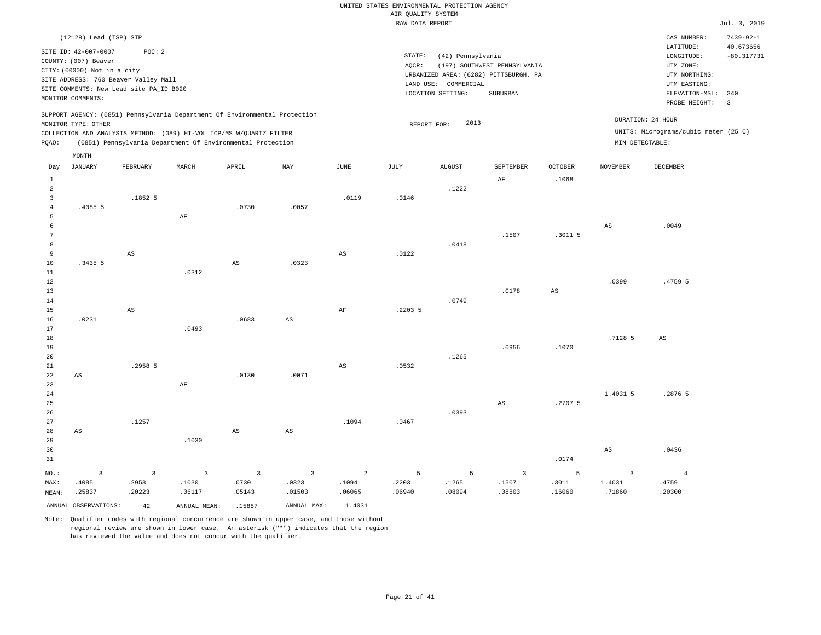|                |                                                              |                |                                                                            |                        |                         |                |                    | UNITED STATES ENVIRONMENTAL PROTECTION AGENCY |                                       |                |                         |                                      |                           |
|----------------|--------------------------------------------------------------|----------------|----------------------------------------------------------------------------|------------------------|-------------------------|----------------|--------------------|-----------------------------------------------|---------------------------------------|----------------|-------------------------|--------------------------------------|---------------------------|
|                |                                                              |                |                                                                            |                        |                         |                | AIR OUALITY SYSTEM |                                               |                                       |                |                         |                                      |                           |
|                |                                                              |                |                                                                            |                        |                         |                | RAW DATA REPORT    |                                               |                                       |                |                         |                                      | Jul. 3, 2019              |
|                | (12128) Lead (TSP) STP                                       |                |                                                                            |                        |                         |                |                    |                                               |                                       |                |                         | CAS NUMBER:                          | $7439 - 92 - 1$           |
|                | SITE ID: 42-007-0007                                         | POC: 2         |                                                                            |                        |                         |                | STATE:             | (42) Pennsylvania                             |                                       |                |                         | LATITUDE:<br>LONGITUDE:              | 40.673656<br>$-80.317731$ |
|                | COUNTY: (007) Beaver                                         |                |                                                                            |                        |                         |                | AOCR:              |                                               | (197) SOUTHWEST PENNSYLVANIA          |                |                         | UTM ZONE:                            |                           |
|                | CITY: (00000) Not in a city                                  |                |                                                                            |                        |                         |                |                    |                                               | URBANIZED AREA: (6282) PITTSBURGH, PA |                |                         | UTM NORTHING:                        |                           |
|                | SITE ADDRESS: 760 Beaver Valley Mall                         |                |                                                                            |                        |                         |                |                    | LAND USE: COMMERCIAL                          |                                       |                |                         | UTM EASTING:                         |                           |
|                | SITE COMMENTS: New Lead site PA_ID B020<br>MONITOR COMMENTS: |                |                                                                            |                        |                         |                |                    | LOCATION SETTING:                             | SUBURBAN                              |                |                         | ELEVATION-MSL:                       | 340                       |
|                |                                                              |                |                                                                            |                        |                         |                |                    |                                               |                                       |                |                         | PROBE HEIGHT:                        | $\overline{\mathbf{3}}$   |
|                | MONITOR TYPE: OTHER                                          |                | SUPPORT AGENCY: (0851) Pennsylvania Department Of Environmental Protection |                        |                         |                |                    | 2013                                          |                                       |                |                         | DURATION: 24 HOUR                    |                           |
|                |                                                              |                | COLLECTION AND ANALYSIS METHOD: (089) HI-VOL ICP/MS W/QUARTZ FILTER        |                        |                         |                | REPORT FOR:        |                                               |                                       |                |                         | UNITS: Micrograms/cubic meter (25 C) |                           |
| PQAO:          |                                                              |                | (0851) Pennsylvania Department Of Environmental Protection                 |                        |                         |                |                    |                                               |                                       |                | MIN DETECTABLE:         |                                      |                           |
|                | MONTH                                                        |                |                                                                            |                        |                         |                |                    |                                               |                                       |                |                         |                                      |                           |
| Day            | <b>JANUARY</b>                                               | FEBRUARY       | MARCH                                                                      | APRIL                  | MAY                     | <b>JUNE</b>    | JULY               | <b>AUGUST</b>                                 | SEPTEMBER                             | <b>OCTOBER</b> | <b>NOVEMBER</b>         | DECEMBER                             |                           |
| 1              |                                                              |                |                                                                            |                        |                         |                |                    |                                               | AF                                    | .1068          |                         |                                      |                           |
| $\overline{a}$ |                                                              |                |                                                                            |                        |                         |                |                    | .1222                                         |                                       |                |                         |                                      |                           |
| $\overline{3}$ |                                                              | .1852 5        |                                                                            |                        |                         | .0119          | .0146              |                                               |                                       |                |                         |                                      |                           |
| $\overline{4}$ | .4085 5                                                      |                |                                                                            | .0730                  | .0057                   |                |                    |                                               |                                       |                |                         |                                      |                           |
| 5<br>6         |                                                              |                | AF                                                                         |                        |                         |                |                    |                                               |                                       |                |                         |                                      |                           |
| 7              |                                                              |                |                                                                            |                        |                         |                |                    |                                               | .1507                                 | $.3011$ 5      | $_{\rm AS}$             | .0049                                |                           |
| 8              |                                                              |                |                                                                            |                        |                         |                |                    | .0418                                         |                                       |                |                         |                                      |                           |
| 9              |                                                              | AS             |                                                                            |                        |                         | AS             | .0122              |                                               |                                       |                |                         |                                      |                           |
| 10             | .3435 5                                                      |                |                                                                            | $\mathbb{A}\mathbb{S}$ | .0323                   |                |                    |                                               |                                       |                |                         |                                      |                           |
| $1\,1$         |                                                              |                | .0312                                                                      |                        |                         |                |                    |                                               |                                       |                |                         |                                      |                           |
| $1\,2$         |                                                              |                |                                                                            |                        |                         |                |                    |                                               |                                       |                | .0399                   | .4759 5                              |                           |
| 13             |                                                              |                |                                                                            |                        |                         |                |                    |                                               | .0178                                 | $_{\rm AS}$    |                         |                                      |                           |
| 14             |                                                              |                |                                                                            |                        |                         |                |                    | .0749                                         |                                       |                |                         |                                      |                           |
| 15             |                                                              | AS             |                                                                            |                        |                         | AF             | .22035             |                                               |                                       |                |                         |                                      |                           |
| 16             | .0231                                                        |                |                                                                            | .0683                  | $\mathbb{A}\mathbb{S}$  |                |                    |                                               |                                       |                |                         |                                      |                           |
| 17             |                                                              |                | .0493                                                                      |                        |                         |                |                    |                                               |                                       |                | .7128 5                 | $_{\rm AS}$                          |                           |
| $18$<br>19     |                                                              |                |                                                                            |                        |                         |                |                    |                                               | .0956                                 | .1070          |                         |                                      |                           |
| 20             |                                                              |                |                                                                            |                        |                         |                |                    | .1265                                         |                                       |                |                         |                                      |                           |
| 21             |                                                              | .2958 5        |                                                                            |                        |                         | AS             | .0532              |                                               |                                       |                |                         |                                      |                           |
| 22             | AS                                                           |                |                                                                            | .0130                  | .0071                   |                |                    |                                               |                                       |                |                         |                                      |                           |
| 23             |                                                              |                | AF                                                                         |                        |                         |                |                    |                                               |                                       |                |                         |                                      |                           |
| 24             |                                                              |                |                                                                            |                        |                         |                |                    |                                               |                                       |                | 1.4031 5                | .2876 5                              |                           |
| 25             |                                                              |                |                                                                            |                        |                         |                |                    |                                               | $\mathbb{A}\mathbb{S}$                | .2707 5        |                         |                                      |                           |
| 26             |                                                              |                |                                                                            |                        |                         |                |                    | .0393                                         |                                       |                |                         |                                      |                           |
| 27             |                                                              | .1257          |                                                                            |                        |                         | .1094          | .0467              |                                               |                                       |                |                         |                                      |                           |
| 28             | AS                                                           |                |                                                                            | AS                     | AS                      |                |                    |                                               |                                       |                |                         |                                      |                           |
| 29<br>30       |                                                              |                | .1030                                                                      |                        |                         |                |                    |                                               |                                       |                |                         | .0436                                |                           |
| 31             |                                                              |                |                                                                            |                        |                         |                |                    |                                               |                                       | .0174          | $_{\rm AS}$             |                                      |                           |
|                |                                                              |                |                                                                            |                        |                         |                |                    |                                               |                                       |                |                         |                                      |                           |
| NO.:           | $\overline{3}$                                               | $\overline{3}$ | $\overline{3}$                                                             | $\overline{3}$         | $\overline{\mathbf{3}}$ | $\overline{a}$ | 5                  | 5                                             | 3                                     | 5              | $\overline{\mathbf{3}}$ | $\overline{4}$                       |                           |
| MAX:           | .4085                                                        | .2958          | .1030                                                                      | .0730                  | .0323                   | .1094          | .2203              | .1265                                         | .1507                                 | .3011          | 1.4031                  | .4759                                |                           |
| MEAN:          | .25837                                                       | .20223         | .06117                                                                     | .05143                 | .01503                  | .06065         | .06940             | .08094                                        | .08803                                | .16060         | .71860                  | .20300                               |                           |
|                | ANNUAL OBSERVATIONS:                                         | 42             | ANNUAL, MEAN:                                                              | .15887                 | ANNUAL MAX:             | 1.4031         |                    |                                               |                                       |                |                         |                                      |                           |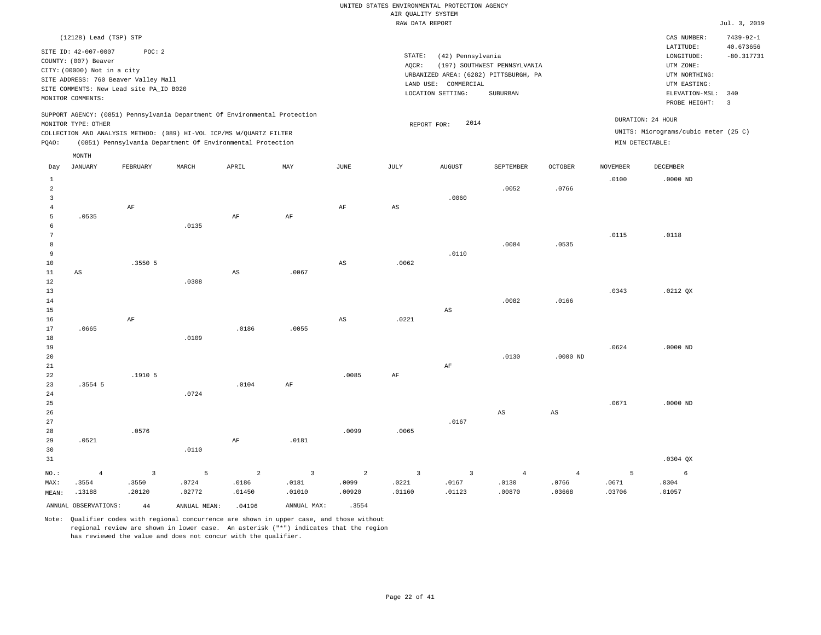|                           |                                                                                 |                                            |                                                                                                                                   |                                   |                                 |                                   | AIR QUALITY SYSTEM                         | UNITED STATES ENVIRONMENTAL PROTECTION AGENCY                 |                                   |                                   |                      |                                      |                              |
|---------------------------|---------------------------------------------------------------------------------|--------------------------------------------|-----------------------------------------------------------------------------------------------------------------------------------|-----------------------------------|---------------------------------|-----------------------------------|--------------------------------------------|---------------------------------------------------------------|-----------------------------------|-----------------------------------|----------------------|--------------------------------------|------------------------------|
|                           |                                                                                 |                                            |                                                                                                                                   |                                   |                                 |                                   | RAW DATA REPORT                            |                                                               |                                   |                                   |                      |                                      | Jul. 3, 2019                 |
|                           | (12128) Lead (TSP) STP                                                          |                                            |                                                                                                                                   |                                   |                                 |                                   |                                            |                                                               |                                   |                                   |                      | CAS NUMBER:                          | $7439 - 92 - 1$<br>40.673656 |
|                           | SITE ID: 42-007-0007<br>COUNTY: (007) Beaver<br>CITY: (00000) Not in a city     | POC: 2                                     |                                                                                                                                   |                                   |                                 |                                   | STATE:<br>AQCR:                            | (42) Pennsylvania                                             | (197) SOUTHWEST PENNSYLVANIA      |                                   |                      | LATITUDE:<br>LONGITUDE:<br>UTM ZONE: | $-80.317731$                 |
|                           | SITE ADDRESS: 760 Beaver Valley Mall<br>SITE COMMENTS: New Lead site PA_ID B020 |                                            |                                                                                                                                   |                                   |                                 |                                   |                                            | URBANIZED AREA: (6282) PITTSBURGH, PA<br>LAND USE: COMMERCIAL |                                   |                                   |                      | UTM NORTHING:<br>UTM EASTING:        |                              |
|                           | MONITOR COMMENTS:                                                               |                                            |                                                                                                                                   |                                   |                                 |                                   |                                            | LOCATION SETTING:                                             | SUBURBAN                          |                                   |                      | ELEVATION-MSL:<br>PROBE HEIGHT:      | 340<br>$\overline{3}$        |
|                           | MONITOR TYPE: OTHER                                                             |                                            | SUPPORT AGENCY: (0851) Pennsylvania Department Of Environmental Protection                                                        |                                   |                                 |                                   |                                            | 2014<br>REPORT FOR:                                           |                                   |                                   |                      | DURATION: 24 HOUR                    |                              |
| PQAO:                     |                                                                                 |                                            | COLLECTION AND ANALYSIS METHOD: (089) HI-VOL ICP/MS W/QUARTZ FILTER<br>(0851) Pennsylvania Department Of Environmental Protection |                                   |                                 |                                   |                                            |                                                               |                                   |                                   | MIN DETECTABLE:      | UNITS: Micrograms/cubic meter (25 C) |                              |
| Day                       | MONTH<br><b>JANUARY</b>                                                         | FEBRUARY                                   | MARCH                                                                                                                             | APRIL                             | MAY                             | $_{\rm JUNE}$                     | <b>JULY</b>                                | <b>AUGUST</b>                                                 | SEPTEMBER                         | <b>OCTOBER</b>                    | <b>NOVEMBER</b>      | <b>DECEMBER</b>                      |                              |
| 1<br>$\overline{2}$       |                                                                                 |                                            |                                                                                                                                   |                                   |                                 |                                   |                                            |                                                               | .0052                             | .0766                             | .0100                | $.0000$ ND                           |                              |
| 3<br>$\overline{4}$       |                                                                                 | AF                                         |                                                                                                                                   |                                   |                                 | AF                                | $_{\rm AS}$                                | .0060                                                         |                                   |                                   |                      |                                      |                              |
| 5<br>6<br>$7\phantom{.0}$ | .0535                                                                           |                                            | .0135                                                                                                                             | AF                                | $\rm{AF}$                       |                                   |                                            |                                                               |                                   |                                   | .0115                | .0118                                |                              |
| 8<br>9                    |                                                                                 |                                            |                                                                                                                                   |                                   |                                 |                                   |                                            | .0110                                                         | .0084                             | .0535                             |                      |                                      |                              |
| 10<br>11                  | AS                                                                              | .3550 5                                    |                                                                                                                                   | AS                                | .0067                           | $\mathbb{A}\mathbb{S}$            | .0062                                      |                                                               |                                   |                                   |                      |                                      |                              |
| $1\,2$<br>13<br>14        |                                                                                 |                                            | .0308                                                                                                                             |                                   |                                 |                                   |                                            |                                                               | .0082                             | .0166                             | .0343                | $.0212$ $OX$                         |                              |
| 15<br>16                  |                                                                                 | $\rm AF$                                   |                                                                                                                                   |                                   |                                 | $\mathbb{A}\mathbb{S}$            | .0221                                      | AS                                                            |                                   |                                   |                      |                                      |                              |
| 17<br>18<br>19            | .0665                                                                           |                                            | .0109                                                                                                                             | .0186                             | .0055                           |                                   |                                            |                                                               |                                   |                                   | .0624                | $.0000$ ND                           |                              |
| 20<br>21                  |                                                                                 |                                            |                                                                                                                                   |                                   |                                 |                                   |                                            | AF                                                            | .0130                             | $.0000$ ND                        |                      |                                      |                              |
| 22<br>23                  | .3554 5                                                                         | .1910 5                                    |                                                                                                                                   | .0104                             | AF                              | .0085                             | AF                                         |                                                               |                                   |                                   |                      |                                      |                              |
| 24<br>25<br>26            |                                                                                 |                                            | .0724                                                                                                                             |                                   |                                 |                                   |                                            |                                                               | AS                                | $\mathbb{A}\mathbb{S}$            | .0671                | $.0000$ ND                           |                              |
| 27<br>28                  |                                                                                 | .0576                                      |                                                                                                                                   |                                   |                                 | .0099                             | .0065                                      | .0167                                                         |                                   |                                   |                      |                                      |                              |
| 29<br>30                  | .0521                                                                           |                                            | .0110                                                                                                                             | $\rm{AF}$                         | .0181                           |                                   |                                            |                                                               |                                   |                                   |                      |                                      |                              |
| 31                        |                                                                                 |                                            |                                                                                                                                   |                                   |                                 |                                   |                                            |                                                               |                                   |                                   |                      | $.0304$ QX                           |                              |
| NO.:<br>MAX:<br>MEAN:     | $\overline{4}$<br>.3554<br>.13188                                               | $\overline{\mathbf{3}}$<br>.3550<br>.20120 | 5<br>.0724<br>.02772                                                                                                              | $\overline{a}$<br>.0186<br>.01450 | $\mathbf{3}$<br>.0181<br>.01010 | $\overline{a}$<br>.0099<br>.00920 | $\overline{\mathbf{3}}$<br>.0221<br>.01160 | $\overline{\mathbf{3}}$<br>.0167<br>.01123                    | $\overline{4}$<br>.0130<br>.00870 | $\overline{4}$<br>.0766<br>.03668 | 5<br>.0671<br>.03706 | 6<br>.0304<br>.01057                 |                              |
|                           | ANNUAL OBSERVATIONS:                                                            | 44                                         | ANNUAL, MEAN:                                                                                                                     | .04196                            | ANNUAL MAX:                     | .3554                             |                                            |                                                               |                                   |                                   |                      |                                      |                              |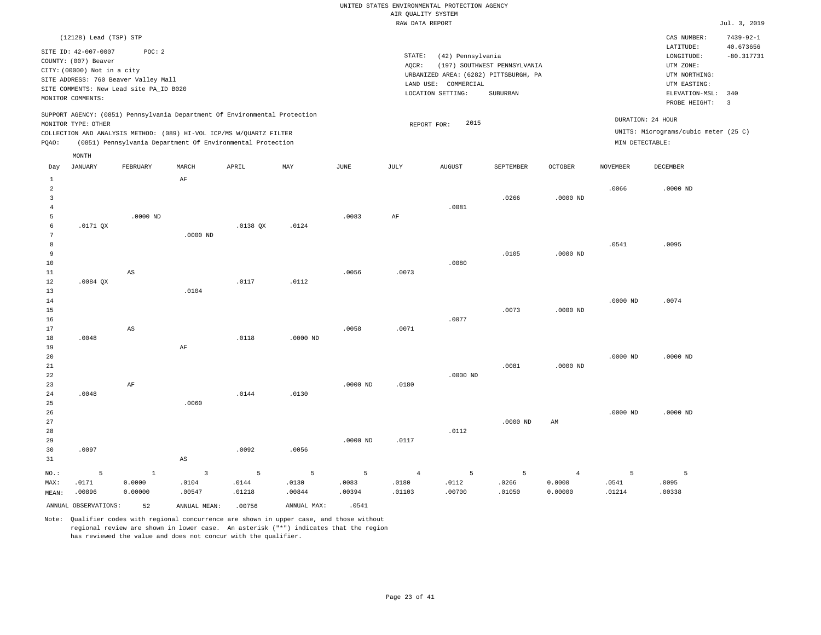|                                                | (12128) Lead (TSP) STP                                                                           |                                                                                           |                         |                                                                                                                                                                                                                 |             |            |                         |                                                                                                         |                                          |                          |                                      | CAS NUMBER:                                                                                              | $7439 - 92 - 1$                                    |
|------------------------------------------------|--------------------------------------------------------------------------------------------------|-------------------------------------------------------------------------------------------|-------------------------|-----------------------------------------------------------------------------------------------------------------------------------------------------------------------------------------------------------------|-------------|------------|-------------------------|---------------------------------------------------------------------------------------------------------|------------------------------------------|--------------------------|--------------------------------------|----------------------------------------------------------------------------------------------------------|----------------------------------------------------|
|                                                | SITE ID: 42-007-0007<br>COUNTY: (007) Beaver<br>CITY: (00000) Not in a city<br>MONITOR COMMENTS: | POC: 2<br>SITE ADDRESS: 760 Beaver Valley Mall<br>SITE COMMENTS: New Lead site PA_ID B020 |                         |                                                                                                                                                                                                                 |             |            | STATE:<br>AQCR:         | (42) Pennsylvania<br>URBANIZED AREA: (6282) PITTSBURGH, PA<br>LAND USE: COMMERCIAL<br>LOCATION SETTING: | (197) SOUTHWEST PENNSYLVANIA<br>SUBURBAN |                          |                                      | LATITUDE:<br>LONGITUDE:<br>UTM ZONE:<br>UTM NORTHING:<br>UTM EASTING:<br>ELEVATION-MSL:<br>PROBE HEIGHT: | 40.673656<br>$-80.317731$<br>340<br>$\overline{3}$ |
| PQAO:                                          | MONITOR TYPE: OTHER                                                                              |                                                                                           |                         | SUPPORT AGENCY: (0851) Pennsylvania Department Of Environmental Protection<br>COLLECTION AND ANALYSIS METHOD: (089) HI-VOL ICP/MS W/QUARTZ FILTER<br>(0851) Pennsylvania Department Of Environmental Protection |             |            | REPORT FOR:             | 2015                                                                                                    |                                          |                          | DURATION: 24 HOUR<br>MIN DETECTABLE: | UNITS: Micrograms/cubic meter (25 C)                                                                     |                                                    |
|                                                | MONTH                                                                                            |                                                                                           |                         |                                                                                                                                                                                                                 |             |            |                         |                                                                                                         |                                          |                          |                                      |                                                                                                          |                                                    |
| Day                                            | <b>JANUARY</b>                                                                                   | FEBRUARY                                                                                  | MARCH                   | APRIL                                                                                                                                                                                                           | MAY         | JUNE       | JULY                    | <b>AUGUST</b>                                                                                           | SEPTEMBER                                | <b>OCTOBER</b>           | <b>NOVEMBER</b>                      | DECEMBER                                                                                                 |                                                    |
| $\mathbf{1}$                                   |                                                                                                  |                                                                                           | AF                      |                                                                                                                                                                                                                 |             |            |                         |                                                                                                         |                                          |                          |                                      |                                                                                                          |                                                    |
| 2<br>$\overline{\mathbf{3}}$<br>$\overline{4}$ |                                                                                                  |                                                                                           |                         |                                                                                                                                                                                                                 |             |            |                         | .0081                                                                                                   | .0266                                    | $.0000$ ND               | .0066                                | $.0000$ ND                                                                                               |                                                    |
| 5                                              |                                                                                                  | $.0000$ ND                                                                                |                         |                                                                                                                                                                                                                 |             | .0083      | AF                      |                                                                                                         |                                          |                          |                                      |                                                                                                          |                                                    |
| $\epsilon$                                     | $.0171$ QX                                                                                       |                                                                                           |                         | $.0138$ QX                                                                                                                                                                                                      | .0124       |            |                         |                                                                                                         |                                          |                          |                                      |                                                                                                          |                                                    |
| 7                                              |                                                                                                  |                                                                                           | $.0000$ ND              |                                                                                                                                                                                                                 |             |            |                         |                                                                                                         |                                          |                          |                                      |                                                                                                          |                                                    |
| 8                                              |                                                                                                  |                                                                                           |                         |                                                                                                                                                                                                                 |             |            |                         |                                                                                                         |                                          |                          | .0541                                | .0095                                                                                                    |                                                    |
| 9                                              |                                                                                                  |                                                                                           |                         |                                                                                                                                                                                                                 |             |            |                         |                                                                                                         | .0105                                    | $.0000$ ND               |                                      |                                                                                                          |                                                    |
| 10<br>11                                       |                                                                                                  | $_{\rm AS}$                                                                               |                         |                                                                                                                                                                                                                 |             | .0056      | .0073                   | .0080                                                                                                   |                                          |                          |                                      |                                                                                                          |                                                    |
| 12                                             | $.0084$ QX                                                                                       |                                                                                           |                         | .0117                                                                                                                                                                                                           | .0112       |            |                         |                                                                                                         |                                          |                          |                                      |                                                                                                          |                                                    |
| 13                                             |                                                                                                  |                                                                                           | .0104                   |                                                                                                                                                                                                                 |             |            |                         |                                                                                                         |                                          |                          |                                      |                                                                                                          |                                                    |
| 14                                             |                                                                                                  |                                                                                           |                         |                                                                                                                                                                                                                 |             |            |                         |                                                                                                         |                                          |                          | $.0000$ ND                           | .0074                                                                                                    |                                                    |
| 15                                             |                                                                                                  |                                                                                           |                         |                                                                                                                                                                                                                 |             |            |                         |                                                                                                         | .0073                                    | $.0000$ ND               |                                      |                                                                                                          |                                                    |
| 16                                             |                                                                                                  |                                                                                           |                         |                                                                                                                                                                                                                 |             |            |                         | .0077                                                                                                   |                                          |                          |                                      |                                                                                                          |                                                    |
| 17<br>18                                       | .0048                                                                                            | $\mathbb{A}\mathbb{S}$                                                                    |                         | .0118                                                                                                                                                                                                           | $.0000$ ND  | .0058      | .0071                   |                                                                                                         |                                          |                          |                                      |                                                                                                          |                                                    |
| 19                                             |                                                                                                  |                                                                                           | AF                      |                                                                                                                                                                                                                 |             |            |                         |                                                                                                         |                                          |                          |                                      |                                                                                                          |                                                    |
| 20                                             |                                                                                                  |                                                                                           |                         |                                                                                                                                                                                                                 |             |            |                         |                                                                                                         |                                          |                          | .0000 ND                             | $.0000$ ND                                                                                               |                                                    |
| 21                                             |                                                                                                  |                                                                                           |                         |                                                                                                                                                                                                                 |             |            |                         |                                                                                                         | .0081                                    | $.0000$ ND               |                                      |                                                                                                          |                                                    |
| 22                                             |                                                                                                  |                                                                                           |                         |                                                                                                                                                                                                                 |             |            |                         | $.0000$ ND                                                                                              |                                          |                          |                                      |                                                                                                          |                                                    |
| 23                                             | .0048                                                                                            | AF                                                                                        |                         | .0144                                                                                                                                                                                                           | .0130       | $.0000$ ND | .0180                   |                                                                                                         |                                          |                          |                                      |                                                                                                          |                                                    |
| 24<br>25                                       |                                                                                                  |                                                                                           | .0060                   |                                                                                                                                                                                                                 |             |            |                         |                                                                                                         |                                          |                          |                                      |                                                                                                          |                                                    |
| 26                                             |                                                                                                  |                                                                                           |                         |                                                                                                                                                                                                                 |             |            |                         |                                                                                                         |                                          |                          | $.0000$ ND                           | $.0000$ ND                                                                                               |                                                    |
| 27                                             |                                                                                                  |                                                                                           |                         |                                                                                                                                                                                                                 |             |            |                         |                                                                                                         | $.0000$ ND                               | AM                       |                                      |                                                                                                          |                                                    |
| 28                                             |                                                                                                  |                                                                                           |                         |                                                                                                                                                                                                                 |             |            |                         | .0112                                                                                                   |                                          |                          |                                      |                                                                                                          |                                                    |
| 29                                             |                                                                                                  |                                                                                           |                         |                                                                                                                                                                                                                 |             | .0000 ND   | .0117                   |                                                                                                         |                                          |                          |                                      |                                                                                                          |                                                    |
| 30<br>31                                       | .0097                                                                                            |                                                                                           | $\mathbb{A}\mathbb{S}$  | .0092                                                                                                                                                                                                           | .0056       |            |                         |                                                                                                         |                                          |                          |                                      |                                                                                                          |                                                    |
|                                                |                                                                                                  |                                                                                           |                         |                                                                                                                                                                                                                 |             |            |                         |                                                                                                         |                                          |                          |                                      |                                                                                                          |                                                    |
| NO.:                                           | 5<br>.0171                                                                                       | $\mathbf{1}$<br>0.0000                                                                    | $\overline{3}$<br>.0104 | 5<br>.0144                                                                                                                                                                                                      | 5<br>.0130  | 5<br>.0083 | $\overline{4}$<br>.0180 | 5<br>.0112                                                                                              | 5<br>.0266                               | $\overline{4}$<br>0.0000 | 5<br>.0541                           | 5<br>.0095                                                                                               |                                                    |
| MAX:<br>MEAN:                                  | .00896                                                                                           | 0.00000                                                                                   | .00547                  | .01218                                                                                                                                                                                                          | .00844      | .00394     | .01103                  | .00700                                                                                                  | .01050                                   | 0.00000                  | .01214                               | .00338                                                                                                   |                                                    |
|                                                |                                                                                                  |                                                                                           |                         |                                                                                                                                                                                                                 |             |            |                         |                                                                                                         |                                          |                          |                                      |                                                                                                          |                                                    |
|                                                | ANNUAL OBSERVATIONS:                                                                             | 52                                                                                        | ANNUAL MEAN:            | .00756                                                                                                                                                                                                          | ANNUAL MAX: | .0541      |                         |                                                                                                         |                                          |                          |                                      |                                                                                                          |                                                    |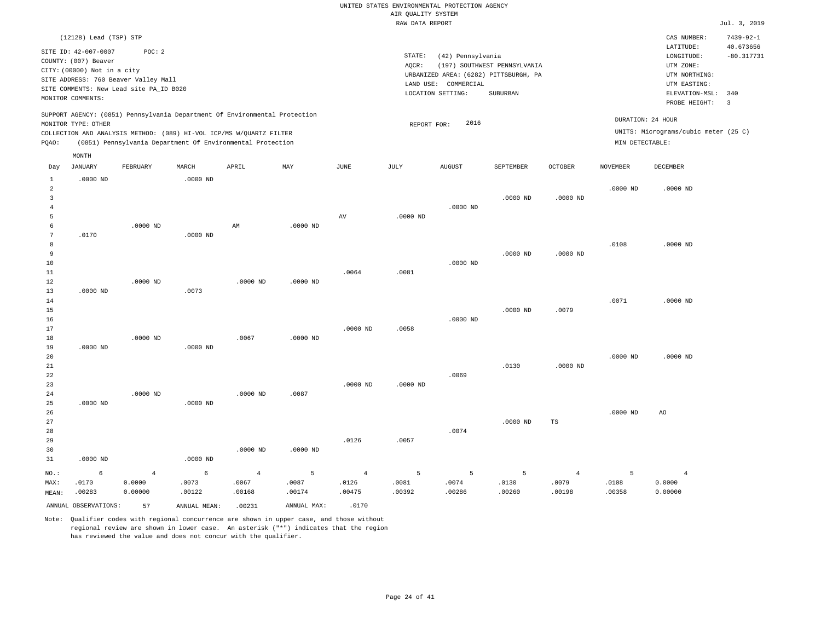|                 | (12128) Lead (TSP) STP      |                                         |                                                                            |                |             |                |             |                      |                                       |                |                 | CAS NUMBER:                          | $7439 - 92 - 1$ |
|-----------------|-----------------------------|-----------------------------------------|----------------------------------------------------------------------------|----------------|-------------|----------------|-------------|----------------------|---------------------------------------|----------------|-----------------|--------------------------------------|-----------------|
|                 | SITE ID: 42-007-0007        | POC: 2                                  |                                                                            |                |             |                | STATE:      |                      |                                       |                |                 | LATITUDE:                            | 40.673656       |
|                 | COUNTY: (007) Beaver        |                                         |                                                                            |                |             |                | AOCR:       | (42) Pennsylvania    | (197) SOUTHWEST PENNSYLVANIA          |                |                 | $\texttt{LONGITUDE}$ :<br>UTM ZONE:  | $-80.317731$    |
|                 | CITY: (00000) Not in a city |                                         |                                                                            |                |             |                |             |                      | URBANIZED AREA: (6282) PITTSBURGH, PA |                |                 | UTM NORTHING:                        |                 |
|                 |                             | SITE ADDRESS: 760 Beaver Valley Mall    |                                                                            |                |             |                |             | LAND USE: COMMERCIAL |                                       |                |                 | UTM EASTING:                         |                 |
|                 |                             | SITE COMMENTS: New Lead site PA_ID B020 |                                                                            |                |             |                |             | LOCATION SETTING:    | SUBURBAN                              |                |                 | ELEVATION-MSL:                       | 340             |
|                 | MONITOR COMMENTS:           |                                         |                                                                            |                |             |                |             |                      |                                       |                |                 | PROBE HEIGHT:                        | $\overline{3}$  |
|                 | MONITOR TYPE: OTHER         |                                         | SUPPORT AGENCY: (0851) Pennsylvania Department Of Environmental Protection |                |             |                | REPORT FOR: | 2016                 |                                       |                |                 | DURATION: 24 HOUR                    |                 |
|                 |                             |                                         | COLLECTION AND ANALYSIS METHOD: (089) HI-VOL ICP/MS W/QUARTZ FILTER        |                |             |                |             |                      |                                       |                |                 | UNITS: Micrograms/cubic meter (25 C) |                 |
| PQAO:           |                             |                                         | (0851) Pennsylvania Department Of Environmental Protection                 |                |             |                |             |                      |                                       |                | MIN DETECTABLE: |                                      |                 |
|                 | MONTH                       |                                         |                                                                            |                |             |                |             |                      |                                       |                |                 |                                      |                 |
| Day             | JANUARY                     | FEBRUARY                                | MARCH                                                                      | APRIL          | MAY         | JUNE           | JULY        | <b>AUGUST</b>        | SEPTEMBER                             | <b>OCTOBER</b> | <b>NOVEMBER</b> | <b>DECEMBER</b>                      |                 |
| $\,1\,$         | $.0000$ ND                  |                                         | $.0000$ ND                                                                 |                |             |                |             |                      |                                       |                |                 |                                      |                 |
| $\overline{a}$  |                             |                                         |                                                                            |                |             |                |             |                      |                                       |                | $.0000$ ND      | $.0000$ ND                           |                 |
| $\overline{3}$  |                             |                                         |                                                                            |                |             |                |             |                      | $.0000$ ND                            | $.0000$ ND     |                 |                                      |                 |
| $\overline{4}$  |                             |                                         |                                                                            |                |             |                |             | $.0000$ ND           |                                       |                |                 |                                      |                 |
| 5               |                             |                                         |                                                                            |                |             | AV             | .0000 ND    |                      |                                       |                |                 |                                      |                 |
| 6               |                             | $.0000$ ND                              |                                                                            | AM             | $.0000$ ND  |                |             |                      |                                       |                |                 |                                      |                 |
| $7\phantom{.0}$ | .0170                       |                                         | $.0000$ ND                                                                 |                |             |                |             |                      |                                       |                |                 |                                      |                 |
| 8               |                             |                                         |                                                                            |                |             |                |             |                      |                                       |                | .0108           | $.0000$ ND                           |                 |
| 9               |                             |                                         |                                                                            |                |             |                |             |                      | .0000 ND                              | $.0000$ ND     |                 |                                      |                 |
| 10              |                             |                                         |                                                                            |                |             |                |             | $.0000$ ND           |                                       |                |                 |                                      |                 |
| 11              |                             |                                         |                                                                            |                |             | .0064          | .0081       |                      |                                       |                |                 |                                      |                 |
| 12<br>13        | $.0000$ ND                  | $.0000$ ND                              | .0073                                                                      | $.0000$ ND     | $.0000$ ND  |                |             |                      |                                       |                |                 |                                      |                 |
| $1\,4$          |                             |                                         |                                                                            |                |             |                |             |                      |                                       |                | .0071           | $.0000$ ND                           |                 |
| 15              |                             |                                         |                                                                            |                |             |                |             |                      | $.0000$ ND                            | .0079          |                 |                                      |                 |
| 16              |                             |                                         |                                                                            |                |             |                |             | $.0000$ ND           |                                       |                |                 |                                      |                 |
| 17              |                             |                                         |                                                                            |                |             | $.0000$ ND     | .0058       |                      |                                       |                |                 |                                      |                 |
| 18              |                             | $.0000$ ND                              |                                                                            | .0067          | $.0000$ ND  |                |             |                      |                                       |                |                 |                                      |                 |
| 19              | $.0000$ ND                  |                                         | $.0000$ ND                                                                 |                |             |                |             |                      |                                       |                |                 |                                      |                 |
| 20              |                             |                                         |                                                                            |                |             |                |             |                      |                                       |                | $.0000$ ND      | $.0000$ ND                           |                 |
| $2\sqrt{1}$     |                             |                                         |                                                                            |                |             |                |             |                      | .0130                                 | $.0000$ ND     |                 |                                      |                 |
| 22              |                             |                                         |                                                                            |                |             |                |             | .0069                |                                       |                |                 |                                      |                 |
| 23              |                             |                                         |                                                                            |                |             | $.0000$ ND     | $.0000$ ND  |                      |                                       |                |                 |                                      |                 |
| 24<br>25        | $.0000$ ND                  | $.0000$ ND                              | $.0000$ ND                                                                 | $.0000$ ND     | .0087       |                |             |                      |                                       |                |                 |                                      |                 |
| 26              |                             |                                         |                                                                            |                |             |                |             |                      |                                       |                | $.0000$ ND      | AO                                   |                 |
| 27              |                             |                                         |                                                                            |                |             |                |             |                      | $.0000$ ND                            | $\mathbb{TS}$  |                 |                                      |                 |
| 28              |                             |                                         |                                                                            |                |             |                |             | .0074                |                                       |                |                 |                                      |                 |
| 29              |                             |                                         |                                                                            |                |             | .0126          | .0057       |                      |                                       |                |                 |                                      |                 |
| 30              |                             |                                         |                                                                            | $.0000$ ND     | $.0000$ ND  |                |             |                      |                                       |                |                 |                                      |                 |
| 31              | $.0000$ ND                  |                                         | $.0000$ ND                                                                 |                |             |                |             |                      |                                       |                |                 |                                      |                 |
| NO.:            | 6                           | $\overline{4}$                          | 6                                                                          | $\overline{4}$ | 5           | $\overline{4}$ | 5           | 5                    | 5                                     | $\overline{4}$ | 5               | $\overline{4}$                       |                 |
| MAX:            | .0170                       | 0.0000                                  | .0073                                                                      | .0067          | .0087       | .0126          | .0081       | .0074                | .0130                                 | .0079          | .0108           | 0.0000                               |                 |
| MEAN:           | .00283                      | 0.00000                                 | .00122                                                                     | .00168         | .00174      | .00475         | .00392      | .00286               | .00260                                | .00198         | .00358          | 0.00000                              |                 |
|                 | ANNUAL OBSERVATIONS:        | 57                                      | ANNUAL MEAN:                                                               | .00231         | ANNUAL MAX: | .0170          |             |                      |                                       |                |                 |                                      |                 |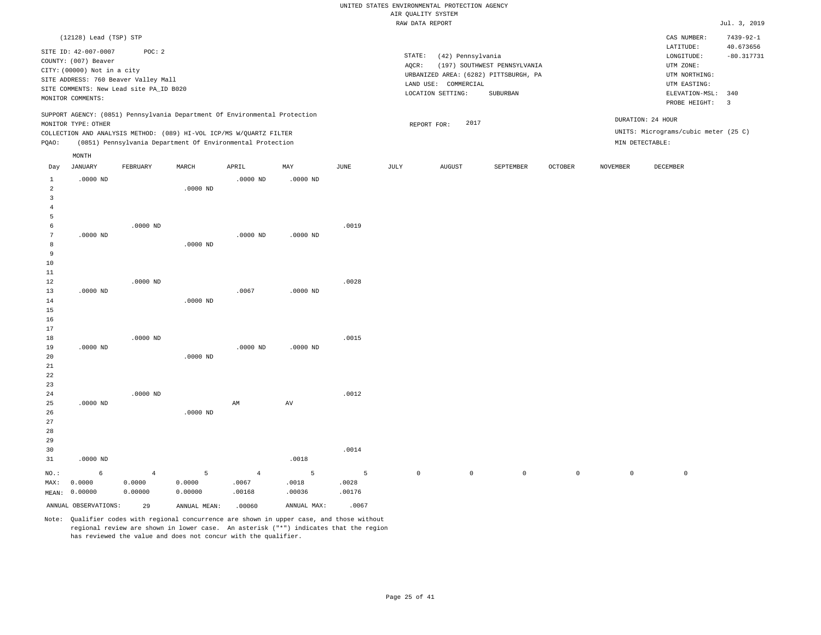|                 |                             |                                                                                 |              |                                                                            |             |             |             | UNITED STATES ENVIRONMENTAL PROTECTION AGENCY |                              |                |                     |                                      |                              |
|-----------------|-----------------------------|---------------------------------------------------------------------------------|--------------|----------------------------------------------------------------------------|-------------|-------------|-------------|-----------------------------------------------|------------------------------|----------------|---------------------|--------------------------------------|------------------------------|
|                 |                             |                                                                                 |              |                                                                            |             |             |             | AIR QUALITY SYSTEM                            |                              |                |                     |                                      |                              |
|                 |                             |                                                                                 |              |                                                                            |             |             |             | RAW DATA REPORT                               |                              |                |                     |                                      | Jul. 3, 2019                 |
|                 | (12128) Lead (TSP) STP      |                                                                                 |              |                                                                            |             |             |             |                                               |                              |                |                     | CAS NUMBER:<br>LATITUDE:             | $7439 - 92 - 1$<br>40.673656 |
|                 | SITE ID: 42-007-0007        | POC: 2                                                                          |              |                                                                            |             |             | STATE:      | (42) Pennsylvania                             |                              |                |                     | LONGITUDE:                           | $-80.317731$                 |
|                 | COUNTY: (007) Beaver        |                                                                                 |              |                                                                            |             |             | AQCR:       |                                               | (197) SOUTHWEST PENNSYLVANIA |                |                     | UTM ZONE:                            |                              |
|                 | CITY: (00000) Not in a city |                                                                                 |              |                                                                            |             |             |             | URBANIZED AREA: (6282) PITTSBURGH, PA         |                              |                |                     | UTM NORTHING:                        |                              |
|                 |                             | SITE ADDRESS: 760 Beaver Valley Mall<br>SITE COMMENTS: New Lead site PA_ID B020 |              |                                                                            |             |             |             | LAND USE: COMMERCIAL                          |                              |                |                     | UTM EASTING:                         |                              |
|                 | MONITOR COMMENTS:           |                                                                                 |              |                                                                            |             |             |             | LOCATION SETTING:                             | SUBURBAN                     |                |                     | ELEVATION-MSL:                       | 340                          |
|                 |                             |                                                                                 |              |                                                                            |             |             |             |                                               |                              |                |                     | PROBE HEIGHT:                        | $\overline{3}$               |
|                 | MONITOR TYPE: OTHER         |                                                                                 |              | SUPPORT AGENCY: (0851) Pennsylvania Department Of Environmental Protection |             |             |             | 2017<br>REPORT FOR:                           |                              |                |                     | DURATION: 24 HOUR                    |                              |
|                 |                             |                                                                                 |              | COLLECTION AND ANALYSIS METHOD: (089) HI-VOL ICP/MS W/QUARTZ FILTER        |             |             |             |                                               |                              |                |                     | UNITS: Micrograms/cubic meter (25 C) |                              |
| PQAO:           |                             |                                                                                 |              | (0851) Pennsylvania Department Of Environmental Protection                 |             |             |             |                                               |                              |                |                     | MIN DETECTABLE:                      |                              |
|                 | MONTH                       |                                                                                 |              |                                                                            |             |             |             |                                               |                              |                |                     |                                      |                              |
| Day             | JANUARY                     | FEBRUARY                                                                        | MARCH        | APRIL                                                                      | MAY         | <b>JUNE</b> | JULY        | <b>AUGUST</b>                                 | SEPTEMBER                    | <b>OCTOBER</b> | <b>NOVEMBER</b>     | <b>DECEMBER</b>                      |                              |
| $\mathbf{1}$    | $.0000$ ND                  |                                                                                 |              | $.0000$ ND                                                                 | $.0000$ ND  |             |             |                                               |                              |                |                     |                                      |                              |
| $\overline{a}$  |                             |                                                                                 | $.0000$ ND   |                                                                            |             |             |             |                                               |                              |                |                     |                                      |                              |
| 3               |                             |                                                                                 |              |                                                                            |             |             |             |                                               |                              |                |                     |                                      |                              |
| $\overline{4}$  |                             |                                                                                 |              |                                                                            |             |             |             |                                               |                              |                |                     |                                      |                              |
| 5<br>6          |                             | $.0000$ ND                                                                      |              |                                                                            |             | .0019       |             |                                               |                              |                |                     |                                      |                              |
| $7\phantom{.0}$ | $.0000$ ND                  |                                                                                 |              | .0000 ND                                                                   | .0000 ND    |             |             |                                               |                              |                |                     |                                      |                              |
| $\,8\,$         |                             |                                                                                 | $.0000$ ND   |                                                                            |             |             |             |                                               |                              |                |                     |                                      |                              |
| 9               |                             |                                                                                 |              |                                                                            |             |             |             |                                               |                              |                |                     |                                      |                              |
| 10              |                             |                                                                                 |              |                                                                            |             |             |             |                                               |                              |                |                     |                                      |                              |
| 11              |                             |                                                                                 |              |                                                                            |             |             |             |                                               |                              |                |                     |                                      |                              |
| $1\,2$          |                             | $.0000$ ND                                                                      |              |                                                                            |             | .0028       |             |                                               |                              |                |                     |                                      |                              |
| 13              | $.0000$ ND                  |                                                                                 |              | .0067                                                                      | $.0000$ ND  |             |             |                                               |                              |                |                     |                                      |                              |
| 14              |                             |                                                                                 | $.0000$ ND   |                                                                            |             |             |             |                                               |                              |                |                     |                                      |                              |
| 15              |                             |                                                                                 |              |                                                                            |             |             |             |                                               |                              |                |                     |                                      |                              |
| 16              |                             |                                                                                 |              |                                                                            |             |             |             |                                               |                              |                |                     |                                      |                              |
| 17<br>18        |                             | $.0000$ ND                                                                      |              |                                                                            |             | .0015       |             |                                               |                              |                |                     |                                      |                              |
| 19              | $.0000$ ND                  |                                                                                 |              | $.0000$ ND                                                                 | $.0000$ ND  |             |             |                                               |                              |                |                     |                                      |                              |
| 20              |                             |                                                                                 | $.0000$ ND   |                                                                            |             |             |             |                                               |                              |                |                     |                                      |                              |
| 21              |                             |                                                                                 |              |                                                                            |             |             |             |                                               |                              |                |                     |                                      |                              |
| 22              |                             |                                                                                 |              |                                                                            |             |             |             |                                               |                              |                |                     |                                      |                              |
| 23              |                             |                                                                                 |              |                                                                            |             |             |             |                                               |                              |                |                     |                                      |                              |
| 24              |                             | $.0000$ ND                                                                      |              |                                                                            |             | .0012       |             |                                               |                              |                |                     |                                      |                              |
| 25              | $.0000$ ND                  |                                                                                 |              | AM                                                                         | AV          |             |             |                                               |                              |                |                     |                                      |                              |
| 26              |                             |                                                                                 | $.0000$ ND   |                                                                            |             |             |             |                                               |                              |                |                     |                                      |                              |
| 27              |                             |                                                                                 |              |                                                                            |             |             |             |                                               |                              |                |                     |                                      |                              |
| 28              |                             |                                                                                 |              |                                                                            |             |             |             |                                               |                              |                |                     |                                      |                              |
| 29              |                             |                                                                                 |              |                                                                            |             |             |             |                                               |                              |                |                     |                                      |                              |
| 30<br>31        | $.0000$ ND                  |                                                                                 |              |                                                                            | .0018       | .0014       |             |                                               |                              |                |                     |                                      |                              |
|                 |                             |                                                                                 |              |                                                                            |             |             |             |                                               |                              |                |                     |                                      |                              |
| NO.:            | $\epsilon$                  | $\overline{4}$                                                                  | 5            | $\overline{4}$                                                             | 5           | 5           | $\mathbb O$ | $\mathbb O$                                   | $\mathsf 0$                  | $\mathbb O$    | $\mathsf{O}\xspace$ | $\mathbb O$                          |                              |
| MAX:            | 0.0000                      | 0.0000                                                                          | 0.0000       | .0067                                                                      | .0018       | .0028       |             |                                               |                              |                |                     |                                      |                              |
|                 | MEAN: 0.00000               | 0.00000                                                                         | 0.00000      | .00168                                                                     | .00036      | .00176      |             |                                               |                              |                |                     |                                      |                              |
|                 | ANNUAL OBSERVATIONS:        | 29                                                                              | ANNUAL MEAN: | .00060                                                                     | ANNUAL MAX: | .0067       |             |                                               |                              |                |                     |                                      |                              |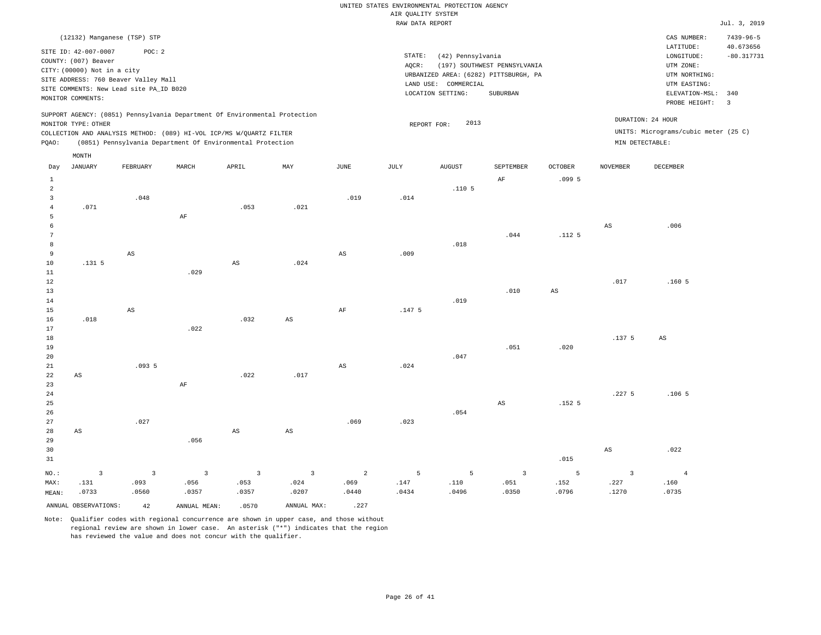|  |  |                    | UNITED STATES ENVIRONMENTAL PROTECTION AGENCY |  |
|--|--|--------------------|-----------------------------------------------|--|
|  |  | AIR OUALITY SYSTEM |                                               |  |
|  |  | naw nama nunong    |                                               |  |

|                |                                         |                        |                |                                                                            |                        |                        | RAW DATA REPORT |                                       |                              |                |                        |                                      | Jul. 3, 2019                 |
|----------------|-----------------------------------------|------------------------|----------------|----------------------------------------------------------------------------|------------------------|------------------------|-----------------|---------------------------------------|------------------------------|----------------|------------------------|--------------------------------------|------------------------------|
|                | (12132) Manganese (TSP) STP             |                        |                |                                                                            |                        |                        |                 |                                       |                              |                |                        | CAS NUMBER:<br>LATITUDE:             | $7439 - 96 - 5$<br>40.673656 |
|                | SITE ID: 42-007-0007                    | POC: 2                 |                |                                                                            |                        |                        | STATE:          | (42) Pennsylvania                     |                              |                |                        | LONGITUDE:                           | $-80.317731$                 |
|                | COUNTY: (007) Beaver                    |                        |                |                                                                            |                        |                        | AQCR:           |                                       | (197) SOUTHWEST PENNSYLVANIA |                |                        | UTM ZONE:                            |                              |
|                | CITY: (00000) Not in a city             |                        |                |                                                                            |                        |                        |                 | URBANIZED AREA: (6282) PITTSBURGH, PA |                              |                |                        | UTM NORTHING:                        |                              |
|                | SITE ADDRESS: 760 Beaver Valley Mall    |                        |                |                                                                            |                        |                        |                 | LAND USE: COMMERCIAL                  |                              |                |                        | UTM EASTING:                         |                              |
|                | SITE COMMENTS: New Lead site PA_ID B020 |                        |                |                                                                            |                        |                        |                 | LOCATION SETTING:                     | SUBURBAN                     |                |                        | ELEVATION-MSL: 340                   |                              |
|                | MONITOR COMMENTS:                       |                        |                |                                                                            |                        |                        |                 |                                       |                              |                |                        | PROBE HEIGHT:                        | $\overline{3}$               |
|                | MONITOR TYPE: OTHER                     |                        |                | SUPPORT AGENCY: (0851) Pennsylvania Department Of Environmental Protection |                        |                        |                 | 2013<br>REPORT FOR:                   |                              |                |                        | DURATION: 24 HOUR                    |                              |
|                |                                         |                        |                | COLLECTION AND ANALYSIS METHOD: (089) HI-VOL ICP/MS W/QUARTZ FILTER        |                        |                        |                 |                                       |                              |                |                        | UNITS: Micrograms/cubic meter (25 C) |                              |
| PQAO:          |                                         |                        |                | (0851) Pennsylvania Department Of Environmental Protection                 |                        |                        |                 |                                       |                              |                | MIN DETECTABLE:        |                                      |                              |
|                | MONTH                                   |                        |                |                                                                            |                        |                        |                 |                                       |                              |                |                        |                                      |                              |
| Day            | <b>JANUARY</b>                          | FEBRUARY               | MARCH          | APRIL                                                                      | MAY                    | JUNE                   | JULY            | <b>AUGUST</b>                         | SEPTEMBER                    | <b>OCTOBER</b> | <b>NOVEMBER</b>        | DECEMBER                             |                              |
| $\mathbf{1}$   |                                         |                        |                |                                                                            |                        |                        |                 |                                       | AF                           | .099 5         |                        |                                      |                              |
| $\overline{a}$ |                                         |                        |                |                                                                            |                        |                        |                 | .110 <sub>5</sub>                     |                              |                |                        |                                      |                              |
| $\overline{3}$ |                                         | .048                   |                |                                                                            |                        | .019                   | .014            |                                       |                              |                |                        |                                      |                              |
| $\overline{4}$ | .071                                    |                        |                | .053                                                                       | .021                   |                        |                 |                                       |                              |                |                        |                                      |                              |
| 5              |                                         |                        | $\rm AF$       |                                                                            |                        |                        |                 |                                       |                              |                |                        |                                      |                              |
| 6              |                                         |                        |                |                                                                            |                        |                        |                 |                                       |                              |                | AS                     | .006                                 |                              |
| $\overline{7}$ |                                         |                        |                |                                                                            |                        |                        |                 |                                       | .044                         | .112.5         |                        |                                      |                              |
| 8              |                                         |                        |                |                                                                            |                        |                        |                 | .018                                  |                              |                |                        |                                      |                              |
| 9              |                                         | AS                     |                |                                                                            |                        | $\mathbb{A}\mathbb{S}$ | .009            |                                       |                              |                |                        |                                      |                              |
| 10<br>11       | .1315                                   |                        | .029           | $\mathbb{A}\mathbb{S}$                                                     | .024                   |                        |                 |                                       |                              |                |                        |                                      |                              |
| 12             |                                         |                        |                |                                                                            |                        |                        |                 |                                       |                              |                | .017                   | .160 <sub>5</sub>                    |                              |
| 13             |                                         |                        |                |                                                                            |                        |                        |                 |                                       | .010                         | $_{\rm AS}$    |                        |                                      |                              |
| 14             |                                         |                        |                |                                                                            |                        |                        |                 | .019                                  |                              |                |                        |                                      |                              |
| 15             |                                         | $\mathbb{A}\mathbb{S}$ |                |                                                                            |                        | AF                     | .147.5          |                                       |                              |                |                        |                                      |                              |
| 16             | .018                                    |                        |                | .032                                                                       | $_{\rm AS}$            |                        |                 |                                       |                              |                |                        |                                      |                              |
| 17             |                                         |                        | .022           |                                                                            |                        |                        |                 |                                       |                              |                |                        |                                      |                              |
| 18             |                                         |                        |                |                                                                            |                        |                        |                 |                                       |                              |                | .1375                  | $\mathbb{A}\mathbb{S}$               |                              |
| 19             |                                         |                        |                |                                                                            |                        |                        |                 |                                       | .051                         | .020           |                        |                                      |                              |
| 20             |                                         |                        |                |                                                                            |                        |                        |                 | .047                                  |                              |                |                        |                                      |                              |
| 21             |                                         | .0935                  |                |                                                                            |                        | $_{\rm AS}$            | .024            |                                       |                              |                |                        |                                      |                              |
| 22             | $\mathbb{A}\mathbb{S}$                  |                        |                | .022                                                                       | .017                   |                        |                 |                                       |                              |                |                        |                                      |                              |
| 23             |                                         |                        | AF             |                                                                            |                        |                        |                 |                                       |                              |                |                        |                                      |                              |
| 24<br>25       |                                         |                        |                |                                                                            |                        |                        |                 |                                       | $\mathbb{A}\mathbb{S}$       | .1525          | .2275                  | .1065                                |                              |
| 26             |                                         |                        |                |                                                                            |                        |                        |                 | .054                                  |                              |                |                        |                                      |                              |
| 27             |                                         | .027                   |                |                                                                            |                        | .069                   | .023            |                                       |                              |                |                        |                                      |                              |
| 28             | AS                                      |                        |                | $\mathbb{A}\mathbb{S}$                                                     | $\mathbb{A}\mathbb{S}$ |                        |                 |                                       |                              |                |                        |                                      |                              |
| 29             |                                         |                        | .056           |                                                                            |                        |                        |                 |                                       |                              |                |                        |                                      |                              |
| 30             |                                         |                        |                |                                                                            |                        |                        |                 |                                       |                              |                | $\mathbb{A}\mathbb{S}$ | .022                                 |                              |
| 31             |                                         |                        |                |                                                                            |                        |                        |                 |                                       |                              | .015           |                        |                                      |                              |
|                | $\overline{3}$                          | $\overline{3}$         | $\overline{3}$ | $\overline{3}$                                                             | 3                      | 2                      | 5               | 5                                     | $\overline{3}$               | 5              | $\overline{3}$         |                                      |                              |
| NO.:<br>MAX:   | .131                                    | .093                   | .056           | .053                                                                       | .024                   | .069                   | .147            | .110                                  | .051                         | .152           | .227                   | $\overline{4}$<br>.160               |                              |
|                | .0733                                   | .0560                  | .0357          | .0357                                                                      | .0207                  | .0440                  | .0434           | .0496                                 | .0350                        | .0796          | .1270                  | .0735                                |                              |
| MEAN:          |                                         |                        |                |                                                                            |                        |                        |                 |                                       |                              |                |                        |                                      |                              |
|                | ANNUAL OBSERVATIONS:                    | 42                     | ANNUAL MEAN:   | .0570                                                                      | ANNUAL MAX:            | .227                   |                 |                                       |                              |                |                        |                                      |                              |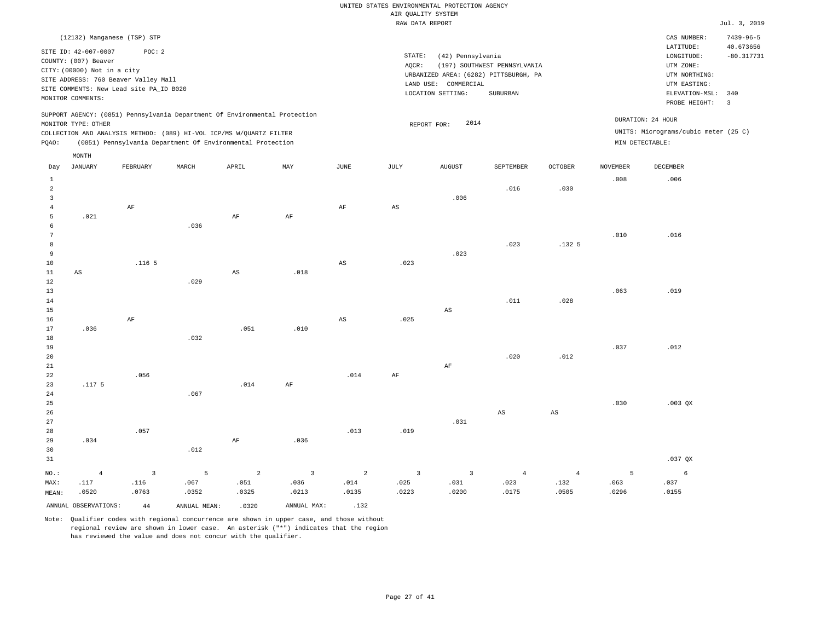|                                | (12132) Manganese (TSP) STP                                                                                                                                    |                                 |                                                                            |                        |                                 |             |                                 |                                                                                                         |                                          |                        |                 | CAS NUMBER:<br>LATITUDE:                                                   | $7439 - 96 - 5$<br>40.673656 |
|--------------------------------|----------------------------------------------------------------------------------------------------------------------------------------------------------------|---------------------------------|----------------------------------------------------------------------------|------------------------|---------------------------------|-------------|---------------------------------|---------------------------------------------------------------------------------------------------------|------------------------------------------|------------------------|-----------------|----------------------------------------------------------------------------|------------------------------|
|                                | SITE ID: 42-007-0007<br>COUNTY: (007) Beaver<br>CITY: (00000) Not in a city<br>SITE ADDRESS: 760 Beaver Valley Mall<br>SITE COMMENTS: New Lead site PA_ID B020 | POC: 2                          |                                                                            |                        |                                 |             | STATE:<br>AOCR:                 | (42) Pennsylvania<br>URBANIZED AREA: (6282) PITTSBURGH, PA<br>LAND USE: COMMERCIAL<br>LOCATION SETTING: | (197) SOUTHWEST PENNSYLVANIA<br>SUBURBAN |                        |                 | LONGITUDE:<br>UTM ZONE:<br>UTM NORTHING:<br>UTM EASTING:<br>ELEVATION-MSL: | $-80.317731$<br>340          |
|                                | MONITOR COMMENTS:                                                                                                                                              |                                 |                                                                            |                        |                                 |             |                                 |                                                                                                         |                                          |                        |                 | PROBE HEIGHT:                                                              | $\overline{\mathbf{3}}$      |
|                                | MONITOR TYPE: OTHER                                                                                                                                            |                                 | SUPPORT AGENCY: (0851) Pennsylvania Department Of Environmental Protection |                        |                                 |             |                                 | 2014<br>REPORT FOR:                                                                                     |                                          |                        |                 | DURATION: 24 HOUR                                                          |                              |
|                                |                                                                                                                                                                |                                 | COLLECTION AND ANALYSIS METHOD: (089) HI-VOL ICP/MS W/QUARTZ FILTER        |                        |                                 |             |                                 |                                                                                                         |                                          |                        |                 | UNITS: Micrograms/cubic meter (25 C)                                       |                              |
| PQAO:                          |                                                                                                                                                                |                                 | (0851) Pennsylvania Department Of Environmental Protection                 |                        |                                 |             |                                 |                                                                                                         |                                          |                        | MIN DETECTABLE: |                                                                            |                              |
|                                | MONTH                                                                                                                                                          |                                 |                                                                            |                        |                                 |             |                                 |                                                                                                         |                                          |                        |                 |                                                                            |                              |
| Day                            | <b>JANUARY</b>                                                                                                                                                 | FEBRUARY                        | MARCH                                                                      | APRIL                  | MAY                             | JUNE        | JULY                            | <b>AUGUST</b>                                                                                           | SEPTEMBER                                | <b>OCTOBER</b>         | <b>NOVEMBER</b> | <b>DECEMBER</b>                                                            |                              |
| $\mathbf{1}$<br>$\overline{a}$ |                                                                                                                                                                |                                 |                                                                            |                        |                                 |             |                                 |                                                                                                         | .016                                     | .030                   | .008            | .006                                                                       |                              |
| $\mathbf{3}$                   |                                                                                                                                                                |                                 |                                                                            |                        |                                 |             |                                 | .006                                                                                                    |                                          |                        |                 |                                                                            |                              |
| $\overline{4}$<br>5            | .021                                                                                                                                                           | AF                              |                                                                            | $\rm AF$               | AF                              | AF          | AS                              |                                                                                                         |                                          |                        |                 |                                                                            |                              |
| 6                              |                                                                                                                                                                |                                 | .036                                                                       |                        |                                 |             |                                 |                                                                                                         |                                          |                        |                 |                                                                            |                              |
| $\overline{7}$                 |                                                                                                                                                                |                                 |                                                                            |                        |                                 |             |                                 |                                                                                                         |                                          |                        | .010            | .016                                                                       |                              |
| 8                              |                                                                                                                                                                |                                 |                                                                            |                        |                                 |             |                                 |                                                                                                         | .023                                     | .132 <sub>5</sub>      |                 |                                                                            |                              |
| 9                              |                                                                                                                                                                |                                 |                                                                            |                        |                                 |             |                                 | .023                                                                                                    |                                          |                        |                 |                                                                            |                              |
| 10<br>11                       |                                                                                                                                                                | .116 <sub>5</sub>               |                                                                            | $_{\rm AS}$            | .018                            | AS          | .023                            |                                                                                                         |                                          |                        |                 |                                                                            |                              |
| $12\,$                         | AS                                                                                                                                                             |                                 | .029                                                                       |                        |                                 |             |                                 |                                                                                                         |                                          |                        |                 |                                                                            |                              |
| 13                             |                                                                                                                                                                |                                 |                                                                            |                        |                                 |             |                                 |                                                                                                         |                                          |                        | .063            | .019                                                                       |                              |
| 14                             |                                                                                                                                                                |                                 |                                                                            |                        |                                 |             |                                 |                                                                                                         | .011                                     | .028                   |                 |                                                                            |                              |
| 15                             |                                                                                                                                                                |                                 |                                                                            |                        |                                 |             |                                 | $\mathbb{A}\mathbb{S}$                                                                                  |                                          |                        |                 |                                                                            |                              |
| 16                             |                                                                                                                                                                | AF                              |                                                                            |                        |                                 | $_{\rm AS}$ | .025                            |                                                                                                         |                                          |                        |                 |                                                                            |                              |
| 17<br>18                       | .036                                                                                                                                                           |                                 | .032                                                                       | .051                   | .010                            |             |                                 |                                                                                                         |                                          |                        |                 |                                                                            |                              |
| 19                             |                                                                                                                                                                |                                 |                                                                            |                        |                                 |             |                                 |                                                                                                         |                                          |                        | .037            | .012                                                                       |                              |
| 20                             |                                                                                                                                                                |                                 |                                                                            |                        |                                 |             |                                 |                                                                                                         | .020                                     | .012                   |                 |                                                                            |                              |
| 21                             |                                                                                                                                                                |                                 |                                                                            |                        |                                 |             |                                 | $\rm{AF}$                                                                                               |                                          |                        |                 |                                                                            |                              |
| 22                             |                                                                                                                                                                | .056                            |                                                                            |                        |                                 | .014        | $\rm AF$                        |                                                                                                         |                                          |                        |                 |                                                                            |                              |
| 23                             | .117 <sub>5</sub>                                                                                                                                              |                                 |                                                                            | .014                   | AF                              |             |                                 |                                                                                                         |                                          |                        |                 |                                                                            |                              |
| 24<br>25                       |                                                                                                                                                                |                                 | .067                                                                       |                        |                                 |             |                                 |                                                                                                         |                                          |                        | .030            | $.003$ QX                                                                  |                              |
| 26                             |                                                                                                                                                                |                                 |                                                                            |                        |                                 |             |                                 |                                                                                                         | $\mathbb{A}\mathbb{S}$                   | $\mathbb{A}\mathbb{S}$ |                 |                                                                            |                              |
| 27                             |                                                                                                                                                                |                                 |                                                                            |                        |                                 |             |                                 | .031                                                                                                    |                                          |                        |                 |                                                                            |                              |
| 28                             |                                                                                                                                                                | .057                            |                                                                            |                        |                                 | .013        | .019                            |                                                                                                         |                                          |                        |                 |                                                                            |                              |
| 29                             | .034                                                                                                                                                           |                                 |                                                                            | AF                     | .036                            |             |                                 |                                                                                                         |                                          |                        |                 |                                                                            |                              |
| 30<br>31                       |                                                                                                                                                                |                                 | .012                                                                       |                        |                                 |             |                                 |                                                                                                         |                                          |                        |                 | $.037$ QX                                                                  |                              |
|                                |                                                                                                                                                                |                                 |                                                                            |                        |                                 |             |                                 |                                                                                                         |                                          |                        |                 |                                                                            |                              |
| NO.:                           | $\overline{4}$<br>.117                                                                                                                                         | $\overline{\mathbf{3}}$<br>.116 | 5<br>.067                                                                  | $\overline{2}$<br>.051 | $\overline{\mathbf{3}}$<br>.036 | 2<br>.014   | $\overline{\mathbf{3}}$<br>.025 | $\overline{3}$<br>.031                                                                                  | $\overline{4}$<br>.023                   | $\overline{4}$<br>.132 | 5<br>.063       | 6<br>.037                                                                  |                              |
| MAX:<br>MEAN:                  | .0520                                                                                                                                                          | .0763                           | .0352                                                                      | .0325                  | .0213                           | .0135       | .0223                           | .0200                                                                                                   | .0175                                    | .0505                  | .0296           | .0155                                                                      |                              |
|                                | ANNUAL OBSERVATIONS:                                                                                                                                           | 44                              | ANNUAL MEAN:                                                               | .0320                  | ANNUAL MAX:                     | .132        |                                 |                                                                                                         |                                          |                        |                 |                                                                            |                              |
|                                |                                                                                                                                                                |                                 |                                                                            |                        |                                 |             |                                 |                                                                                                         |                                          |                        |                 |                                                                            |                              |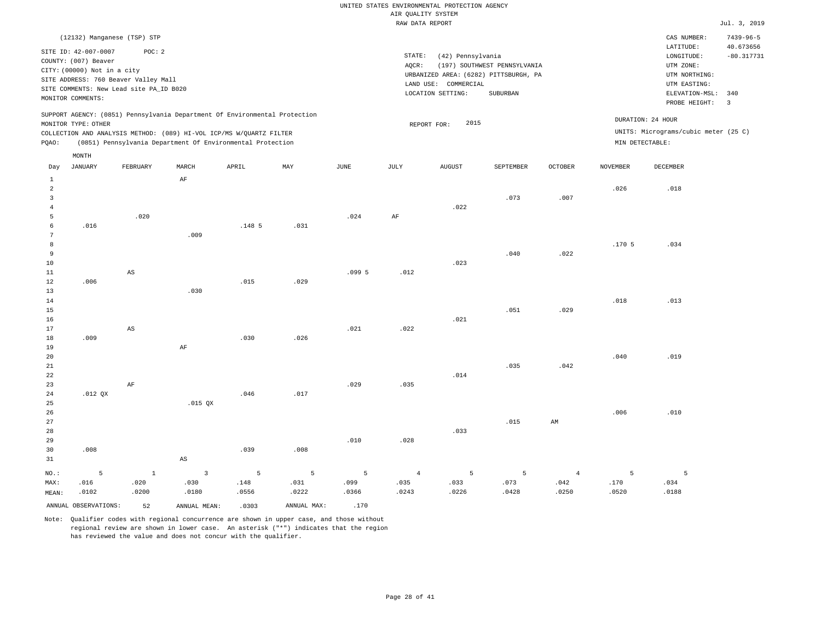|                                                                                                                                                                                                                                                 |      |                 |                                                                |                                                                                   |         |                                      | CAS NUMBER:                                                                             | $7439 - 96 - 5$                  |
|-------------------------------------------------------------------------------------------------------------------------------------------------------------------------------------------------------------------------------------------------|------|-----------------|----------------------------------------------------------------|-----------------------------------------------------------------------------------|---------|--------------------------------------|-----------------------------------------------------------------------------------------|----------------------------------|
| (12132) Manganese (TSP) STP                                                                                                                                                                                                                     |      |                 |                                                                |                                                                                   |         |                                      |                                                                                         |                                  |
| SITE ID: 42-007-0007<br>POC:2<br>COUNTY: (007) Beaver<br>CITY: (00000) Not in a city<br>SITE ADDRESS: 760 Beaver Valley Mall<br>SITE COMMENTS: New Lead site PA ID B020<br>MONITOR COMMENTS:                                                    |      | STATE:<br>AOCR: | (42) Pennsylvania<br>LAND USE: COMMERCIAL<br>LOCATION SETTING: | (197) SOUTHWEST PENNSYLVANIA<br>URBANIZED AREA: (6282) PITTSBURGH, PA<br>SUBURBAN |         |                                      | LATITUDE:<br>LONGITUDE:<br>UTM ZONE:<br>UTM NORTHING:<br>UTM EASTING:<br>ELEVATION-MSL: | 40.673656<br>$-80.317731$<br>340 |
|                                                                                                                                                                                                                                                 |      |                 |                                                                |                                                                                   |         |                                      | PROBE HEIGHT:                                                                           |                                  |
| SUPPORT AGENCY: (0851) Pennsylvania Department Of Environmental Protection<br>MONITOR TYPE: OTHER<br>COLLECTION AND ANALYSIS METHOD: (089) HI-VOL ICP/MS W/OUARTZ FILTER<br>(0851) Pennsylvania Department Of Environmental Protection<br>POAO: |      | REPORT FOR:     | 2015                                                           |                                                                                   |         | DURATION: 24 HOUR<br>MIN DETECTABLE: | UNITS: Micrograms/cubic meter (25 C)                                                    |                                  |
| MONTH<br>MAY<br>JANUARY<br>FEBRUARY<br>MARCH<br>APRIL<br>Day                                                                                                                                                                                    | JUNE | JULY            | <b>AUGUST</b>                                                  | SEPTEMBER                                                                         | OCTOBER | NOVEMBER                             | DECEMBER                                                                                |                                  |

| $1\,$          |                 |                        | $\rm{AF}$               |        |                |        |                |                |       |                |        |          |
|----------------|-----------------|------------------------|-------------------------|--------|----------------|--------|----------------|----------------|-------|----------------|--------|----------|
| $\overline{a}$ |                 |                        |                         |        |                |        |                |                |       |                | .026   | .018     |
| 3              |                 |                        |                         |        |                |        |                |                | .073  | .007           |        |          |
| $\overline{4}$ |                 |                        |                         |        |                |        |                | .022           |       |                |        |          |
| 5              |                 | .020                   |                         |        |                | .024   | $\rm{AF}$      |                |       |                |        |          |
| 6              | .016            |                        |                         | .148 5 | .031           |        |                |                |       |                |        |          |
| 7              |                 |                        | .009                    |        |                |        |                |                |       |                |        |          |
| 8              |                 |                        |                         |        |                |        |                |                |       |                | .170.5 | .034     |
| 9              |                 |                        |                         |        |                |        |                |                | .040  | .022           |        |          |
| 10             |                 |                        |                         |        |                |        |                | .023           |       |                |        |          |
| 11             |                 | $\mathbb{A}\mathbb{S}$ |                         |        |                | .099 5 | .012           |                |       |                |        |          |
| 12             | .006            |                        |                         | .015   | .029           |        |                |                |       |                |        |          |
| 13             |                 |                        | .030                    |        |                |        |                |                |       |                |        |          |
| 14             |                 |                        |                         |        |                |        |                |                |       |                | .018   | .013     |
| 15             |                 |                        |                         |        |                |        |                |                | .051  | .029           |        |          |
| 16             |                 |                        |                         |        |                |        |                | .021           |       |                |        |          |
| 17             |                 | $\mathbb{A}\mathbb{S}$ |                         |        |                | .021   | .022           |                |       |                |        |          |
| 18             | .009            |                        |                         | .030   | .026           |        |                |                |       |                |        |          |
| 19             |                 |                        | $\rm{AF}$               |        |                |        |                |                |       |                |        |          |
| 20             |                 |                        |                         |        |                |        |                |                |       |                | .040   | .019     |
| $21\,$         |                 |                        |                         |        |                |        |                |                | .035  | .042           |        |          |
| 22             |                 |                        |                         |        |                |        |                | .014           |       |                |        |          |
| 23             |                 | $\rm AF$               |                         |        |                | .029   | .035           |                |       |                |        |          |
| 24             | $.012$ QX       |                        |                         | .046   | .017           |        |                |                |       |                |        |          |
| 25             |                 |                        | $.015$ QX               |        |                |        |                |                |       |                |        |          |
| 26             |                 |                        |                         |        |                |        |                |                |       |                | .006   | .010     |
| 27             |                 |                        |                         |        |                |        |                |                | .015  | AM             |        |          |
| 28             |                 |                        |                         |        |                |        |                | .033           |       |                |        |          |
| 29             |                 |                        |                         |        |                | .010   | .028           |                |       |                |        |          |
| 30             | .008            |                        |                         | .039   | .008           |        |                |                |       |                |        |          |
| 31             |                 |                        | $\mathbb{A}\mathbb{S}$  |        |                |        |                |                |       |                |        |          |
| $NO.$ :        | $5\phantom{.0}$ | $\,$ 1                 | $\overline{\mathbf{3}}$ | 5      | $\overline{5}$ | 5      | $\overline{4}$ | $\overline{5}$ | 5     | $\overline{4}$ | 5      | $\sim$ 5 |
| MAX:           | .016            | .020                   | .030                    | .148   | .031           | .099   | .035           | .033           | .073  | .042           | .170   | .034     |
| MEAN:          | .0102           | .0200                  | .0180                   | .0556  | .0222          | .0366  | .0243          | .0226          | .0428 | .0250          | .0520  | .0188    |
|                |                 |                        |                         |        |                |        |                |                |       |                |        |          |

ANNUAL OBSERVATIONS: 52 ANNUAL MEAN: .0303 ANNUAL MAX: .170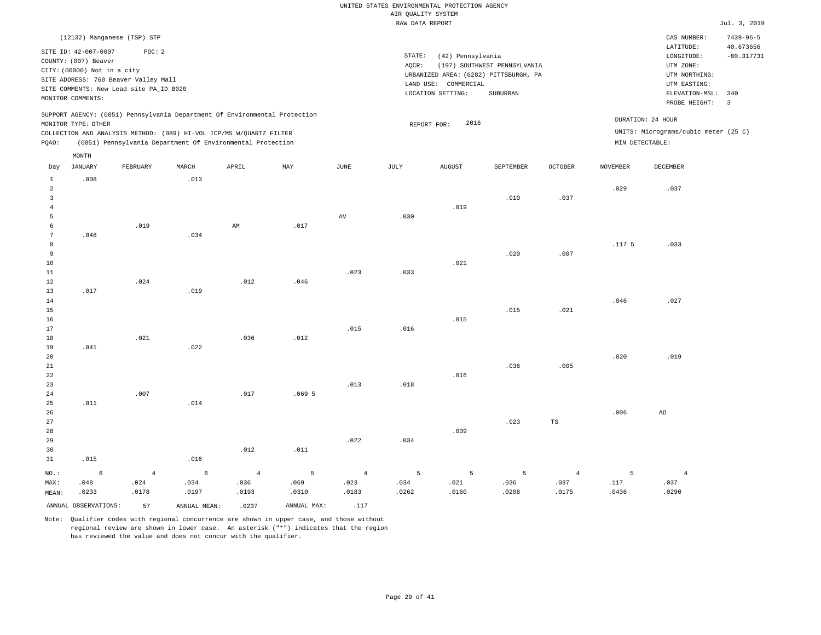# UNITED STATES ENVIRONMENTAL PROTECTION AGENCY AIR QUALITY SYSTEM

|       |                                                                                                  |                                                                                           |       |                                                                            |      |      | RAW DATA REPORT |                                                                |                                                                                   |                |                   |                                                                                             | Jul. 3, 2019                                   |
|-------|--------------------------------------------------------------------------------------------------|-------------------------------------------------------------------------------------------|-------|----------------------------------------------------------------------------|------|------|-----------------|----------------------------------------------------------------|-----------------------------------------------------------------------------------|----------------|-------------------|---------------------------------------------------------------------------------------------|------------------------------------------------|
|       |                                                                                                  | (12132) Manganese (TSP) STP                                                               |       |                                                                            |      |      |                 |                                                                |                                                                                   |                |                   | CAS NUMBER:<br>LATITUDE:                                                                    | $7439 - 96 - 5$<br>40.673656                   |
|       | SITE ID: 42-007-0007<br>COUNTY: (007) Beaver<br>CITY: (00000) Not in a city<br>MONITOR COMMENTS: | POC: 2<br>SITE ADDRESS: 760 Beaver Valley Mall<br>SITE COMMENTS: New Lead site PA_ID B020 |       |                                                                            |      |      | STATE:<br>AOCR: | (42) Pennsylvania<br>LAND USE: COMMERCIAL<br>LOCATION SETTING: | (197) SOUTHWEST PENNSYLVANIA<br>URBANIZED AREA: (6282) PITTSBURGH, PA<br>SUBURBAN |                |                   | LONGITUDE:<br>UTM ZONE:<br>UTM NORTHING:<br>UTM EASTING:<br>ELEVATION-MSL:<br>PROBE HEIGHT: | $-80.317731$<br>340<br>$\overline{\mathbf{3}}$ |
|       |                                                                                                  |                                                                                           |       | SUPPORT AGENCY: (0851) Pennsylvania Department Of Environmental Protection |      |      |                 |                                                                |                                                                                   |                |                   | DURATION: 24 HOUR                                                                           |                                                |
|       | MONITOR TYPE: OTHER                                                                              |                                                                                           |       |                                                                            |      |      |                 | 2016<br>REPORT FOR:                                            |                                                                                   |                |                   |                                                                                             |                                                |
|       |                                                                                                  |                                                                                           |       | COLLECTION AND ANALYSIS METHOD: (089) HI-VOL ICP/MS W/QUARTZ FILTER        |      |      |                 |                                                                |                                                                                   |                |                   | UNITS: Micrograms/cubic meter (25 C)                                                        |                                                |
| PQAO: |                                                                                                  |                                                                                           |       | (0851) Pennsylvania Department Of Environmental Protection                 |      |      |                 |                                                                |                                                                                   |                |                   | MIN DETECTABLE:                                                                             |                                                |
|       | MONTH                                                                                            |                                                                                           |       |                                                                            |      |      |                 |                                                                |                                                                                   |                |                   |                                                                                             |                                                |
| Day   | <b>JANUARY</b>                                                                                   | FEBRUARY                                                                                  | MARCH | APRIL                                                                      | MAY  | JUNE | JULY            | AUGUST                                                         | SEPTEMBER                                                                         | <b>OCTOBER</b> | <b>NOVEMBER</b>   | <b>DECEMBER</b>                                                                             |                                                |
| 1     | .008                                                                                             |                                                                                           | .013  |                                                                            |      |      |                 |                                                                |                                                                                   |                |                   |                                                                                             |                                                |
| 2     |                                                                                                  |                                                                                           |       |                                                                            |      |      |                 |                                                                |                                                                                   |                | .029              | .037                                                                                        |                                                |
| 3     |                                                                                                  |                                                                                           |       |                                                                            |      |      |                 |                                                                | .010                                                                              | .037           |                   |                                                                                             |                                                |
|       |                                                                                                  |                                                                                           |       |                                                                            |      |      |                 | .019                                                           |                                                                                   |                |                   |                                                                                             |                                                |
|       |                                                                                                  |                                                                                           |       |                                                                            |      | AV   | .030            |                                                                |                                                                                   |                |                   |                                                                                             |                                                |
|       |                                                                                                  | .019                                                                                      |       | AM                                                                         | .017 |      |                 |                                                                |                                                                                   |                |                   |                                                                                             |                                                |
|       | .048                                                                                             |                                                                                           | .034  |                                                                            |      |      |                 |                                                                |                                                                                   |                |                   |                                                                                             |                                                |
| 8     |                                                                                                  |                                                                                           |       |                                                                            |      |      |                 |                                                                |                                                                                   |                | .117 <sub>5</sub> | .033                                                                                        |                                                |
| 9     |                                                                                                  |                                                                                           |       |                                                                            |      |      |                 |                                                                | .020                                                                              | .007           |                   |                                                                                             |                                                |
| 10    |                                                                                                  |                                                                                           |       |                                                                            |      |      |                 | .021                                                           |                                                                                   |                |                   |                                                                                             |                                                |
| 11    |                                                                                                  |                                                                                           |       |                                                                            |      | .023 | .033            |                                                                |                                                                                   |                |                   |                                                                                             |                                                |
| 12    |                                                                                                  | .024                                                                                      |       | .012                                                                       | .046 |      |                 |                                                                |                                                                                   |                |                   |                                                                                             |                                                |
| 13    | .017                                                                                             |                                                                                           | .019  |                                                                            |      |      |                 |                                                                |                                                                                   |                |                   |                                                                                             |                                                |
| 14    |                                                                                                  |                                                                                           |       |                                                                            |      |      |                 |                                                                |                                                                                   |                | .046              | .027                                                                                        |                                                |
| 15    |                                                                                                  |                                                                                           |       |                                                                            |      |      |                 |                                                                | .015                                                                              | .021           |                   |                                                                                             |                                                |
| 16    |                                                                                                  |                                                                                           |       |                                                                            |      |      |                 | .015                                                           |                                                                                   |                |                   |                                                                                             |                                                |

| --          |      |      |      |      |       |      |      | .    |      |           |      |      |
|-------------|------|------|------|------|-------|------|------|------|------|-----------|------|------|
| 17          |      |      |      |      |       | .015 | .016 |      |      |           |      |      |
| 18          |      | .021 |      | .036 | .012  |      |      |      |      |           |      |      |
| 19          | .041 |      | .022 |      |       |      |      |      |      |           |      |      |
| 20          |      |      |      |      |       |      |      |      |      |           | .020 | .019 |
| $21\,$      |      |      |      |      |       |      |      |      | .036 | .005      |      |      |
| $2\sqrt{2}$ |      |      |      |      |       |      |      | .016 |      |           |      |      |
| 23          |      |      |      |      |       | .013 | .018 |      |      |           |      |      |
| $2\,4$      |      | .007 |      | .017 | .0695 |      |      |      |      |           |      |      |
| 25          | .011 |      | .014 |      |       |      |      |      |      |           |      |      |
| 26          |      |      |      |      |       |      |      |      |      |           | .006 | A0   |
| 27          |      |      |      |      |       |      |      |      | .023 | <b>TS</b> |      |      |

| 28    |         |                |         |          |          |                 |          | .009  |       |       |       |       |
|-------|---------|----------------|---------|----------|----------|-----------------|----------|-------|-------|-------|-------|-------|
| 29    |         |                |         |          |          | .022            | .034     |       |       |       |       |       |
| 30    |         |                |         | .012     | .011     |                 |          |       |       |       |       |       |
| 31    | .015    |                | .016    |          |          |                 |          |       |       |       |       |       |
| NO.:  | $6 - 6$ | 4 <sup>1</sup> | $6 - 6$ | $\sim$ 4 | $\sim$ 5 | $4\overline{ }$ | $\sim$ 5 | $-5$  | -5    | 4     |       | 4     |
| MAX:  | .048    | .024           | .034    | .036     | .069     | .023            | .034     | .021  | .036  | .037  | .117  | .037  |
| MEAN: | .0233   | .0178          | .0197   | .0193    | .0310    | .0183           | .0262    | .0160 | .0208 | .0175 | .0436 | .0290 |

ANNUAL OBSERVATIONS: 57 ANNUAL MEAN: .0237 ANNUAL MAX: .117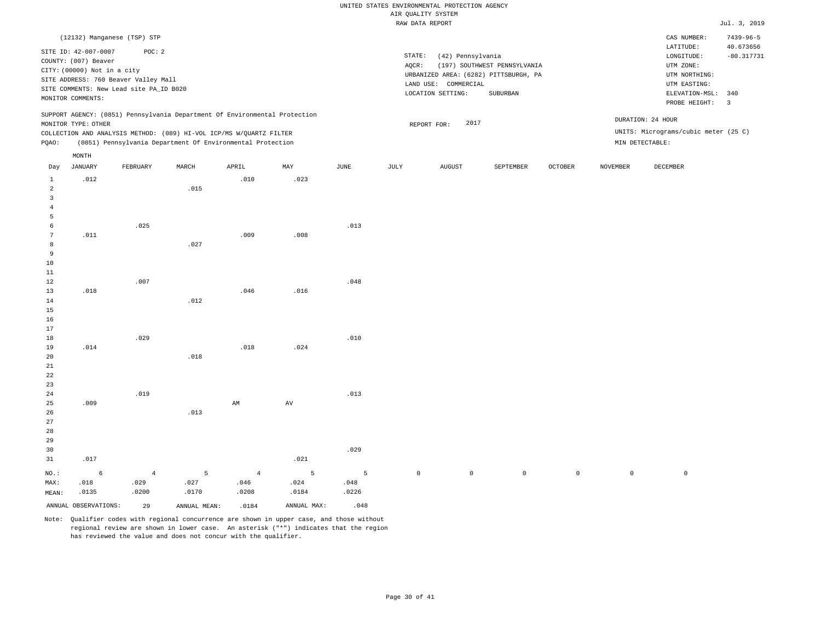|                |                             |                                         |       |                                                                            |      |      |        | UNITED STATES ENVIRONMENTAL PROTECTION AGENCY |                              |         |          |                                      |                              |
|----------------|-----------------------------|-----------------------------------------|-------|----------------------------------------------------------------------------|------|------|--------|-----------------------------------------------|------------------------------|---------|----------|--------------------------------------|------------------------------|
|                |                             |                                         |       |                                                                            |      |      |        | AIR OUALITY SYSTEM                            |                              |         |          |                                      |                              |
|                |                             |                                         |       |                                                                            |      |      |        | RAW DATA REPORT                               |                              |         |          |                                      | Jul. 3, 2019                 |
|                |                             | (12132) Manganese (TSP) STP             |       |                                                                            |      |      |        |                                               |                              |         |          | CAS NUMBER:<br>LATITUDE:             | $7439 - 96 - 5$<br>40.673656 |
|                | SITE ID: 42-007-0007        | POC: 2                                  |       |                                                                            |      |      | STATE: | (42) Pennsylvania                             |                              |         |          | LONGITUDE:                           | $-80.317732$                 |
|                | COUNTY: (007) Beaver        |                                         |       |                                                                            |      |      | AQCR:  |                                               | (197) SOUTHWEST PENNSYLVANIA |         |          | UTM ZONE:                            |                              |
|                | CITY: (00000) Not in a city |                                         |       |                                                                            |      |      |        | URBANIZED AREA: (6282) PITTSBURGH, PA         |                              |         |          | UTM NORTHING:                        |                              |
|                |                             | SITE ADDRESS: 760 Beaver Valley Mall    |       |                                                                            |      |      |        | LAND USE: COMMERCIAL                          |                              |         |          | UTM EASTING:                         |                              |
|                |                             | SITE COMMENTS: New Lead site PA_ID B020 |       |                                                                            |      |      |        | LOCATION SETTING:                             | SUBURBAN                     |         |          | ELEVATION-MSL: 340                   |                              |
|                | MONITOR COMMENTS:           |                                         |       |                                                                            |      |      |        |                                               |                              |         |          | PROBE HEIGHT:                        | $\overline{\phantom{a}}$     |
|                |                             |                                         |       | SUPPORT AGENCY: (0851) Pennsylvania Department Of Environmental Protection |      |      |        |                                               |                              |         |          |                                      |                              |
|                | MONITOR TYPE: OTHER         |                                         |       |                                                                            |      |      |        | 2017<br>REPORT FOR:                           |                              |         |          | DURATION: 24 HOUR                    |                              |
|                |                             |                                         |       | COLLECTION AND ANALYSIS METHOD: (089) HI-VOL ICP/MS W/QUARTZ FILTER        |      |      |        |                                               |                              |         |          | UNITS: Micrograms/cubic meter (25 C) |                              |
| PQAO:          |                             |                                         |       | (0851) Pennsylvania Department Of Environmental Protection                 |      |      |        |                                               |                              |         |          | MIN DETECTABLE:                      |                              |
|                | MONTH                       |                                         |       |                                                                            |      |      |        |                                               |                              |         |          |                                      |                              |
| Day            | JANUARY                     | FEBRUARY                                | MARCH | APRIL                                                                      | MAY  | JUNE | JULY   | AUGUST                                        | SEPTEMBER                    | OCTOBER | NOVEMBER | DECEMBER                             |                              |
| 1              | .012                        |                                         |       | .010                                                                       | .023 |      |        |                                               |                              |         |          |                                      |                              |
| $\overline{2}$ |                             |                                         | .015  |                                                                            |      |      |        |                                               |                              |         |          |                                      |                              |
| 3              |                             |                                         |       |                                                                            |      |      |        |                                               |                              |         |          |                                      |                              |
|                |                             |                                         |       |                                                                            |      |      |        |                                               |                              |         |          |                                      |                              |
| -5             |                             |                                         |       |                                                                            |      |      |        |                                               |                              |         |          |                                      |                              |
| 6              |                             | .025                                    |       |                                                                            |      | .013 |        |                                               |                              |         |          |                                      |                              |
| 7              | .011                        |                                         |       | .009                                                                       | .008 |      |        |                                               |                              |         |          |                                      |                              |
| 8              |                             |                                         | .027  |                                                                            |      |      |        |                                               |                              |         |          |                                      |                              |
| 9              |                             |                                         |       |                                                                            |      |      |        |                                               |                              |         |          |                                      |                              |
| 10             |                             |                                         |       |                                                                            |      |      |        |                                               |                              |         |          |                                      |                              |
| 11             |                             |                                         |       |                                                                            |      |      |        |                                               |                              |         |          |                                      |                              |
| 12             |                             | .007                                    |       |                                                                            |      | .048 |        |                                               |                              |         |          |                                      |                              |
| 13             | .018                        |                                         |       | .046                                                                       | .016 |      |        |                                               |                              |         |          |                                      |                              |
| 14             |                             |                                         | .012  |                                                                            |      |      |        |                                               |                              |         |          |                                      |                              |
| 15             |                             |                                         |       |                                                                            |      |      |        |                                               |                              |         |          |                                      |                              |
| 16             |                             |                                         |       |                                                                            |      |      |        |                                               |                              |         |          |                                      |                              |
| 17             |                             |                                         |       |                                                                            |      |      |        |                                               |                              |         |          |                                      |                              |
| 18             |                             | .029                                    |       |                                                                            |      | .010 |        |                                               |                              |         |          |                                      |                              |
| 19             | .014                        |                                         |       | .018                                                                       | .024 |      |        |                                               |                              |         |          |                                      |                              |

Jul. 3, 2019

 $-80.317731$ 40.673656

| 19          | .014       |                |                 | .018           | .024  |       |         |             |                |             |         |   |
|-------------|------------|----------------|-----------------|----------------|-------|-------|---------|-------------|----------------|-------------|---------|---|
| 20          |            |                | .018            |                |       |       |         |             |                |             |         |   |
| $2\sqrt{1}$ |            |                |                 |                |       |       |         |             |                |             |         |   |
| $^{\rm 22}$ |            |                |                 |                |       |       |         |             |                |             |         |   |
| $_{\rm 23}$ |            |                |                 |                |       |       |         |             |                |             |         |   |
| $2\,4$      |            | .019           |                 |                |       | .013  |         |             |                |             |         |   |
| 25          | .009       |                |                 | AM             | AV    |       |         |             |                |             |         |   |
| $_{\rm 26}$ |            |                | .013            |                |       |       |         |             |                |             |         |   |
| $_{\rm 27}$ |            |                |                 |                |       |       |         |             |                |             |         |   |
| $2\,8$      |            |                |                 |                |       |       |         |             |                |             |         |   |
| $29\,$      |            |                |                 |                |       |       |         |             |                |             |         |   |
| $30\,$      |            |                |                 |                |       | .029  |         |             |                |             |         |   |
| 31          | .017       |                |                 |                | .021  |       |         |             |                |             |         |   |
| NO.:        | $\epsilon$ | $\overline{4}$ | $5\overline{5}$ | $\overline{4}$ | 5     | 5     | $\circ$ | $\mathbb O$ | $\overline{0}$ | $\mathbb O$ | $\circ$ | 0 |
| MAX:        | .018       | .029           | .027            | .046           | .024  | .048  |         |             |                |             |         |   |
| MEAN:       | .0135      | .0200          | .0170           | .0208          | .0184 | .0226 |         |             |                |             |         |   |
|             |            |                |                 |                |       |       |         |             |                |             |         |   |

Note: Qualifier codes with regional concurrence are shown in upper case, and those without regional review are shown in lower case. An asterisk ("\*") indicates that the region has reviewed the value and does not concur with the qualifier.

ANNUAL OBSERVATIONS: 29 ANNUAL MEAN: .0184 ANNUAL MAX: .048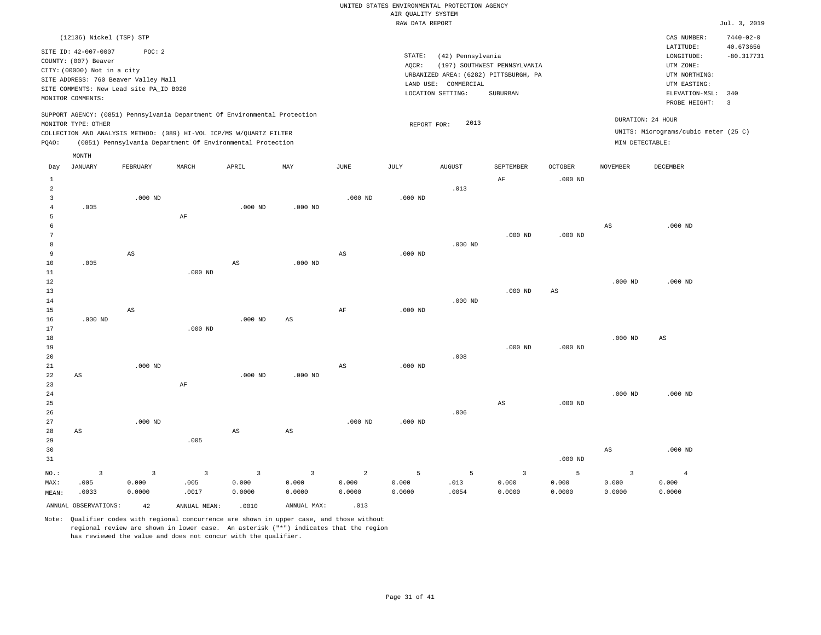|                    |  |  |  |  | UNITED STATES ENVIRONMENTAL PROTECTION AGENCY |  |  |  |  |  |  |
|--------------------|--|--|--|--|-----------------------------------------------|--|--|--|--|--|--|
| AIR OUALITY SYSTEM |  |  |  |  |                                               |  |  |  |  |  |  |
| natt namn nennem   |  |  |  |  |                                               |  |  |  |  |  |  |

|                |                                                                                 |                        |                                                                            |                |                         |                | RAW DATA REPORT |                                       |                              |           |                 |                                      | Jul. 3, 2019              |
|----------------|---------------------------------------------------------------------------------|------------------------|----------------------------------------------------------------------------|----------------|-------------------------|----------------|-----------------|---------------------------------------|------------------------------|-----------|-----------------|--------------------------------------|---------------------------|
|                | (12136) Nickel (TSP) STP                                                        |                        |                                                                            |                |                         |                |                 |                                       |                              |           |                 | CAS NUMBER:                          | $7440 - 02 - 0$           |
|                | SITE ID: 42-007-0007                                                            | POC: 2                 |                                                                            |                |                         |                | STATE:          | (42) Pennsylvania                     |                              |           |                 | LATITUDE:<br>LONGITUDE:              | 40.673656<br>$-80.317731$ |
|                | COUNTY: (007) Beaver                                                            |                        |                                                                            |                |                         |                | AQCR:           |                                       | (197) SOUTHWEST PENNSYLVANIA |           |                 | UTM ZONE:                            |                           |
|                | CITY: (00000) Not in a city                                                     |                        |                                                                            |                |                         |                |                 | URBANIZED AREA: (6282) PITTSBURGH, PA |                              |           |                 | UTM NORTHING:                        |                           |
|                | SITE ADDRESS: 760 Beaver Valley Mall<br>SITE COMMENTS: New Lead site PA_ID B020 |                        |                                                                            |                |                         |                |                 | LAND USE: COMMERCIAL                  |                              |           |                 | UTM EASTING:                         |                           |
|                | MONITOR COMMENTS:                                                               |                        |                                                                            |                |                         |                |                 | LOCATION SETTING:                     | SUBURBAN                     |           |                 | ELEVATION-MSL: 340                   |                           |
|                |                                                                                 |                        |                                                                            |                |                         |                |                 |                                       |                              |           |                 | PROBE HEIGHT:                        | $\overline{3}$            |
|                | MONITOR TYPE: OTHER                                                             |                        | SUPPORT AGENCY: (0851) Pennsylvania Department Of Environmental Protection |                |                         |                |                 | 2013                                  |                              |           |                 | DURATION: 24 HOUR                    |                           |
|                |                                                                                 |                        | COLLECTION AND ANALYSIS METHOD: (089) HI-VOL ICP/MS W/QUARTZ FILTER        |                |                         |                | REPORT FOR:     |                                       |                              |           |                 | UNITS: Micrograms/cubic meter (25 C) |                           |
| PQAO:          |                                                                                 |                        | (0851) Pennsylvania Department Of Environmental Protection                 |                |                         |                |                 |                                       |                              |           | MIN DETECTABLE: |                                      |                           |
|                | MONTH                                                                           |                        |                                                                            |                |                         |                |                 |                                       |                              |           |                 |                                      |                           |
| Day            | JANUARY                                                                         | FEBRUARY               | MARCH                                                                      | APRIL          | MAY                     | JUNE           | JULY            | ${\tt AUGUST}$                        | SEPTEMBER                    | OCTOBER   | NOVEMBER        | DECEMBER                             |                           |
| $\mathbf{1}$   |                                                                                 |                        |                                                                            |                |                         |                |                 |                                       | AF                           | $.000$ ND |                 |                                      |                           |
| $\overline{a}$ |                                                                                 |                        |                                                                            |                |                         |                |                 | .013                                  |                              |           |                 |                                      |                           |
| 3              |                                                                                 | $.000$ ND              |                                                                            |                |                         | $.000$ ND      | $.000$ ND       |                                       |                              |           |                 |                                      |                           |
| $\overline{4}$ | .005                                                                            |                        |                                                                            | $.000$ ND      | $.000$ ND               |                |                 |                                       |                              |           |                 |                                      |                           |
| 5<br>6         |                                                                                 |                        | AF                                                                         |                |                         |                |                 |                                       |                              |           |                 | $.000$ ND                            |                           |
| 7              |                                                                                 |                        |                                                                            |                |                         |                |                 |                                       | $.000$ ND                    | $.000$ ND | AS              |                                      |                           |
| 8              |                                                                                 |                        |                                                                            |                |                         |                |                 | $.000$ ND                             |                              |           |                 |                                      |                           |
| $\overline{9}$ |                                                                                 | $_{\rm AS}$            |                                                                            |                |                         | $_{\rm AS}$    | $.000$ ND       |                                       |                              |           |                 |                                      |                           |
| 10             | .005                                                                            |                        |                                                                            | $_{\rm AS}$    | $.000$ ND               |                |                 |                                       |                              |           |                 |                                      |                           |
| $11\,$         |                                                                                 |                        | $.000$ ND                                                                  |                |                         |                |                 |                                       |                              |           |                 |                                      |                           |
| 12             |                                                                                 |                        |                                                                            |                |                         |                |                 |                                       |                              |           | $.000$ ND       | $.000$ ND                            |                           |
| 13<br>14       |                                                                                 |                        |                                                                            |                |                         |                |                 | $.000$ ND                             | $.000$ ND                    | AS        |                 |                                      |                           |
| 15             |                                                                                 | $\mathbb{A}\mathbb{S}$ |                                                                            |                |                         | $\rm AF$       | $.000$ ND       |                                       |                              |           |                 |                                      |                           |
| 16             | $.000$ ND                                                                       |                        |                                                                            | $.000$ ND      | $_{\rm AS}$             |                |                 |                                       |                              |           |                 |                                      |                           |
| 17             |                                                                                 |                        | $.000$ ND                                                                  |                |                         |                |                 |                                       |                              |           |                 |                                      |                           |
| 18             |                                                                                 |                        |                                                                            |                |                         |                |                 |                                       |                              |           | $.000$ ND       | $_{\rm AS}$                          |                           |
| 19             |                                                                                 |                        |                                                                            |                |                         |                |                 |                                       | $.000$ ND                    | $.000$ ND |                 |                                      |                           |
| 20<br>$21\,$   |                                                                                 | $.000$ ND              |                                                                            |                |                         | $_{\rm AS}$    | $.000$ ND       | .008                                  |                              |           |                 |                                      |                           |
| 22             | AS                                                                              |                        |                                                                            | $.000$ ND      | $.000$ ND               |                |                 |                                       |                              |           |                 |                                      |                           |
| 23             |                                                                                 |                        | $\rm AF$                                                                   |                |                         |                |                 |                                       |                              |           |                 |                                      |                           |
| 24             |                                                                                 |                        |                                                                            |                |                         |                |                 |                                       |                              |           | $.000$ ND       | $.000$ ND                            |                           |
| 25             |                                                                                 |                        |                                                                            |                |                         |                |                 |                                       | AS                           | $.000$ ND |                 |                                      |                           |
| 26             |                                                                                 |                        |                                                                            |                |                         |                |                 | .006                                  |                              |           |                 |                                      |                           |
| 27<br>28       | AS                                                                              | $.000$ ND              |                                                                            | AS             | AS                      | $.000$ ND      | $.000$ ND       |                                       |                              |           |                 |                                      |                           |
| 29             |                                                                                 |                        | .005                                                                       |                |                         |                |                 |                                       |                              |           |                 |                                      |                           |
| 30             |                                                                                 |                        |                                                                            |                |                         |                |                 |                                       |                              |           | $_{\rm AS}$     | $.000$ ND                            |                           |
| 31             |                                                                                 |                        |                                                                            |                |                         |                |                 |                                       |                              | $.000$ ND |                 |                                      |                           |
| $NO.$ :        | $\overline{3}$                                                                  | $\overline{3}$         | $\mathbf{3}$                                                               | $\overline{3}$ | $\overline{\mathbf{3}}$ | $\overline{a}$ | 5               | 5                                     | $\overline{3}$               | 5         | $\overline{3}$  | $\overline{4}$                       |                           |
| MAX:           | .005                                                                            | 0.000                  | .005                                                                       | 0.000          | 0.000                   | 0.000          | 0.000           | .013                                  | 0.000                        | 0.000     | 0.000           | 0.000                                |                           |
| MEAN:          | .0033                                                                           | 0.0000                 | .0017                                                                      | 0.0000         | 0.0000                  | 0.0000         | 0.0000          | .0054                                 | 0.0000                       | 0.0000    | 0.0000          | 0.0000                               |                           |
|                | ANNUAL OBSERVATIONS:                                                            | 42                     | ANNUAL MEAN:                                                               | .0010          | ANNUAL MAX:             | .013           |                 |                                       |                              |           |                 |                                      |                           |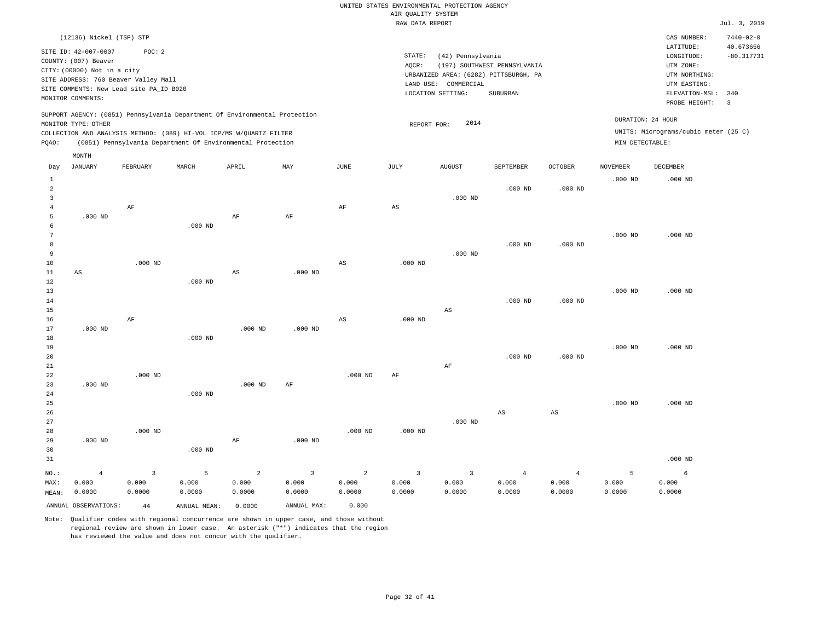|  |  |                    | UNITED STATES ENVIRONMENTAL PROTECTION AGENCY |  |
|--|--|--------------------|-----------------------------------------------|--|
|  |  | AIR OUALITY SYSTEM |                                               |  |
|  |  | RAW DATA REPORT    |                                               |  |

|         |  | Jul. 3, 2019    |
|---------|--|-----------------|
| NUMBER: |  | $7440 - 02 - 0$ |

|                      | (12136) Nickel (TSP) STP                |                 |                                                                            |                 |                 |                 |                 |                        |                                                                       |                 |                 | CAS NUMBER:                          | $7440 - 02 - 0$         |
|----------------------|-----------------------------------------|-----------------|----------------------------------------------------------------------------|-----------------|-----------------|-----------------|-----------------|------------------------|-----------------------------------------------------------------------|-----------------|-----------------|--------------------------------------|-------------------------|
|                      | SITE ID: 42-007-0007                    | POC: 2          |                                                                            |                 |                 |                 |                 |                        |                                                                       |                 |                 | LATITUDE:                            | 40.673656               |
|                      | COUNTY: (007) Beaver                    |                 |                                                                            |                 |                 |                 | STATE:          | (42) Pennsylvania      |                                                                       |                 |                 | LONGITUDE:                           | $-80.317731$            |
|                      | CITY: (00000) Not in a city             |                 |                                                                            |                 |                 |                 | AQCR:           |                        | (197) SOUTHWEST PENNSYLVANIA<br>URBANIZED AREA: (6282) PITTSBURGH, PA |                 |                 | UTM ZONE:<br>UTM NORTHING:           |                         |
|                      | SITE ADDRESS: 760 Beaver Valley Mall    |                 |                                                                            |                 |                 |                 | LAND USE:       | COMMERCIAL             |                                                                       |                 |                 | UTM EASTING:                         |                         |
|                      | SITE COMMENTS: New Lead site PA_ID B020 |                 |                                                                            |                 |                 |                 |                 | LOCATION SETTING:      | SUBURBAN                                                              |                 |                 | ELEVATION-MSL:                       | 340                     |
|                      | MONITOR COMMENTS:                       |                 |                                                                            |                 |                 |                 |                 |                        |                                                                       |                 |                 | PROBE HEIGHT:                        | $\overline{\mathbf{3}}$ |
|                      |                                         |                 | SUPPORT AGENCY: (0851) Pennsylvania Department Of Environmental Protection |                 |                 |                 |                 |                        |                                                                       |                 |                 |                                      |                         |
|                      | MONITOR TYPE: OTHER                     |                 |                                                                            |                 |                 |                 | REPORT FOR:     | 2014                   |                                                                       |                 |                 | DURATION: 24 HOUR                    |                         |
|                      |                                         |                 | COLLECTION AND ANALYSIS METHOD: (089) HI-VOL ICP/MS W/QUARTZ FILTER        |                 |                 |                 |                 |                        |                                                                       |                 |                 | UNITS: Micrograms/cubic meter (25 C) |                         |
| PQAO:                |                                         |                 | (0851) Pennsylvania Department Of Environmental Protection                 |                 |                 |                 |                 |                        |                                                                       |                 | MIN DETECTABLE: |                                      |                         |
|                      | MONTH                                   |                 |                                                                            |                 |                 |                 |                 |                        |                                                                       |                 |                 |                                      |                         |
| Day                  | JANUARY                                 | FEBRUARY        | MARCH                                                                      | APRIL           | MAY             | JUNE            | JULY            | <b>AUGUST</b>          | SEPTEMBER                                                             | <b>OCTOBER</b>  | <b>NOVEMBER</b> | <b>DECEMBER</b>                      |                         |
| $\mathbf{1}$         |                                         |                 |                                                                            |                 |                 |                 |                 |                        |                                                                       |                 | $.000$ ND       | $.000$ ND                            |                         |
| $\overline{2}$       |                                         |                 |                                                                            |                 |                 |                 |                 |                        | $.000$ ND                                                             | $.000$ ND       |                 |                                      |                         |
| $\overline{3}$       |                                         |                 |                                                                            |                 |                 |                 |                 | $.000$ ND              |                                                                       |                 |                 |                                      |                         |
| $\overline{4}$       |                                         | AF              |                                                                            |                 |                 | AF              | AS              |                        |                                                                       |                 |                 |                                      |                         |
| 5                    | $.000$ ND                               |                 |                                                                            | $\rm{AF}$       | $\rm{AF}$       |                 |                 |                        |                                                                       |                 |                 |                                      |                         |
| 6                    |                                         |                 | $.000$ ND                                                                  |                 |                 |                 |                 |                        |                                                                       |                 |                 |                                      |                         |
| $\overline{7}$       |                                         |                 |                                                                            |                 |                 |                 |                 |                        |                                                                       |                 | $.000$ ND       | $.000$ ND                            |                         |
| 8                    |                                         |                 |                                                                            |                 |                 |                 |                 |                        | $.000$ ND                                                             | $.000$ ND       |                 |                                      |                         |
| $\overline{9}$<br>10 |                                         | $.000$ ND       |                                                                            |                 |                 | AS              | $.000$ ND       | $.000$ ND              |                                                                       |                 |                 |                                      |                         |
| 11                   | AS                                      |                 |                                                                            | AS              | $.000$ ND       |                 |                 |                        |                                                                       |                 |                 |                                      |                         |
| $12\,$               |                                         |                 | $.000$ ND                                                                  |                 |                 |                 |                 |                        |                                                                       |                 |                 |                                      |                         |
| 13                   |                                         |                 |                                                                            |                 |                 |                 |                 |                        |                                                                       |                 | $.000$ ND       | $.000$ ND                            |                         |
| 14                   |                                         |                 |                                                                            |                 |                 |                 |                 |                        | $.000$ ND                                                             | $.000$ ND       |                 |                                      |                         |
| 15                   |                                         |                 |                                                                            |                 |                 |                 |                 | $\mathbb{A}\mathbb{S}$ |                                                                       |                 |                 |                                      |                         |
| 16                   |                                         | AF              |                                                                            |                 |                 | AS              | $.000$ ND       |                        |                                                                       |                 |                 |                                      |                         |
| 17                   | $.000$ ND                               |                 |                                                                            | $.000$ ND       | $.000$ ND       |                 |                 |                        |                                                                       |                 |                 |                                      |                         |
| 18                   |                                         |                 | $.000$ ND                                                                  |                 |                 |                 |                 |                        |                                                                       |                 |                 |                                      |                         |
| 19<br>20             |                                         |                 |                                                                            |                 |                 |                 |                 |                        | $.000$ ND                                                             | $.000$ ND       | $.000$ ND       | $.000$ ND                            |                         |
| 21                   |                                         |                 |                                                                            |                 |                 |                 |                 | AF                     |                                                                       |                 |                 |                                      |                         |
| 22                   |                                         | $.000$ ND       |                                                                            |                 |                 | $.000$ ND       | AF              |                        |                                                                       |                 |                 |                                      |                         |
| 23                   | $.000$ ND                               |                 |                                                                            | $.000$ ND       | AF              |                 |                 |                        |                                                                       |                 |                 |                                      |                         |
| 24                   |                                         |                 | $.000$ ND                                                                  |                 |                 |                 |                 |                        |                                                                       |                 |                 |                                      |                         |
| 25                   |                                         |                 |                                                                            |                 |                 |                 |                 |                        |                                                                       |                 | $.000$ ND       | $.000$ ND                            |                         |
| 26                   |                                         |                 |                                                                            |                 |                 |                 |                 |                        | AS                                                                    | AS              |                 |                                      |                         |
| 27                   |                                         |                 |                                                                            |                 |                 |                 |                 | $.000$ ND              |                                                                       |                 |                 |                                      |                         |
| 28                   |                                         | $.000$ ND       |                                                                            |                 |                 | $.000$ ND       | $.000$ ND       |                        |                                                                       |                 |                 |                                      |                         |
| 29<br>30             | $.000$ ND                               |                 | $.000$ ND                                                                  | $\rm AF$        | $.000$ ND       |                 |                 |                        |                                                                       |                 |                 |                                      |                         |
| 31                   |                                         |                 |                                                                            |                 |                 |                 |                 |                        |                                                                       |                 |                 | $.000$ ND                            |                         |
|                      |                                         |                 |                                                                            |                 |                 |                 |                 |                        |                                                                       |                 |                 |                                      |                         |
| NO.:                 | $\overline{4}$                          | $\overline{3}$  | 5                                                                          | $\overline{a}$  | $\overline{3}$  | $\overline{a}$  | $\overline{3}$  | $\overline{3}$         | $\overline{4}$                                                        | $\overline{4}$  | 5               | 6                                    |                         |
| MAX:                 | 0.000                                   | 0.000<br>0.0000 | 0.000<br>0.0000                                                            | 0.000<br>0.0000 | 0.000<br>0.0000 | 0.000<br>0.0000 | 0.000<br>0.0000 | 0.000<br>0.0000        | 0.000<br>0.0000                                                       | 0.000<br>0.0000 | 0.000<br>0.0000 | 0.000<br>0.0000                      |                         |
| MEAN:                | 0.0000                                  |                 |                                                                            |                 |                 |                 |                 |                        |                                                                       |                 |                 |                                      |                         |
|                      | ANNUAL OBSERVATIONS:                    | 44              | ANNUAL, MEAN:                                                              | 0.0000          | ANNUAL MAX:     | 0.000           |                 |                        |                                                                       |                 |                 |                                      |                         |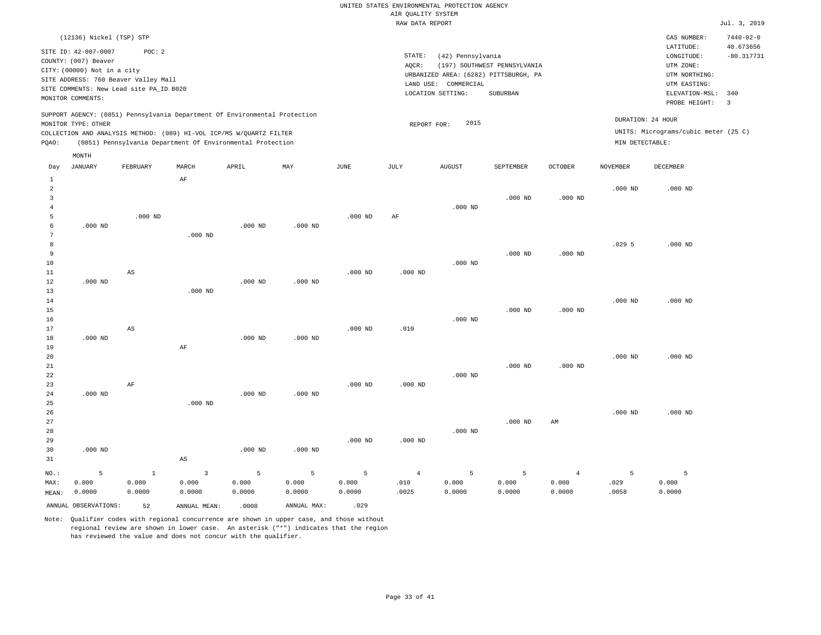## UNITED STATES ENVIRONMENTAL PROTECTION AGENCY AIR QUALITY SYSTEM

|                                                                                                                                                                                                                                                          |                                                                                                  |                                                                                          |       |       |     |                    |                                                                                            | RAW DATA REPORT                                                                             |                                                |                |                 |                                                           | Jul. 3, 2019                 |
|----------------------------------------------------------------------------------------------------------------------------------------------------------------------------------------------------------------------------------------------------------|--------------------------------------------------------------------------------------------------|------------------------------------------------------------------------------------------|-------|-------|-----|--------------------|--------------------------------------------------------------------------------------------|---------------------------------------------------------------------------------------------|------------------------------------------------|----------------|-----------------|-----------------------------------------------------------|------------------------------|
|                                                                                                                                                                                                                                                          | (12136) Nickel (TSP) STP                                                                         |                                                                                          |       |       |     |                    |                                                                                            |                                                                                             |                                                |                |                 | CAS NUMBER:<br>LATITUDE:                                  | $7440 - 02 - 0$<br>40.673656 |
|                                                                                                                                                                                                                                                          | SITE ID: 42-007-0007<br>COUNTY: (007) Beaver<br>CITY: (00000) Not in a city<br>MONITOR COMMENTS: | POC:2<br>SITE ADDRESS: 760 Beaver Valley Mall<br>SITE COMMENTS: New Lead site PA ID B020 |       |       |     |                    | STATE:<br>AOCR:<br>URBANIZED AREA: (6282) PITTSBURGH, PA<br>LAND USE:<br>LOCATION SETTING: | LONGITUDE:<br>UTM ZONE:<br>UTM NORTHING:<br>UTM EASTING:<br>ELEVATION-MSL:<br>PROBE HEIGHT: | $-80.317731$<br>340<br>$\overline{\mathbf{3}}$ |                |                 |                                                           |                              |
| SUPPORT AGENCY: (0851) Pennsylvania Department Of Environmental Protection<br>MONITOR TYPE: OTHER<br>COLLECTION AND ANALYSIS METHOD: (089) HI-VOL ICP/MS W/QUARTZ FILTER<br>(0851) Pennsylvania Department Of Environmental Protection<br>POAO:<br>MONTH |                                                                                                  |                                                                                          |       |       |     |                    |                                                                                            | 2015<br>REPORT FOR:                                                                         |                                                |                | MIN DETECTABLE: | DURATION: 24 HOUR<br>UNITS: Micrograms/cubic meter (25 C) |                              |
| Day                                                                                                                                                                                                                                                      | JANUARY                                                                                          | FEBRUARY                                                                                 | MARCH | APRIL | MAY | JUNE               | JULY                                                                                       | AUGUST                                                                                      | <b>SEPTEMBER</b>                               | <b>OCTOBER</b> | <b>NOVEMBER</b> | DECEMBER                                                  |                              |
| 2                                                                                                                                                                                                                                                        |                                                                                                  |                                                                                          | AF    |       |     |                    |                                                                                            | $.000$ ND                                                                                   | $.000$ ND                                      | $.000$ ND      | $.000$ ND       | $.000$ ND                                                 |                              |
|                                                                                                                                                                                                                                                          |                                                                                                  | $.000$ ND                                                                                |       |       |     | .000 <sub>ND</sub> | AF                                                                                         |                                                                                             |                                                |                |                 |                                                           |                              |

 6 7 8 9 10 11 12 13 14 15 16 17 18 19 20 .000 ND .000 ND .000 ND AS AS .000 ND .000 ND AF .000 ND .000 ND .000 ND .000 ND .000 ND .000 ND .000 ND .000 ND .000 ND .010 .000 ND .000 ND .000 ND .000 ND .000 ND .000 ND .029 5 .000 ND .000 ND .000 ND .000 ND .000 ND

| 21    |           |        |           |           |           |           |           |           | $.000$ ND | $.000$ ND      |           |           |
|-------|-----------|--------|-----------|-----------|-----------|-----------|-----------|-----------|-----------|----------------|-----------|-----------|
| 22    |           |        |           |           |           |           |           | $.000$ ND |           |                |           |           |
| 23    |           | AF     |           |           |           | $.000$ ND | $.000$ ND |           |           |                |           |           |
| 24    | $.000$ ND |        |           | $.000$ ND | $.000$ ND |           |           |           |           |                |           |           |
| 25    |           |        | $.000$ ND |           |           |           |           |           |           |                |           |           |
| 26    |           |        |           |           |           |           |           |           |           |                | $.000$ ND | $.000$ ND |
| 27    |           |        |           |           |           |           |           |           | $.000$ ND | AM             |           |           |
| 28    |           |        |           |           |           |           |           | $.000$ ND |           |                |           |           |
| 29    |           |        |           |           |           | $.000$ ND | $.000$ ND |           |           |                |           |           |
| 30    | $.000$ ND |        |           | $.000$ ND | $.000$ ND |           |           |           |           |                |           |           |
| 31    |           |        | AS        |           |           |           |           |           |           |                |           |           |
| NO.:  | 5         |        | 3         | 5         | 5         | 5         | 4         | 5         | 5         | $\overline{4}$ | 5         | 5         |
| MAX:  | 0.000     | 0.000  | 0.000     | 0.000     | 0.000     | 0.000     | .010      | 0.000     | 0.000     | 0.000          | .029      | 0.000     |
| MEAN: | 0.0000    | 0.0000 | 0.0000    | 0.0000    | 0.0000    | 0.0000    | .0025     | 0.0000    | 0.0000    | 0.0000         | .0058     | 0.0000    |

ANNUAL OBSERVATIONS: 52 ANNUAL MEAN: .0008 ANNUAL MAX: .029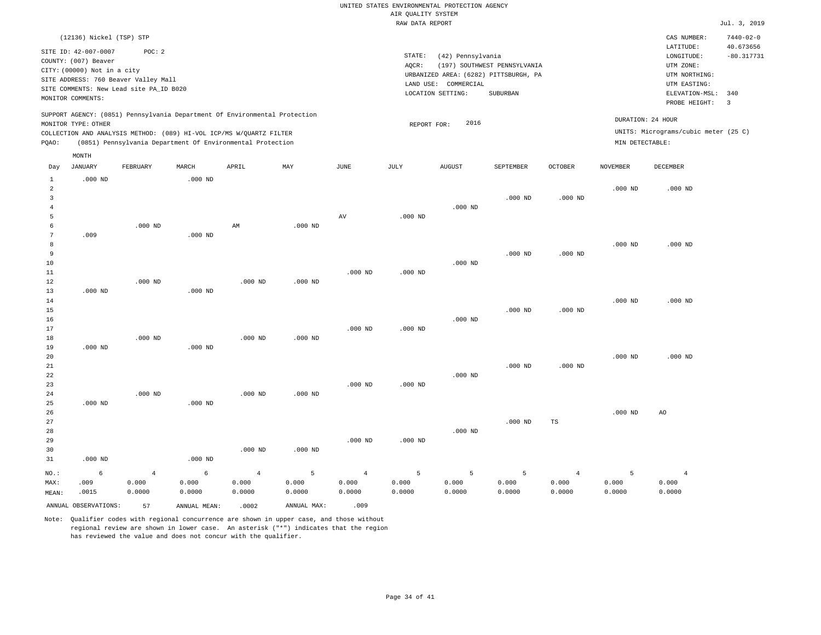# UNITED STATES ENVIRONMENTAL PROTECTION AGENCY AIR QUALITY SYSTEM

|                      |                             |                                                                            |           |                |           |                | RAW DATA REPORT |                      |                                       |                |                 |                                      | Jul. 3, 2019                 |
|----------------------|-----------------------------|----------------------------------------------------------------------------|-----------|----------------|-----------|----------------|-----------------|----------------------|---------------------------------------|----------------|-----------------|--------------------------------------|------------------------------|
|                      | (12136) Nickel (TSP) STP    |                                                                            |           |                |           |                |                 |                      |                                       |                |                 | CAS NUMBER:<br>LATITUDE:             | $7440 - 02 - 0$<br>40.673656 |
|                      | SITE ID: 42-007-0007        | POC: 2                                                                     |           |                |           |                | STATE:          | (42) Pennsylvania    |                                       |                |                 | LONGITUDE:                           | $-80.317731$                 |
|                      | COUNTY: (007) Beaver        |                                                                            |           |                |           |                | $AQCR$ :        |                      | (197) SOUTHWEST PENNSYLVANIA          |                |                 | UTM ZONE:                            |                              |
|                      | CITY: (00000) Not in a city |                                                                            |           |                |           |                |                 |                      | URBANIZED AREA: (6282) PITTSBURGH, PA |                |                 | UTM NORTHING:                        |                              |
|                      |                             | SITE ADDRESS: 760 Beaver Valley Mall                                       |           |                |           |                |                 | LAND USE: COMMERCIAL |                                       |                |                 | UTM EASTING:                         |                              |
|                      | MONITOR COMMENTS:           | SITE COMMENTS: New Lead site PA_ID B020                                    |           |                |           |                |                 | LOCATION SETTING:    | SUBURBAN                              |                |                 | ELEVATION-MSL:                       | 340                          |
|                      |                             |                                                                            |           |                |           |                |                 |                      |                                       |                |                 | PROBE HEIGHT:                        | $\overline{3}$               |
|                      |                             | SUPPORT AGENCY: (0851) Pennsylvania Department Of Environmental Protection |           |                |           |                |                 | 2016                 |                                       |                |                 | DURATION: 24 HOUR                    |                              |
|                      | MONITOR TYPE: OTHER         | COLLECTION AND ANALYSIS METHOD: (089) HI-VOL ICP/MS W/QUARTZ FILTER        |           |                |           |                | REPORT FOR:     |                      |                                       |                |                 | UNITS: Micrograms/cubic meter (25 C) |                              |
| PQAO:                |                             | (0851) Pennsylvania Department Of Environmental Protection                 |           |                |           |                |                 |                      |                                       |                | MIN DETECTABLE: |                                      |                              |
|                      | MONTH                       |                                                                            |           |                |           |                |                 |                      |                                       |                |                 |                                      |                              |
| Day                  | <b>JANUARY</b>              | FEBRUARY                                                                   | MARCH     | APRIL          | MAY       | JUNE           | JULY            | <b>AUGUST</b>        | SEPTEMBER                             | <b>OCTOBER</b> | <b>NOVEMBER</b> | DECEMBER                             |                              |
| $\mathbf{1}$         | $.000$ ND                   |                                                                            | $.000$ ND |                |           |                |                 |                      |                                       |                |                 |                                      |                              |
| $\overline{a}$       |                             |                                                                            |           |                |           |                |                 |                      |                                       |                | $.000$ ND       | $.000$ ND                            |                              |
| $\overline{3}$       |                             |                                                                            |           |                |           |                |                 |                      | $.000$ ND                             | $.000$ ND      |                 |                                      |                              |
| $\overline{4}$       |                             |                                                                            |           |                |           |                |                 | $.000$ ND            |                                       |                |                 |                                      |                              |
| 5                    |                             |                                                                            |           |                |           | AV             | $.000$ ND       |                      |                                       |                |                 |                                      |                              |
| 6<br>$7\phantom{.0}$ |                             | $.000$ ND                                                                  |           | AM             | $.000$ ND |                |                 |                      |                                       |                |                 |                                      |                              |
| 8                    | .009                        |                                                                            | $.000$ ND |                |           |                |                 |                      |                                       |                | $.000$ ND       | $.000$ ND                            |                              |
| 9                    |                             |                                                                            |           |                |           |                |                 |                      | $.000$ ND                             | $.000$ ND      |                 |                                      |                              |
| 10                   |                             |                                                                            |           |                |           |                |                 | $.000$ ND            |                                       |                |                 |                                      |                              |
| $11\,$               |                             |                                                                            |           |                |           | $.000$ ND      | $.000$ ND       |                      |                                       |                |                 |                                      |                              |
| 12                   |                             | $.000$ ND                                                                  |           | $.000$ ND      | $.000$ ND |                |                 |                      |                                       |                |                 |                                      |                              |
| 13                   | $.000$ ND                   |                                                                            | $.000$ ND |                |           |                |                 |                      |                                       |                |                 |                                      |                              |
| 14                   |                             |                                                                            |           |                |           |                |                 |                      |                                       |                | $.000$ ND       | $.000$ ND                            |                              |
| 15                   |                             |                                                                            |           |                |           |                |                 |                      | $.000$ ND                             | $.000$ ND      |                 |                                      |                              |
| 16                   |                             |                                                                            |           |                |           |                |                 | $.000$ ND            |                                       |                |                 |                                      |                              |
| 17<br>18             |                             | $.000$ ND                                                                  |           | $.000$ ND      | $.000$ ND | $.000$ ND      | $.000$ ND       |                      |                                       |                |                 |                                      |                              |
| 19                   | $.000$ ND                   |                                                                            | $.000$ ND |                |           |                |                 |                      |                                       |                |                 |                                      |                              |
| 20                   |                             |                                                                            |           |                |           |                |                 |                      |                                       |                | $.000$ ND       | $.000$ ND                            |                              |
| 21                   |                             |                                                                            |           |                |           |                |                 |                      | $.000$ ND                             | $.000$ ND      |                 |                                      |                              |
| 22                   |                             |                                                                            |           |                |           |                |                 | $.000$ ND            |                                       |                |                 |                                      |                              |
| 23                   |                             |                                                                            |           |                |           | $.000$ ND      | $.000$ ND       |                      |                                       |                |                 |                                      |                              |
| 24                   |                             | $.000$ ND                                                                  |           | $.000$ ND      | $.000$ ND |                |                 |                      |                                       |                |                 |                                      |                              |
| 25                   | $.000$ ND                   |                                                                            | $.000$ ND |                |           |                |                 |                      |                                       |                |                 |                                      |                              |
| 26                   |                             |                                                                            |           |                |           |                |                 |                      |                                       |                | $.000$ ND       | AO                                   |                              |
| 27                   |                             |                                                                            |           |                |           |                |                 |                      | $.000$ ND                             | TS             |                 |                                      |                              |
| 28                   |                             |                                                                            |           |                |           |                |                 | $.000$ ND            |                                       |                |                 |                                      |                              |
| 29<br>30             |                             |                                                                            |           | $.000$ ND      | $.000$ ND | $.000$ ND      | $.000$ ND       |                      |                                       |                |                 |                                      |                              |
| 31                   | $.000$ ND                   |                                                                            | $.000$ ND |                |           |                |                 |                      |                                       |                |                 |                                      |                              |
|                      |                             |                                                                            |           |                |           |                |                 |                      |                                       |                |                 |                                      |                              |
| NO.:                 | 6                           | $\overline{4}$                                                             | 6         | $\overline{4}$ | 5         | $\overline{4}$ | 5               | 5                    | 5                                     | $\overline{4}$ | 5               | $\overline{4}$                       |                              |

| $NO.$ : |                      |        | 6 4 6 4 5 4 5 5 5 4 |        |             |        |        |        |        |        |        |        |
|---------|----------------------|--------|---------------------|--------|-------------|--------|--------|--------|--------|--------|--------|--------|
| MAX:    | .009                 | 0.000  | 0.000               | 0.000  | 0.000       | 0.000  | 0.000  | 0.000  | 0.000  | 0.000  | 0.000  | 0.000  |
| MEAN:   | .0015                | 0.0000 | 0.0000              | 0.0000 | 0.0000      | 0.0000 | 0.0000 | 0.0000 | 0.0000 | 0.0000 | 0.0000 | 0.0000 |
|         | ANNUAL OBSERVATIONS: | 57     | ANNUAL MEAN:        | .0002  | ANNUAL MAX: | .009   |        |        |        |        |        |        |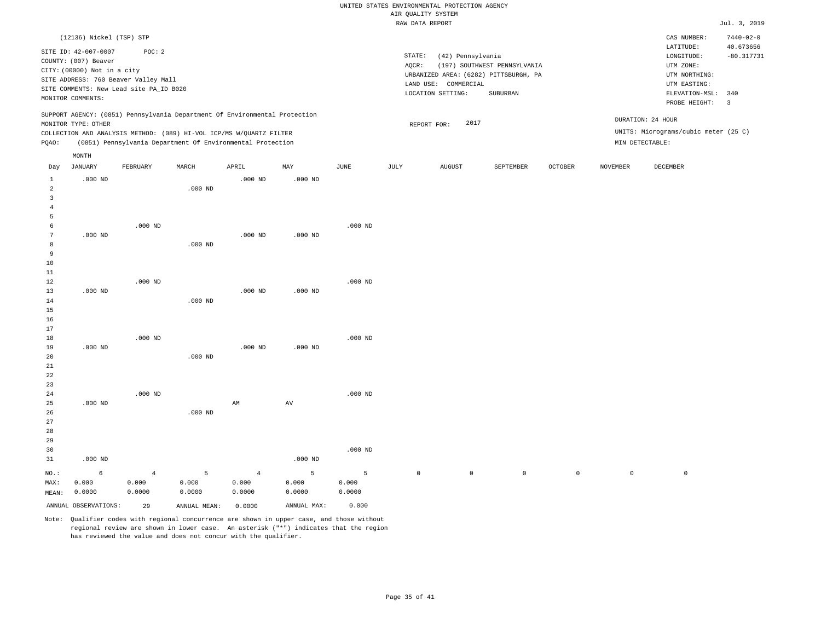|                         |                                                  |                |                                                                            |                |             |             |         | UNITED STATES ENVIRONMENTAL PROTECTION AGENCY                 |                              |                |          |                                      |                              |
|-------------------------|--------------------------------------------------|----------------|----------------------------------------------------------------------------|----------------|-------------|-------------|---------|---------------------------------------------------------------|------------------------------|----------------|----------|--------------------------------------|------------------------------|
|                         |                                                  |                |                                                                            |                |             |             |         | AIR QUALITY SYSTEM                                            |                              |                |          |                                      |                              |
|                         |                                                  |                |                                                                            |                |             |             |         | RAW DATA REPORT                                               |                              |                |          |                                      | Jul. 3, 2019                 |
|                         | (12136) Nickel (TSP) STP<br>SITE ID: 42-007-0007 | POC: 2         |                                                                            |                |             |             |         |                                                               |                              |                |          | CAS NUMBER:<br>LATITUDE:             | $7440 - 02 - 0$<br>40.673656 |
|                         | COUNTY: (007) Beaver                             |                |                                                                            |                |             |             | STATE:  | (42) Pennsylvania                                             |                              |                |          | LONGITUDE:                           | $-80.317731$                 |
|                         | CITY: (00000) Not in a city                      |                |                                                                            |                |             |             | AQCR:   |                                                               | (197) SOUTHWEST PENNSYLVANIA |                |          | UTM ZONE:                            |                              |
|                         | SITE ADDRESS: 760 Beaver Valley Mall             |                |                                                                            |                |             |             |         | URBANIZED AREA: (6282) PITTSBURGH, PA<br>LAND USE: COMMERCIAL |                              |                |          | UTM NORTHING:<br>UTM EASTING:        |                              |
|                         | SITE COMMENTS: New Lead site PA_ID B020          |                |                                                                            |                |             |             |         | LOCATION SETTING:                                             | SUBURBAN                     |                |          | ELEVATION-MSL:                       | 340                          |
|                         | MONITOR COMMENTS:                                |                |                                                                            |                |             |             |         |                                                               |                              |                |          | PROBE HEIGHT:                        | $\overline{3}$               |
|                         | MONITOR TYPE: OTHER                              |                | SUPPORT AGENCY: (0851) Pennsylvania Department Of Environmental Protection |                |             |             |         | 2017<br>REPORT FOR:                                           |                              |                |          | DURATION: 24 HOUR                    |                              |
|                         |                                                  |                | COLLECTION AND ANALYSIS METHOD: (089) HI-VOL ICP/MS W/QUARTZ FILTER        |                |             |             |         |                                                               |                              |                |          | UNITS: Micrograms/cubic meter (25 C) |                              |
| PQAO:                   |                                                  |                | (0851) Pennsylvania Department Of Environmental Protection                 |                |             |             |         |                                                               |                              |                |          | MIN DETECTABLE:                      |                              |
|                         | MONTH                                            |                |                                                                            |                |             |             |         |                                                               |                              |                |          |                                      |                              |
| Day                     | <b>JANUARY</b>                                   | FEBRUARY       | MARCH                                                                      | APRIL          | MAY         | <b>JUNE</b> | JULY    | <b>AUGUST</b>                                                 | SEPTEMBER                    | <b>OCTOBER</b> | NOVEMBER | <b>DECEMBER</b>                      |                              |
| 1                       | $.000$ ND                                        |                |                                                                            | $.000$ ND      | $.000$ ND   |             |         |                                                               |                              |                |          |                                      |                              |
| $\overline{a}$          |                                                  |                | $.000$ ND                                                                  |                |             |             |         |                                                               |                              |                |          |                                      |                              |
| $\overline{\mathbf{3}}$ |                                                  |                |                                                                            |                |             |             |         |                                                               |                              |                |          |                                      |                              |
| $\overline{4}$          |                                                  |                |                                                                            |                |             |             |         |                                                               |                              |                |          |                                      |                              |
| 5<br>6                  |                                                  | $.000$ ND      |                                                                            |                |             | $.000$ ND   |         |                                                               |                              |                |          |                                      |                              |
| $7\phantom{.0}$         | $.000$ ND                                        |                |                                                                            | $.000$ ND      | $.000$ ND   |             |         |                                                               |                              |                |          |                                      |                              |
| 8                       |                                                  |                | $.000$ ND                                                                  |                |             |             |         |                                                               |                              |                |          |                                      |                              |
| 9                       |                                                  |                |                                                                            |                |             |             |         |                                                               |                              |                |          |                                      |                              |
| $10$                    |                                                  |                |                                                                            |                |             |             |         |                                                               |                              |                |          |                                      |                              |
| $1\,1$                  |                                                  |                |                                                                            |                |             |             |         |                                                               |                              |                |          |                                      |                              |
| 12                      |                                                  | $.000$ ND      |                                                                            |                |             | $.000$ ND   |         |                                                               |                              |                |          |                                      |                              |
| 13                      | $.000$ ND                                        |                |                                                                            | $.000$ ND      | $.000$ ND   |             |         |                                                               |                              |                |          |                                      |                              |
| 14                      |                                                  |                | $.000$ ND                                                                  |                |             |             |         |                                                               |                              |                |          |                                      |                              |
| 15                      |                                                  |                |                                                                            |                |             |             |         |                                                               |                              |                |          |                                      |                              |
| 16<br>17                |                                                  |                |                                                                            |                |             |             |         |                                                               |                              |                |          |                                      |                              |
| 18                      |                                                  | $.000$ ND      |                                                                            |                |             | $.000$ ND   |         |                                                               |                              |                |          |                                      |                              |
| 19                      | $.000$ ND                                        |                |                                                                            | $.000$ ND      | $.000$ ND   |             |         |                                                               |                              |                |          |                                      |                              |
| 20                      |                                                  |                | $.000$ ND                                                                  |                |             |             |         |                                                               |                              |                |          |                                      |                              |
| 21                      |                                                  |                |                                                                            |                |             |             |         |                                                               |                              |                |          |                                      |                              |
| $2\sqrt{2}$             |                                                  |                |                                                                            |                |             |             |         |                                                               |                              |                |          |                                      |                              |
| 23                      |                                                  |                |                                                                            |                |             |             |         |                                                               |                              |                |          |                                      |                              |
| 24                      |                                                  | $.000$ ND      |                                                                            |                |             | $.000$ ND   |         |                                                               |                              |                |          |                                      |                              |
| 25                      | $.000$ ND                                        |                |                                                                            | AM             | AV          |             |         |                                                               |                              |                |          |                                      |                              |
| 26<br>27                |                                                  |                | $.000$ ND                                                                  |                |             |             |         |                                                               |                              |                |          |                                      |                              |
| 28                      |                                                  |                |                                                                            |                |             |             |         |                                                               |                              |                |          |                                      |                              |
| 29                      |                                                  |                |                                                                            |                |             |             |         |                                                               |                              |                |          |                                      |                              |
| 30                      |                                                  |                |                                                                            |                |             | $.000$ ND   |         |                                                               |                              |                |          |                                      |                              |
| 31                      | $.000$ ND                                        |                |                                                                            |                | $.000$ ND   |             |         |                                                               |                              |                |          |                                      |                              |
| NO.:                    | 6                                                | $\overline{4}$ | 5                                                                          | $\overline{4}$ | 5           | 5           | $\circ$ | $\mathbb O$                                                   | $\circ$                      | $\mathbb O$    | $\circ$  | $\mathsf 0$                          |                              |
| MAX:                    | 0.000                                            | 0.000          | 0.000                                                                      | 0.000          | 0.000       | 0.000       |         |                                                               |                              |                |          |                                      |                              |
| MEAN:                   | 0.0000                                           | 0.0000         | 0.0000                                                                     | 0.0000         | 0.0000      | 0.0000      |         |                                                               |                              |                |          |                                      |                              |
|                         | ANNUAL OBSERVATIONS:                             | 29             | ANNUAL MEAN:                                                               | 0.0000         | ANNUAL MAX: | 0.000       |         |                                                               |                              |                |          |                                      |                              |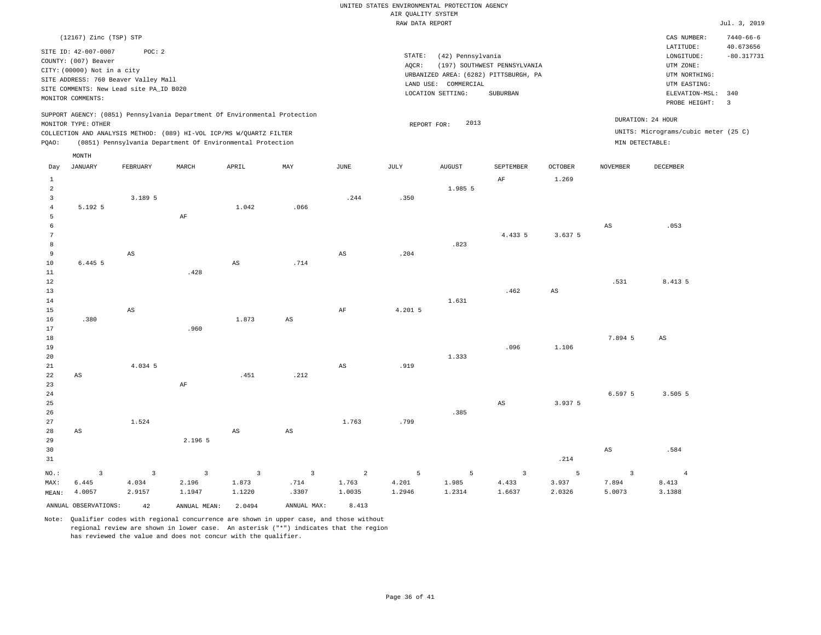|                                |                                                |                |                                                                            |                        |                        |             |                    | UNITED STATES ENVIRONMENTAL PROTECTION AGENCY |                                       |                |                        |                                      |                              |
|--------------------------------|------------------------------------------------|----------------|----------------------------------------------------------------------------|------------------------|------------------------|-------------|--------------------|-----------------------------------------------|---------------------------------------|----------------|------------------------|--------------------------------------|------------------------------|
|                                |                                                |                |                                                                            |                        |                        |             | AIR QUALITY SYSTEM |                                               |                                       |                |                        |                                      |                              |
|                                |                                                |                |                                                                            |                        |                        |             | RAW DATA REPORT    |                                               |                                       |                |                        |                                      | Jul. 3, 2019                 |
|                                | (12167) Zinc (TSP) STP<br>SITE ID: 42-007-0007 | POC: 2         |                                                                            |                        |                        |             |                    |                                               |                                       |                |                        | CAS NUMBER:<br>LATITUDE:             | $7440 - 66 - 6$<br>40.673656 |
|                                | COUNTY: (007) Beaver                           |                |                                                                            |                        |                        |             | STATE:             | (42) Pennsylvania                             |                                       |                |                        | LONGITUDE:                           | $-80.317731$                 |
|                                | CITY: (00000) Not in a city                    |                |                                                                            |                        |                        |             | AQCR:              |                                               | (197) SOUTHWEST PENNSYLVANIA          |                |                        | UTM ZONE:                            |                              |
|                                | SITE ADDRESS: 760 Beaver Valley Mall           |                |                                                                            |                        |                        |             |                    |                                               | URBANIZED AREA: (6282) PITTSBURGH, PA |                |                        | UTM NORTHING:                        |                              |
|                                | SITE COMMENTS: New Lead site PA_ID B020        |                |                                                                            |                        |                        |             |                    | LAND USE: COMMERCIAL                          |                                       |                |                        | UTM EASTING:                         |                              |
|                                | MONITOR COMMENTS:                              |                |                                                                            |                        |                        |             |                    | LOCATION SETTING:                             | SUBURBAN                              |                |                        | ELEVATION-MSL:<br>PROBE HEIGHT:      | 340<br>$\overline{3}$        |
|                                |                                                |                | SUPPORT AGENCY: (0851) Pennsylvania Department Of Environmental Protection |                        |                        |             |                    | 2013                                          |                                       |                |                        | DURATION: 24 HOUR                    |                              |
|                                | MONITOR TYPE: OTHER                            |                | COLLECTION AND ANALYSIS METHOD: (089) HI-VOL ICP/MS W/QUARTZ FILTER        |                        |                        |             | REPORT FOR:        |                                               |                                       |                |                        | UNITS: Micrograms/cubic meter (25 C) |                              |
| PQAO:                          |                                                |                | (0851) Pennsylvania Department Of Environmental Protection                 |                        |                        |             |                    |                                               |                                       |                |                        | MIN DETECTABLE:                      |                              |
|                                |                                                |                |                                                                            |                        |                        |             |                    |                                               |                                       |                |                        |                                      |                              |
| Day                            | MONTH<br><b>JANUARY</b>                        | FEBRUARY       | MARCH                                                                      | APRIL                  | MAY                    | JUNE        | JULY               | <b>AUGUST</b>                                 | SEPTEMBER                             | <b>OCTOBER</b> | NOVEMBER               | DECEMBER                             |                              |
| <sup>1</sup><br>$\overline{a}$ |                                                |                |                                                                            |                        |                        |             |                    | 1.985 5                                       | AF                                    | 1.269          |                        |                                      |                              |
| $\overline{3}$                 |                                                | 3.189 5        |                                                                            |                        |                        | .244        | .350               |                                               |                                       |                |                        |                                      |                              |
| $\,4\,$                        | 5.192 5                                        |                |                                                                            | 1.042                  | .066                   |             |                    |                                               |                                       |                |                        |                                      |                              |
| 5                              |                                                |                | AF                                                                         |                        |                        |             |                    |                                               |                                       |                |                        |                                      |                              |
| $\epsilon$                     |                                                |                |                                                                            |                        |                        |             |                    |                                               |                                       |                | AS                     | .053                                 |                              |
| $7\phantom{.0}$                |                                                |                |                                                                            |                        |                        |             |                    |                                               | 4.433 5                               | 3.637 5        |                        |                                      |                              |
| 8                              |                                                |                |                                                                            |                        |                        |             |                    | .823                                          |                                       |                |                        |                                      |                              |
| 9                              |                                                | $_{\rm AS}$    |                                                                            |                        |                        | $_{\rm AS}$ | .204               |                                               |                                       |                |                        |                                      |                              |
| $10$                           | 6.445 5                                        |                |                                                                            | $\mathbb{A}\mathbb{S}$ | .714                   |             |                    |                                               |                                       |                |                        |                                      |                              |
| $1\,1$                         |                                                |                | .428                                                                       |                        |                        |             |                    |                                               |                                       |                |                        |                                      |                              |
| 12                             |                                                |                |                                                                            |                        |                        |             |                    |                                               |                                       |                | .531                   | 8.413 5                              |                              |
| 13                             |                                                |                |                                                                            |                        |                        |             |                    |                                               | .462                                  | $_{\rm AS}$    |                        |                                      |                              |
| 14                             |                                                |                |                                                                            |                        |                        |             |                    | 1.631                                         |                                       |                |                        |                                      |                              |
| 15                             |                                                | $_{\rm AS}$    |                                                                            |                        |                        | $\rm{AF}$   | 4.201 5            |                                               |                                       |                |                        |                                      |                              |
| 16                             | .380                                           |                |                                                                            | 1.873                  | AS                     |             |                    |                                               |                                       |                |                        |                                      |                              |
| 17                             |                                                |                | .960                                                                       |                        |                        |             |                    |                                               |                                       |                |                        |                                      |                              |
| 18                             |                                                |                |                                                                            |                        |                        |             |                    |                                               |                                       | 1.106          | 7.894 5                | AS                                   |                              |
| 19<br>20                       |                                                |                |                                                                            |                        |                        |             |                    | 1.333                                         | .096                                  |                |                        |                                      |                              |
| $2\sqrt{1}$                    |                                                | 4.034 5        |                                                                            |                        |                        | AS          | .919               |                                               |                                       |                |                        |                                      |                              |
| 22                             | AS                                             |                |                                                                            | .451                   | .212                   |             |                    |                                               |                                       |                |                        |                                      |                              |
| 23                             |                                                |                | $\rm{AF}$                                                                  |                        |                        |             |                    |                                               |                                       |                |                        |                                      |                              |
| 24                             |                                                |                |                                                                            |                        |                        |             |                    |                                               |                                       |                | 6.597 5                | 3.505 5                              |                              |
| 25                             |                                                |                |                                                                            |                        |                        |             |                    |                                               | $\mathbb{A}\mathbb{S}$                | 3.937 5        |                        |                                      |                              |
| 26                             |                                                |                |                                                                            |                        |                        |             |                    | .385                                          |                                       |                |                        |                                      |                              |
| 27                             |                                                | 1.524          |                                                                            |                        |                        | 1.763       | .799               |                                               |                                       |                |                        |                                      |                              |
| 28                             | AS                                             |                |                                                                            | AS                     | $\mathbb{A}\mathbb{S}$ |             |                    |                                               |                                       |                |                        |                                      |                              |
| 29                             |                                                |                | 2.196 5                                                                    |                        |                        |             |                    |                                               |                                       |                |                        |                                      |                              |
| 30                             |                                                |                |                                                                            |                        |                        |             |                    |                                               |                                       |                | $\mathbb{A}\mathbb{S}$ | .584                                 |                              |
| 31                             |                                                |                |                                                                            |                        |                        |             |                    |                                               |                                       | .214           |                        |                                      |                              |
| NO.:                           | $\overline{3}$                                 | $\overline{3}$ | 3                                                                          | 3                      | $\overline{3}$         | 2           | 5                  | 5                                             | 3                                     | 5              | $\overline{3}$         | $\overline{4}$                       |                              |
| MAX:                           | 6.445                                          | 4.034          | 2.196                                                                      | 1.873                  | .714                   | 1.763       | 4.201              | 1.985                                         | 4.433                                 | 3.937          | 7.894                  | 8.413                                |                              |
| MEAN:                          | 4.0057                                         | 2.9157         | 1.1947                                                                     | 1.1220                 | .3307                  | 1.0035      | 1.2946             | 1.2314                                        | 1.6637                                | 2.0326         | 5.0073                 | 3.1388                               |                              |
|                                | ANNUAL OBSERVATIONS:                           | 42             | ANNUAL MEAN:                                                               | 2.0494                 | ANNUAL MAX:            | 8.413       |                    |                                               |                                       |                |                        |                                      |                              |
|                                |                                                |                |                                                                            |                        |                        |             |                    |                                               |                                       |                |                        |                                      |                              |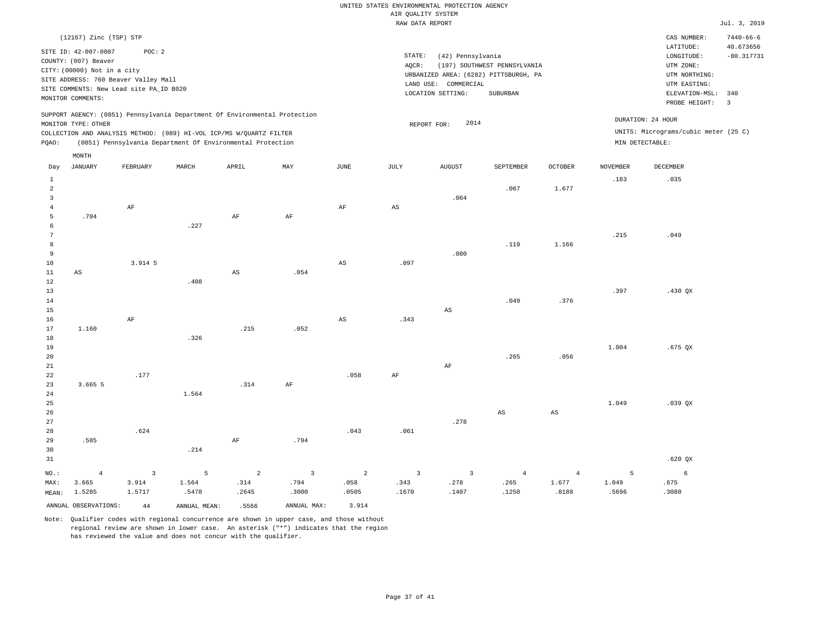|                          | UNITED STATES ENVIRONMENTAL PROTECTION AGENCY |              |
|--------------------------|-----------------------------------------------|--------------|
|                          | AIR OUALITY SYSTEM                            |              |
|                          | RAW DATA REPORT                               |              |
|                          |                                               |              |
|                          | STATE:<br>(42) Pennsylvania                   |              |
|                          | AQCR: (197) SOUTHWEST PENNSYLVANIA            |              |
|                          | URBANIZED AREA: (6282) PITTSBURGH, PA         |              |
|                          | COMMERCIAL<br>LAND USE:                       |              |
|                          | LOCATION SETTING:<br>SUBURBAN                 |              |
| Environmental Protection |                                               |              |
|                          | 2014<br>יתמה התמחהת                           | <b>DURAT</b> |

 $Jul. 3, 2019$ 

CAS NUMBER: 7440-66-6

LONGITUDE: -80.317731 LATITUDE: 40.673656

PROBE HEIGHT: 3 ELEVATION-MSL: 340

UTM NORTHING: UTM EASTING:

UTM ZONE:

SITE ADDRESS: 760 Beaver Valley Mall SITE COMMENTS: New Lead site PA\_ID B020 MONITOR COMMENTS:

(12167) Zinc (TSP) STP

COUNTY: (007) Beaver CITY: (00000) Not in a city

MEAN: 1.5285

SITE ID: 42-007-0007 POC: 2

SUPPORT AGENCY: (0851) Pennsylvania Department Of MONITOR TYPE: OTHER COLLECTION AND ANALYSIS METHOD: (089) HI-VOL ICP/MS W/QUARTZ FILTER REPORT FOR: 2014 2014 UNITS: Micrograms/cubic meter (25 C) PQAO: (0851) Pennsylvania Department Of Environmental Protection MIN DETECTABLE: 24 HOUR

|                | $\texttt{MONTH}$       |                |       |                        |                         |                        |                         |                        |                |                        |          |                 |
|----------------|------------------------|----------------|-------|------------------------|-------------------------|------------------------|-------------------------|------------------------|----------------|------------------------|----------|-----------------|
| Day            | <b>JANUARY</b>         | FEBRUARY       | MARCH | APRIL                  | MAY                     | JUNE                   | JULY                    | AUGUST                 | SEPTEMBER      | OCTOBER                | NOVEMBER | DECEMBER        |
| $\mathbf{1}$   |                        |                |       |                        |                         |                        |                         |                        |                |                        | .183     | .035            |
| $\sqrt{2}$     |                        |                |       |                        |                         |                        |                         |                        | .067           | 1.677                  |          |                 |
| 3              |                        |                |       |                        |                         |                        |                         | .064                   |                |                        |          |                 |
| $\overline{4}$ |                        | $\rm AF$       |       |                        |                         | $\rm{AF}$              | $\mathbb{A}\mathbb{S}$  |                        |                |                        |          |                 |
| 5              | .704                   |                |       | $\rm{AF}$              | $\rm{AF}$               |                        |                         |                        |                |                        |          |                 |
| 6              |                        |                | .227  |                        |                         |                        |                         |                        |                |                        |          |                 |
| 7              |                        |                |       |                        |                         |                        |                         |                        |                |                        | .215     | .049            |
| 8              |                        |                |       |                        |                         |                        |                         |                        | .119           | 1.166                  |          |                 |
| 9              |                        |                |       |                        |                         |                        |                         | .080                   |                |                        |          |                 |
| 10             |                        | 3.914 5        |       |                        |                         | $_{\rm AS}$            | .097                    |                        |                |                        |          |                 |
| 11             | $\mathbb{A}\mathbb{S}$ |                |       | $\mathbb{A}\mathbb{S}$ | .054                    |                        |                         |                        |                |                        |          |                 |
| 12             |                        |                | .408  |                        |                         |                        |                         |                        |                |                        |          |                 |
| 13             |                        |                |       |                        |                         |                        |                         |                        |                |                        | .397     | .430 QX         |
| 14             |                        |                |       |                        |                         |                        |                         |                        | .049           | .376                   |          |                 |
| 15             |                        |                |       |                        |                         |                        |                         | $\mathbb{A}\mathbb{S}$ |                |                        |          |                 |
| 16             |                        | $\rm AF$       |       |                        |                         | $\mathbb{A}\mathbb{S}$ | .343                    |                        |                |                        |          |                 |
| 17             | 1.160                  |                |       | .215                   | .052                    |                        |                         |                        |                |                        |          |                 |
| 18             |                        |                | .326  |                        |                         |                        |                         |                        |                |                        |          |                 |
| 19             |                        |                |       |                        |                         |                        |                         |                        |                |                        | 1.004    | $.675$ QX       |
| 20             |                        |                |       |                        |                         |                        |                         |                        | .265           | .056                   |          |                 |
| 21             |                        |                |       |                        |                         |                        |                         | $\rm AF$               |                |                        |          |                 |
| 22             |                        | .177           |       |                        |                         | .058                   | $\rm{AF}$               |                        |                |                        |          |                 |
| 23             | 3.665 5                |                |       | .314                   | $\rm AF$                |                        |                         |                        |                |                        |          |                 |
| 24             |                        |                | 1.564 |                        |                         |                        |                         |                        |                |                        |          |                 |
| 25             |                        |                |       |                        |                         |                        |                         |                        |                |                        | 1.049    | $.039$ QX       |
| 26             |                        |                |       |                        |                         |                        |                         |                        | AS             | $\mathbb{A}\mathbb{S}$ |          |                 |
| 27             |                        |                |       |                        |                         |                        |                         | .278                   |                |                        |          |                 |
| 28             |                        | .624           |       |                        |                         | .043                   | .061                    |                        |                |                        |          |                 |
| 29             | .585                   |                |       | $\rm AF$               | .794                    |                        |                         |                        |                |                        |          |                 |
| 30             |                        |                | .214  |                        |                         |                        |                         |                        |                |                        |          |                 |
| 31             |                        |                |       |                        |                         |                        |                         |                        |                |                        |          | .620 QX         |
| $NO.$ :        | $\overline{4}$         | $\overline{3}$ | 5     | 2                      | $\overline{\mathbf{3}}$ | 2                      | $\overline{\mathbf{3}}$ | $\overline{3}$         | $\overline{4}$ | $\overline{4}$         | 5        | $6\overline{6}$ |
| MAX:           | 3.665                  | 3.914          | 1.564 | .314                   | .794                    | .058                   | .343                    | .278                   | .265           | 1.677                  | 1.049    | .675            |
|                | меам - 1 5285          | 1 5717         | 5478  | 2645                   | 3000                    | 0505                   | 1670                    | 1407                   | 1250           | 8188                   | 5696     | 3080            |

Note: Qualifier codes with regional concurrence are shown in upper case, and those without regional review are shown in lower case. An asterisk ("\*") indicates that the region has reviewed the value and does not concur with the qualifier.

ANNUAL OBSERVATIONS:  $44$  ANNUAL MEAN: .5566 ANNUAL MAX: 3.914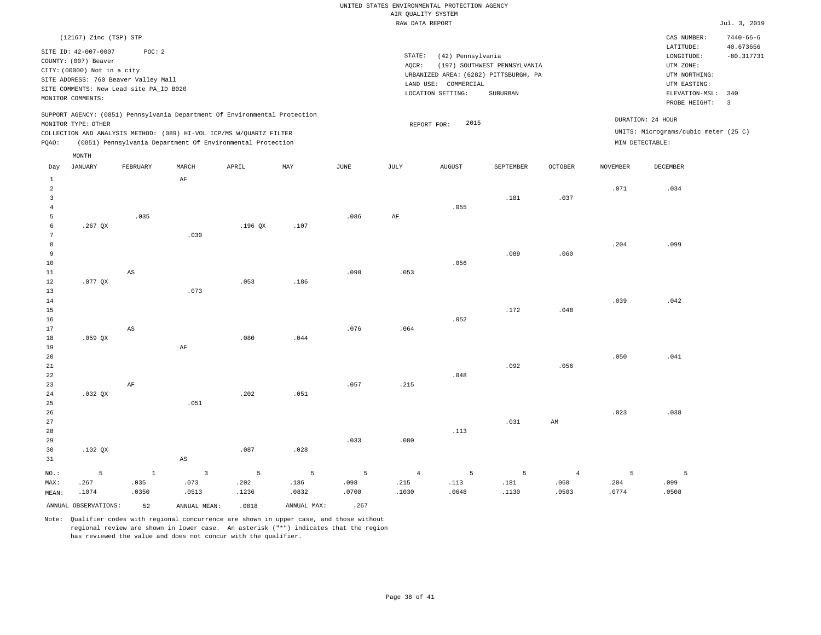|                                                                                                                                                                                                                                                 | (12167) Zinc (TSP) STP |          |             |       |     |      |                              |                                                                                               |                                          |                |                                         | CAS NUMBER:                                               | $7440 - 66 - 6$ |
|-------------------------------------------------------------------------------------------------------------------------------------------------------------------------------------------------------------------------------------------------|------------------------|----------|-------------|-------|-----|------|------------------------------|-----------------------------------------------------------------------------------------------|------------------------------------------|----------------|-----------------------------------------|-----------------------------------------------------------|-----------------|
| SITE ID: 42-007-0007<br>POC:2<br>COUNTY: (007) Beaver<br>CITY: (00000) Not in a city<br>SITE ADDRESS: 760 Beaver Valley Mall<br>SITE COMMENTS: New Lead site PA ID B020<br>MONITOR COMMENTS:                                                    |                        |          |             |       |     |      | STATE:<br>AOCR:<br>LAND USE: | (42) Pennsylvania<br>URBANIZED AREA: (6282) PITTSBURGH, PA<br>COMMERCIAL<br>LOCATION SETTING: | (197) SOUTHWEST PENNSYLVANIA<br>SUBURBAN |                | 40.673656<br>$-80.317731$<br>340<br>- 3 |                                                           |                 |
| SUPPORT AGENCY: (0851) Pennsylvania Department Of Environmental Protection<br>MONITOR TYPE: OTHER<br>COLLECTION AND ANALYSIS METHOD: (089) HI-VOL ICP/MS W/OUARTZ FILTER<br>(0851) Pennsylvania Department Of Environmental Protection<br>POAO: |                        |          |             |       |     |      |                              | 2015<br>REPORT FOR:                                                                           |                                          |                | MIN DETECTABLE:                         | DURATION: 24 HOUR<br>UNITS: Micrograms/cubic meter (25 C) |                 |
| Day                                                                                                                                                                                                                                             | MONTH<br>JANUARY       | FEBRUARY | MARCH<br>AF | APRIL | MAY | JUNE | JULY                         | <b>AUGUST</b>                                                                                 | SEPTEMBER                                | <b>OCTOBER</b> | NOVEMBER                                | <b>DECEMBER</b>                                           |                 |

| $\overline{a}$<br>3<br>$\overline{4}$ |           |                        |                         |         |             |             |                | .055           | .181           | .037           | .071  | .034           |
|---------------------------------------|-----------|------------------------|-------------------------|---------|-------------|-------------|----------------|----------------|----------------|----------------|-------|----------------|
| 5                                     |           | .035                   |                         |         |             | .086        | $\rm{AF}$      |                |                |                |       |                |
| 6                                     | .267 $QX$ |                        |                         | .196 QX | .107        |             |                |                |                |                |       |                |
| 7                                     |           |                        | .030                    |         |             |             |                |                |                |                |       |                |
| 8                                     |           |                        |                         |         |             |             |                |                |                |                | .204  | .099           |
| 9                                     |           |                        |                         |         |             |             |                |                | .089           | .060           |       |                |
| 10                                    |           |                        |                         |         |             |             |                | .056           |                |                |       |                |
| 11                                    |           | $\mathbb{A}\mathbb{S}$ |                         |         |             | .098        | .053           |                |                |                |       |                |
| 12                                    | $.077$ QX |                        |                         | .053    | .186        |             |                |                |                |                |       |                |
| 13                                    |           |                        | .073                    |         |             |             |                |                |                |                |       |                |
| 14                                    |           |                        |                         |         |             |             |                |                |                |                | .039  | .042           |
| 15                                    |           |                        |                         |         |             |             |                |                | .172           | .048           |       |                |
| 16                                    |           |                        |                         |         |             |             |                | .052           |                |                |       |                |
| 17                                    |           | $\mathbb{A}\mathbb{S}$ |                         |         |             | .076        | .064           |                |                |                |       |                |
| 18                                    | $.059$ QX |                        |                         | .080    | .044        |             |                |                |                |                |       |                |
| 19                                    |           |                        | $\rm AF$                |         |             |             |                |                |                |                |       |                |
| 20<br>$21\,$                          |           |                        |                         |         |             |             |                |                | .092           | .056           | .050  | .041           |
| $2\sqrt{2}$                           |           |                        |                         |         |             |             |                | .048           |                |                |       |                |
| 23                                    |           | $\rm{AF}$              |                         |         |             | .057        | .215           |                |                |                |       |                |
| $2\,4$                                | $.032$ QX |                        |                         | .202    | .051        |             |                |                |                |                |       |                |
| 25                                    |           |                        | .051                    |         |             |             |                |                |                |                |       |                |
| 26                                    |           |                        |                         |         |             |             |                |                |                |                | .023  | .038           |
| 27                                    |           |                        |                         |         |             |             |                |                | .031           | $\mbox{AM}$    |       |                |
| 28                                    |           |                        |                         |         |             |             |                | .113           |                |                |       |                |
| 29                                    |           |                        |                         |         |             | .033        | .080           |                |                |                |       |                |
| 30                                    | $.102$ QX |                        |                         | .087    | .028        |             |                |                |                |                |       |                |
| 31                                    |           |                        | $\mathbb{A}\mathbb{S}$  |         |             |             |                |                |                |                |       |                |
| $_{\rm NO.}$ :                        | 5         | $\,$ 1                 | $\overline{\mathbf{3}}$ | 5       | $\mathsf S$ | $\mathsf S$ | $\overline{4}$ | $\overline{5}$ | $\overline{5}$ | $\overline{4}$ | 5     | $\overline{5}$ |
| MAX:                                  | .267      | .035                   | .073                    | .202    | .186        | .098        | .215           | .113           | .181           | .060           | .204  | .099           |
| MEAN:                                 | .1074     | .0350                  | .0513                   | .1236   | .0832       | .0700       | .1030          | .0648          | .1130          | .0503          | .0774 | .0508          |

ANNUAL OBSERVATIONS: 52 ANNUAL MEAN: .0818 ANNUAL MAX: .267 Note: Qualifier codes with regional concurrence are shown in upper case, and those without

regional review are shown in lower case. An asterisk ("\*") indicates that the region

has reviewed the value and does not concur with the qualifier.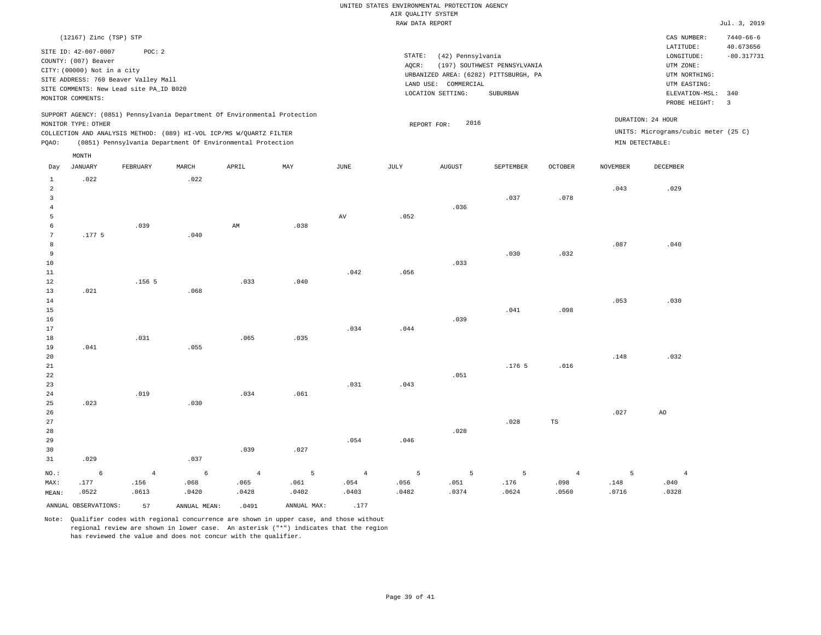## UNITED STATES ENVIRONMENTAL PROTECTION AGENCY AIR QUALITY SYSTEM

|                                                                                                                                                                                               |                         |                   |       |                                                                                                                                                                                                                 |      |      | RAW DATA REPORT |                                                                |                                                                                   |         |          |                                                                                                          | Jul. 3, 2019                                                 |
|-----------------------------------------------------------------------------------------------------------------------------------------------------------------------------------------------|-------------------------|-------------------|-------|-----------------------------------------------------------------------------------------------------------------------------------------------------------------------------------------------------------------|------|------|-----------------|----------------------------------------------------------------|-----------------------------------------------------------------------------------|---------|----------|----------------------------------------------------------------------------------------------------------|--------------------------------------------------------------|
|                                                                                                                                                                                               | (12167) Zinc (TSP) STP  |                   |       |                                                                                                                                                                                                                 |      |      |                 |                                                                |                                                                                   |         |          | CAS NUMBER:                                                                                              | $7440 - 66 - 6$                                              |
| SITE ID: 42-007-0007<br>POC: 2<br>COUNTY: (007) Beaver<br>CITY: (00000) Not in a city<br>SITE ADDRESS: 760 Beaver Valley Mall<br>SITE COMMENTS: New Lead site PA_ID B020<br>MONITOR COMMENTS: |                         |                   |       |                                                                                                                                                                                                                 |      |      | STATE:<br>AQCR: | (42) Pennsylvania<br>LAND USE: COMMERCIAL<br>LOCATION SETTING: | (197) SOUTHWEST PENNSYLVANIA<br>URBANIZED AREA: (6282) PITTSBURGH, PA<br>SUBURBAN |         |          | LATITUDE:<br>LONGITUDE:<br>UTM ZONE:<br>UTM NORTHING:<br>UTM EASTING:<br>ELEVATION-MSL:<br>PROBE HEIGHT: | 40.673656<br>$-80.317731$<br>340<br>$\overline{\phantom{a}}$ |
| PQAO:                                                                                                                                                                                         | MONITOR TYPE: OTHER     |                   |       | SUPPORT AGENCY: (0851) Pennsylvania Department Of Environmental Protection<br>COLLECTION AND ANALYSIS METHOD: (089) HI-VOL ICP/MS W/OUARTZ FILTER<br>(0851) Pennsylvania Department Of Environmental Protection |      |      |                 | 2016<br>REPORT FOR:                                            |                                                                                   |         |          | DURATION: 24 HOUR<br>UNITS: Micrograms/cubic meter (25 C)<br>MIN DETECTABLE:                             |                                                              |
| Day                                                                                                                                                                                           | MONTH<br><b>JANUARY</b> | FEBRUARY          | MARCH | APRIL                                                                                                                                                                                                           | MAY  | JUNE | JULY            | AUGUST                                                         | SEPTEMBER                                                                         | OCTOBER | NOVEMBER | DECEMBER                                                                                                 |                                                              |
| 1<br>$\overline{a}$<br>3                                                                                                                                                                      | .022                    |                   | .022  |                                                                                                                                                                                                                 |      |      |                 | .036                                                           | .037                                                                              | .078    | .043     | .029                                                                                                     |                                                              |
| 5<br>6<br>7<br>8                                                                                                                                                                              | .177.5                  | .039              | .040  | AM                                                                                                                                                                                                              | .038 | AV   | .052            |                                                                |                                                                                   |         | .087     | .040                                                                                                     |                                                              |
| 9<br>10<br>11<br>12                                                                                                                                                                           |                         | .156 <sub>5</sub> |       | .033                                                                                                                                                                                                            | .040 | .042 | .056            | .033                                                           | .030                                                                              | .032    |          |                                                                                                          |                                                              |
| 13<br>14<br>15<br>16<br>17                                                                                                                                                                    | .021                    |                   | .068  |                                                                                                                                                                                                                 |      | .034 | .044            | .039                                                           | .041                                                                              | .098    | .053     | .030                                                                                                     |                                                              |
| 18<br>19<br>20                                                                                                                                                                                | .041                    | .031              | .055  | .065                                                                                                                                                                                                            | .035 |      |                 |                                                                |                                                                                   |         | .148     | .032                                                                                                     |                                                              |

21 22 23 24 25 26 27 28 29 30 31 .023 .029 NO.: 6 .019 .030 .037 .034 .039 .061 .027 .031 .054 .043 .046 .051 .028 .176 5 .028 .016 TS .027 AO 4 6 4 5 4 5 5 5 4 5 4

MAX: MEAN: .177 .0522 .156 .0613 .068 .0420 .065 .0428 .061 .0402 .054 .0403 .056 .0482 .051 .0374 .176 .0624 .098 .0560 .148 .0716 .040 .0328 ANNUAL OBSERVATIONS:  $57$  ANNUAL MEAN: .0491 ANNUAL MAX: .177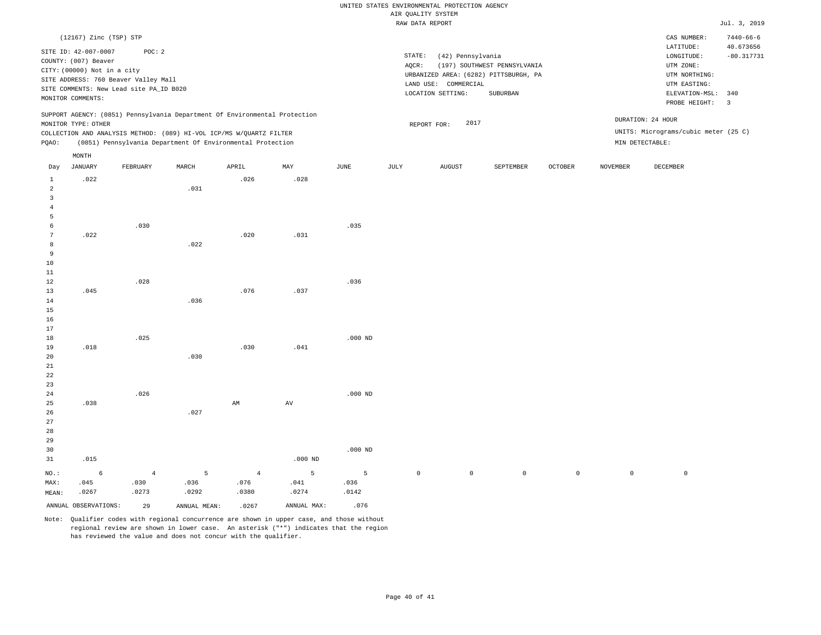|                     |                                                              |                |                                                                            |                |                 |             |             | UNITED STATES ENVIRONMENTAL PROTECTION AGENCY |                              |                |                 |                                      |                           |  |
|---------------------|--------------------------------------------------------------|----------------|----------------------------------------------------------------------------|----------------|-----------------|-------------|-------------|-----------------------------------------------|------------------------------|----------------|-----------------|--------------------------------------|---------------------------|--|
|                     |                                                              |                |                                                                            |                |                 |             |             | AIR OUALITY SYSTEM                            |                              |                |                 |                                      |                           |  |
|                     |                                                              |                |                                                                            |                |                 |             |             | RAW DATA REPORT                               |                              |                |                 |                                      | Jul. 3, 2019              |  |
|                     | (12167) Zinc (TSP) STP                                       |                |                                                                            |                |                 |             |             |                                               |                              |                |                 | CAS NUMBER:                          | $7440 - 66 - 6$           |  |
|                     | SITE ID: 42-007-0007                                         | POC: 2         |                                                                            |                |                 |             | STATE:      | (42) Pennsylvania                             |                              |                |                 | LATITUDE:<br>LONGITUDE:              | 40.673656<br>$-80.317731$ |  |
|                     | COUNTY: (007) Beaver                                         |                |                                                                            |                |                 |             | AOCR:       |                                               | (197) SOUTHWEST PENNSYLVANIA |                |                 | UTM ZONE:                            |                           |  |
|                     | CITY: (00000) Not in a city                                  |                |                                                                            |                |                 |             |             | URBANIZED AREA: (6282) PITTSBURGH, PA         |                              |                |                 | UTM NORTHING:                        |                           |  |
|                     | SITE ADDRESS: 760 Beaver Valley Mall                         |                |                                                                            |                |                 |             |             | LAND USE: COMMERCIAL                          |                              |                |                 | UTM EASTING:                         |                           |  |
|                     | SITE COMMENTS: New Lead site PA_ID B020<br>MONITOR COMMENTS: |                |                                                                            |                |                 |             |             | LOCATION SETTING:                             | SUBURBAN                     |                |                 | ELEVATION-MSL:                       | 340                       |  |
|                     |                                                              |                |                                                                            |                |                 |             |             |                                               |                              |                |                 | PROBE HEIGHT:                        | $\overline{3}$            |  |
|                     | MONITOR TYPE: OTHER                                          |                | SUPPORT AGENCY: (0851) Pennsylvania Department Of Environmental Protection |                |                 |             |             | 2017<br>REPORT FOR:                           |                              |                |                 | DURATION: 24 HOUR                    |                           |  |
|                     |                                                              |                | COLLECTION AND ANALYSIS METHOD: (089) HI-VOL ICP/MS W/QUARTZ FILTER        |                |                 |             |             |                                               |                              |                |                 | UNITS: Micrograms/cubic meter (25 C) |                           |  |
| PQAO:               |                                                              |                | (0851) Pennsylvania Department Of Environmental Protection                 |                |                 |             |             |                                               |                              |                |                 | MIN DETECTABLE:                      |                           |  |
|                     | MONTH                                                        |                |                                                                            |                |                 |             |             |                                               |                              |                |                 |                                      |                           |  |
| Day                 | <b>JANUARY</b>                                               | FEBRUARY       | MARCH                                                                      | APRIL          | MAY             | <b>JUNE</b> | JULY        | <b>AUGUST</b>                                 | SEPTEMBER                    | <b>OCTOBER</b> | <b>NOVEMBER</b> | <b>DECEMBER</b>                      |                           |  |
| 1                   | .022                                                         |                |                                                                            | .026           | .028            |             |             |                                               |                              |                |                 |                                      |                           |  |
| 2                   |                                                              |                | .031                                                                       |                |                 |             |             |                                               |                              |                |                 |                                      |                           |  |
| $\overline{3}$      |                                                              |                |                                                                            |                |                 |             |             |                                               |                              |                |                 |                                      |                           |  |
| $\overline{4}$<br>5 |                                                              |                |                                                                            |                |                 |             |             |                                               |                              |                |                 |                                      |                           |  |
| 6                   |                                                              | .030           |                                                                            |                |                 | .035        |             |                                               |                              |                |                 |                                      |                           |  |
| 7                   | .022                                                         |                |                                                                            | .020           | .031            |             |             |                                               |                              |                |                 |                                      |                           |  |
| 8                   |                                                              |                | .022                                                                       |                |                 |             |             |                                               |                              |                |                 |                                      |                           |  |
| 9                   |                                                              |                |                                                                            |                |                 |             |             |                                               |                              |                |                 |                                      |                           |  |
| $10$                |                                                              |                |                                                                            |                |                 |             |             |                                               |                              |                |                 |                                      |                           |  |
| 11                  |                                                              |                |                                                                            |                |                 |             |             |                                               |                              |                |                 |                                      |                           |  |
| 12                  |                                                              | .028           |                                                                            |                |                 | .036        |             |                                               |                              |                |                 |                                      |                           |  |
| 13                  | .045                                                         |                |                                                                            | .076           | .037            |             |             |                                               |                              |                |                 |                                      |                           |  |
| 14                  |                                                              |                | .036                                                                       |                |                 |             |             |                                               |                              |                |                 |                                      |                           |  |
| 15                  |                                                              |                |                                                                            |                |                 |             |             |                                               |                              |                |                 |                                      |                           |  |
| 16                  |                                                              |                |                                                                            |                |                 |             |             |                                               |                              |                |                 |                                      |                           |  |
| 17<br>18            |                                                              | .025           |                                                                            |                |                 | $.000$ ND   |             |                                               |                              |                |                 |                                      |                           |  |
| 19                  | .018                                                         |                |                                                                            | .030           | .041            |             |             |                                               |                              |                |                 |                                      |                           |  |
| 20                  |                                                              |                | .030                                                                       |                |                 |             |             |                                               |                              |                |                 |                                      |                           |  |
| 21                  |                                                              |                |                                                                            |                |                 |             |             |                                               |                              |                |                 |                                      |                           |  |
| 22                  |                                                              |                |                                                                            |                |                 |             |             |                                               |                              |                |                 |                                      |                           |  |
| 23                  |                                                              |                |                                                                            |                |                 |             |             |                                               |                              |                |                 |                                      |                           |  |
| 24                  |                                                              | .026           |                                                                            |                |                 | $.000$ ND   |             |                                               |                              |                |                 |                                      |                           |  |
| 25                  | .038                                                         |                |                                                                            | AM             | $\,\mathrm{AV}$ |             |             |                                               |                              |                |                 |                                      |                           |  |
| 26                  |                                                              |                | .027                                                                       |                |                 |             |             |                                               |                              |                |                 |                                      |                           |  |
| 27                  |                                                              |                |                                                                            |                |                 |             |             |                                               |                              |                |                 |                                      |                           |  |
| 28<br>29            |                                                              |                |                                                                            |                |                 |             |             |                                               |                              |                |                 |                                      |                           |  |
| 30                  |                                                              |                |                                                                            |                |                 | $.000$ ND   |             |                                               |                              |                |                 |                                      |                           |  |
| 31                  | .015                                                         |                |                                                                            |                | $.000$ ND       |             |             |                                               |                              |                |                 |                                      |                           |  |
| $NO.$ :             | $\epsilon$                                                   | $\overline{4}$ | 5                                                                          | $\overline{4}$ | 5               | 5           | $\mathbb O$ | $\mathbb O$                                   | $\circ$                      | $\mathbb O$    | $\circ$         | $\mathsf{O}\xspace$                  |                           |  |
| MAX:                | .045                                                         | .030           | .036                                                                       | .076           | .041            | .036        |             |                                               |                              |                |                 |                                      |                           |  |
| MEAN:               | .0267                                                        | .0273          | .0292                                                                      | .0380          | .0274           | .0142       |             |                                               |                              |                |                 |                                      |                           |  |
|                     | ANNUAL OBSERVATIONS:                                         | 29             | ANNUAL, MEAN:                                                              | .0267          | ANNUAL MAX:     | .076        |             |                                               |                              |                |                 |                                      |                           |  |